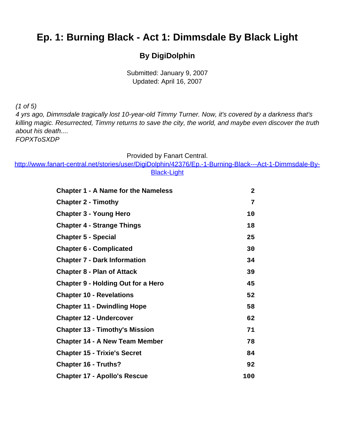# <span id="page-0-0"></span>**Ep. 1: Burning Black - Act 1: Dimmsdale By Black Light**

### **By DigiDolphin**

Submitted: January 9, 2007 Updated: April 16, 2007

(1 of 5)

4 yrs ago, Dimmsdale tragically lost 10-year-old Timmy Turner. Now, it's covered by a darkness that's killing magic. Resurrected, Timmy returns to save the city, the world, and maybe even discover the truth about his death....

FOPXToSXDP

Provided by Fanart Central.

[http://www.fanart-central.net/stories/user/DigiDolphin/42376/Ep.-1-Burning-Black---Act-1-Dimmsdale-By-](#page-0-0)**[Black-Light](#page-0-0)** 

| <b>Chapter 1 - A Name for the Nameless</b> | $\mathbf{2}$ |
|--------------------------------------------|--------------|
| <b>Chapter 2 - Timothy</b>                 | 7            |
| <b>Chapter 3 - Young Hero</b>              | 10           |
| <b>Chapter 4 - Strange Things</b>          | 18           |
| <b>Chapter 5 - Special</b>                 | 25           |
| <b>Chapter 6 - Complicated</b>             | 30           |
| <b>Chapter 7 - Dark Information</b>        | 34           |
| <b>Chapter 8 - Plan of Attack</b>          | 39           |
| <b>Chapter 9 - Holding Out for a Hero</b>  | 45           |
| <b>Chapter 10 - Revelations</b>            | 52           |
| <b>Chapter 11 - Dwindling Hope</b>         | 58           |
| <b>Chapter 12 - Undercover</b>             | 62           |
| <b>Chapter 13 - Timothy's Mission</b>      | 71           |
| <b>Chapter 14 - A New Team Member</b>      | 78           |
| <b>Chapter 15 - Trixie's Secret</b>        | 84           |
| <b>Chapter 16 - Truths?</b>                | 92           |
| <b>Chapter 17 - Apollo's Rescue</b>        | 100          |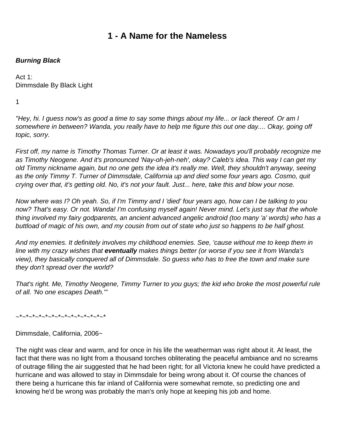### **1 - A Name for the Nameless**

### <span id="page-1-0"></span>**Burning Black**

Act 1: Dimmsdale By Black Light

1

"Hey, hi. I guess now's as good a time to say some things about my life... or lack thereof. Or am I somewhere in between? Wanda, you really have to help me figure this out one day.... Okay, going off topic, sorry.

First off, my name is Timothy Thomas Turner. Or at least it was. Nowadays you'll probably recognize me as Timothy Neogene. And it's pronounced 'Nay-oh-jeh-neh', okay? Caleb's idea. This way I can get my old Timmy nickname again, but no one gets the idea it's really me. Well, they shouldn't anyway, seeing as the only Timmy T. Turner of Dimmsdale, California up and died some four years ago. Cosmo, quit crying over that, it's getting old. No, it's not your fault. Just... here, take this and blow your nose.

Now where was I? Oh yeah. So, if I'm Timmy and I 'died' four years ago, how can I be talking to you now? That's easy. Or not. Wanda! I'm confusing myself again! Never mind. Let's just say that the whole thing involved my fairy godparents, an ancient advanced angelic android (too many 'a' words) who has a buttload of magic of his own, and my cousin from out of state who just so happens to be half ghost.

And my enemies. It definitely involves my childhood enemies. See, 'cause without me to keep them in line with my crazy wishes that **eventually** makes things better (or worse if you see it from Wanda's view), they basically conquered all of Dimmsdale. So guess who has to free the town and make sure they don't spread over the world?

That's right. Me, Timothy Neogene, Timmy Turner to you guys; the kid who broke the most powerful rule of all. 'No one escapes Death.'"

~\*~\*~\*~\*~\*~\*~\*~\*~\*~\*~\*~\*~\*~\*

Dimmsdale, California, 2006~

The night was clear and warm, and for once in his life the weatherman was right about it. At least, the fact that there was no light from a thousand torches obliterating the peaceful ambiance and no screams of outrage filling the air suggested that he had been right; for all Victoria knew he could have predicted a hurricane and was allowed to stay in Dimmsdale for being wrong about it. Of course the chances of there being a hurricane this far inland of California were somewhat remote, so predicting one and knowing he'd be wrong was probably the man's only hope at keeping his job and home.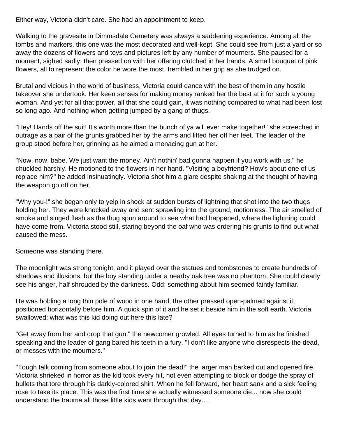Either way, Victoria didn't care. She had an appointment to keep.

Walking to the gravesite in Dimmsdale Cemetery was always a saddening experience. Among all the tombs and markers, this one was the most decorated and well-kept. She could see from just a yard or so away the dozens of flowers and toys and pictures left by any number of mourners. She paused for a moment, sighed sadly, then pressed on with her offering clutched in her hands. A small bouquet of pink flowers, all to represent the color he wore the most, trembled in her grip as she trudged on.

Brutal and vicious in the world of business, Victoria could dance with the best of them in any hostile takeover she undertook. Her keen senses for making money ranked her the best at it for such a young woman. And yet for all that power, all that she could gain, it was nothing compared to what had been lost so long ago. And nothing when getting jumped by a gang of thugs.

"Hey! Hands off the suit! It's worth more than the bunch of ya will ever make together!" she screeched in outrage as a pair of the grunts grabbed her by the arms and lifted her off her feet. The leader of the group stood before her, grinning as he aimed a menacing gun at her.

"Now, now, babe. We just want the money. Ain't nothin' bad gonna happen if you work with us." he chuckled harshly. He motioned to the flowers in her hand. "Visiting a boyfriend? How's about one of us replace him?" he added insinuatingly. Victoria shot him a glare despite shaking at the thought of having the weapon go off on her.

"Why you-!" she began only to yelp in shock at sudden bursts of lightning that shot into the two thugs holding her. They were knocked away and sent sprawling into the ground, motionless. The air smelled of smoke and singed flesh as the thug spun around to see what had happened, where the lightning could have come from. Victoria stood still, staring beyond the oaf who was ordering his grunts to find out what caused the mess.

Someone was standing there.

The moonlight was strong tonight, and it played over the statues and tombstones to create hundreds of shadows and illusions, but the boy standing under a nearby oak tree was no phantom. She could clearly see his anger, half shrouded by the darkness. Odd; something about him seemed faintly familiar.

He was holding a long thin pole of wood in one hand, the other pressed open-palmed against it, positioned horizontally before him. A quick spin of it and he set it beside him in the soft earth. Victoria swallowed; what was this kid doing out here this late?

"Get away from her and drop that gun." the newcomer growled. All eyes turned to him as he finished speaking and the leader of gang bared his teeth in a fury. "I don't like anyone who disrespects the dead, or messes with the mourners."

"Tough talk coming from someone about to **join** the dead!" the larger man barked out and opened fire. Victoria shrieked in horror as the kid took every hit, not even attempting to block or dodge the spray of bullets that tore through his darkly-colored shirt. When he fell forward, her heart sank and a sick feeling rose to take its place. This was the first time she actually witnessed someone die... now she could understand the trauma all those little kids went through that day....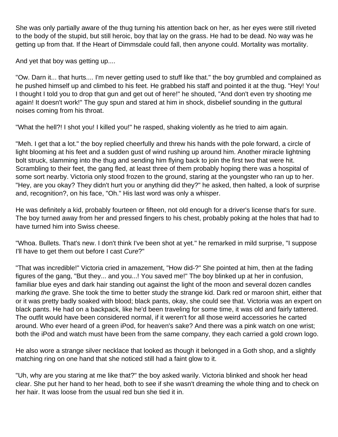She was only partially aware of the thug turning his attention back on her, as her eyes were still riveted to the body of the stupid, but still heroic, boy that lay on the grass. He had to be dead. No way was he getting up from that. If the Heart of Dimmsdale could fall, then anyone could. Mortality was mortality.

And yet that boy was getting up....

"Ow. Darn it... that hurts.... I'm never getting used to stuff like that." the boy grumbled and complained as he pushed himself up and climbed to his feet. He grabbed his staff and pointed it at the thug. "Hey! You! I thought I told you to drop that gun and get out of here!" he shouted, "And don't even try shooting me again! It doesn't work!" The guy spun and stared at him in shock, disbelief sounding in the guttural noises coming from his throat.

"What the hell?! I shot you! I killed you!" he rasped, shaking violently as he tried to aim again.

"Meh. I get that a lot." the boy replied cheerfully and threw his hands with the pole forward, a circle of light blooming at his feet and a sudden gust of wind rushing up around him. Another miracle lightning bolt struck, slamming into the thug and sending him flying back to join the first two that were hit. Scrambling to their feet, the gang fled, at least three of them probably hoping there was a hospital of some sort nearby. Victoria only stood frozen to the ground, staring at the youngster who ran up to her. "Hey, are you okay? They didn't hurt you or anything did they?" he asked, then halted, a look of surprise and, recognition?, on his face, "Oh." His last word was only a whisper.

He was definitely a kid, probably fourteen or fifteen, not old enough for a driver's license that's for sure. The boy turned away from her and pressed fingers to his chest, probably poking at the holes that had to have turned him into Swiss cheese.

"Whoa. Bullets. That's new. I don't think I've been shot at yet." he remarked in mild surprise, "I suppose I'll have to get them out before I cast Cure?"

"That was incredible!" Victoria cried in amazement, "How did-?" She pointed at him, then at the fading figures of the gang, "But they... and you...! You saved me!" The boy blinked up at her in confusion, familiar blue eyes and dark hair standing out against the light of the moon and several dozen candles marking the grave. She took the time to better study the strange kid. Dark red or maroon shirt, either that or it was pretty badly soaked with blood; black pants, okay, she could see that. Victoria was an expert on black pants. He had on a backpack, like he'd been traveling for some time, it was old and fairly tattered. The outfit would have been considered normal, if it weren't for all those weird accessories he carted around. Who ever heard of a green iPod, for heaven's sake? And there was a pink watch on one wrist; both the iPod and watch must have been from the same company, they each carried a gold crown logo.

He also wore a strange silver necklace that looked as though it belonged in a Goth shop, and a slightly matching ring on one hand that she noticed still had a faint glow to it.

"Uh, why are you staring at me like that?" the boy asked warily. Victoria blinked and shook her head clear. She put her hand to her head, both to see if she wasn't dreaming the whole thing and to check on her hair. It was loose from the usual red bun she tied it in.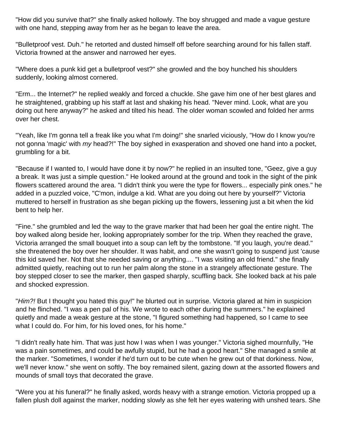"How did you survive that?" she finally asked hollowly. The boy shrugged and made a vague gesture with one hand, stepping away from her as he began to leave the area.

"Bulletproof vest. Duh." he retorted and dusted himself off before searching around for his fallen staff. Victoria frowned at the answer and narrowed her eyes.

"Where does a punk kid get a bulletproof vest?" she growled and the boy hunched his shoulders suddenly, looking almost cornered.

"Erm... the Internet?" he replied weakly and forced a chuckle. She gave him one of her best glares and he straightened, grabbing up his staff at last and shaking his head. "Never mind. Look, what are you doing out here anyway?" he asked and tilted his head. The older woman scowled and folded her arms over her chest.

"Yeah, like I'm gonna tell a freak like you what I'm doing!" she snarled viciously, "How do I know you're not gonna 'magic' with my head?!" The boy sighed in exasperation and shoved one hand into a pocket, grumbling for a bit.

"Because if I wanted to, I would have done it by now?" he replied in an insulted tone, "Geez, give a guy a break. It was just a simple question." He looked around at the ground and took in the sight of the pink flowers scattered around the area. "I didn't think you were the type for flowers... especially pink ones." he added in a puzzled voice, "C'mon, indulge a kid. What are you doing out here by yourself?" Victoria muttered to herself in frustration as she began picking up the flowers, lessening just a bit when the kid bent to help her.

"Fine." she grumbled and led the way to the grave marker that had been her goal the entire night. The boy walked along beside her, looking appropriately somber for the trip. When they reached the grave, Victoria arranged the small bouquet into a soup can left by the tombstone. "If you laugh, you're dead." she threatened the boy over her shoulder. It was habit, and one she wasn't going to suspend just 'cause this kid saved her. Not that she needed saving or anything.... "I was visiting an old friend." she finally admitted quietly, reaching out to run her palm along the stone in a strangely affectionate gesture. The boy stepped closer to see the marker, then gasped sharply, scuffling back. She looked back at his pale and shocked expression.

"Him?! But I thought you hated this guy!" he blurted out in surprise. Victoria glared at him in suspicion and he flinched. "I was a pen pal of his. We wrote to each other during the summers." he explained quietly and made a weak gesture at the stone, "I figured something had happened, so I came to see what I could do. For him, for his loved ones, for his home."

"I didn't really hate him. That was just how I was when I was younger." Victoria sighed mournfully, "He was a pain sometimes, and could be awfully stupid, but he had a good heart." She managed a smile at the marker. "Sometimes, I wonder if he'd turn out to be cute when he grew out of that dorkiness. Now, we'll never know." she went on softly. The boy remained silent, gazing down at the assorted flowers and mounds of small toys that decorated the grave.

"Were you at his funeral?" he finally asked, words heavy with a strange emotion. Victoria propped up a fallen plush doll against the marker, nodding slowly as she felt her eyes watering with unshed tears. She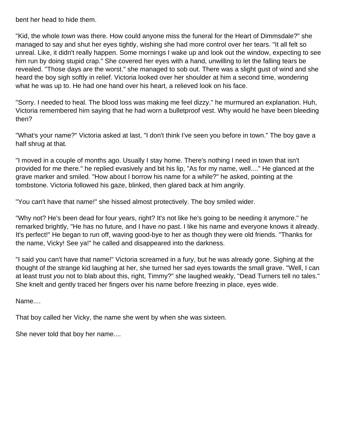bent her head to hide them.

"Kid, the whole town was there. How could anyone miss the funeral for the Heart of Dimmsdale?" she managed to say and shut her eyes tightly, wishing she had more control over her tears. "It all felt so unreal. Like, it didn't really happen. Some mornings I wake up and look out the window, expecting to see him run by doing stupid crap." She covered her eyes with a hand, unwilling to let the falling tears be revealed. "Those days are the worst." she managed to sob out. There was a slight gust of wind and she heard the boy sigh softly in relief. Victoria looked over her shoulder at him a second time, wondering what he was up to. He had one hand over his heart, a relieved look on his face.

"Sorry. I needed to heal. The blood loss was making me feel dizzy." he murmured an explanation. Huh, Victoria remembered him saying that he had worn a bulletproof vest. Why would he have been bleeding then?

"What's your name?" Victoria asked at last, "I don't think I've seen you before in town." The boy gave a half shrug at that.

"I moved in a couple of months ago. Usually I stay home. There's nothing I need in town that isn't provided for me there." he replied evasively and bit his lip, "As for my name, well...." He glanced at the grave marker and smiled. "How about I borrow his name for a while?" he asked, pointing at the tombstone. Victoria followed his gaze, blinked, then glared back at him angrily.

"You can't have that name!" she hissed almost protectively. The boy smiled wider.

"Why not? He's been dead for four years, right? It's not like he's going to be needing it anymore." he remarked brightly, "He has no future, and I have no past. I like his name and everyone knows it already. It's perfect!" He began to run off, waving good-bye to her as though they were old friends. "Thanks for the name, Vicky! See ya!" he called and disappeared into the darkness.

"I said you can't have that name!" Victoria screamed in a fury, but he was already gone. Sighing at the thought of the strange kid laughing at her, she turned her sad eyes towards the small grave. "Well, I can at least trust you not to blab about this, right, Timmy?" she laughed weakly, "Dead Turners tell no tales." She knelt and gently traced her fingers over his name before freezing in place, eyes wide.

Name....

That boy called her Vicky, the name she went by when she was sixteen.

She never told that boy her name....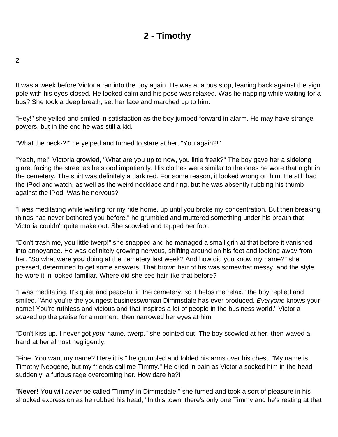### **2 - Timothy**

<span id="page-6-0"></span>2

It was a week before Victoria ran into the boy again. He was at a bus stop, leaning back against the sign pole with his eyes closed. He looked calm and his pose was relaxed. Was he napping while waiting for a bus? She took a deep breath, set her face and marched up to him.

"Hey!" she yelled and smiled in satisfaction as the boy jumped forward in alarm. He may have strange powers, but in the end he was still a kid.

"What the heck-?!" he yelped and turned to stare at her, "You again?!"

"Yeah, me!" Victoria growled, "What are you up to now, you little freak?" The boy gave her a sidelong glare, facing the street as he stood impatiently. His clothes were similar to the ones he wore that night in the cemetery. The shirt was definitely a dark red. For some reason, it looked wrong on him. He still had the iPod and watch, as well as the weird necklace and ring, but he was absently rubbing his thumb against the iPod. Was he nervous?

"I was meditating while waiting for my ride home, up until you broke my concentration. But then breaking things has never bothered you before." he grumbled and muttered something under his breath that Victoria couldn't quite make out. She scowled and tapped her foot.

"Don't trash me, you little twerp!" she snapped and he managed a small grin at that before it vanished into annoyance. He was definitely growing nervous, shifting around on his feet and looking away from her. "So what were **you** doing at the cemetery last week? And how did you know my name?" she pressed, determined to get some answers. That brown hair of his was somewhat messy, and the style he wore it in looked familiar. Where did she see hair like that before?

"I was meditating. It's quiet and peaceful in the cemetery, so it helps me relax." the boy replied and smiled. "And you're the youngest businesswoman Dimmsdale has ever produced. Everyone knows your name! You're ruthless and vicious and that inspires a lot of people in the business world." Victoria soaked up the praise for a moment, then narrowed her eyes at him.

"Don't kiss up. I never got your name, twerp." she pointed out. The boy scowled at her, then waved a hand at her almost negligently.

"Fine. You want my name? Here it is." he grumbled and folded his arms over his chest, "My name is Timothy Neogene, but my friends call me Timmy." He cried in pain as Victoria socked him in the head suddenly, a furious rage overcoming her. How dare he?!

"**Never!** You will never be called 'Timmy' in Dimmsdale!" she fumed and took a sort of pleasure in his shocked expression as he rubbed his head, "In this town, there's only one Timmy and he's resting at that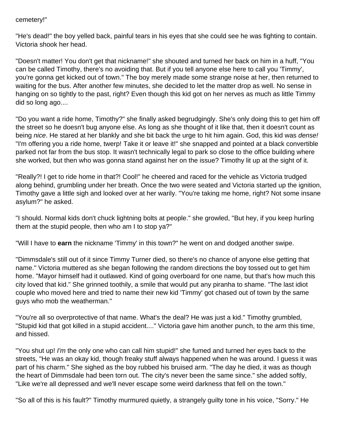#### cemetery!"

"He's dead!" the boy yelled back, painful tears in his eyes that she could see he was fighting to contain. Victoria shook her head.

"Doesn't matter! You don't get that nickname!" she shouted and turned her back on him in a huff, "You can be called Timothy, there's no avoiding that. But if you tell anyone else here to call you 'Timmy', you're gonna get kicked out of town." The boy merely made some strange noise at her, then returned to waiting for the bus. After another few minutes, she decided to let the matter drop as well. No sense in hanging on so tightly to the past, right? Even though this kid got on her nerves as much as little Timmy did so long ago....

"Do you want a ride home, Timothy?" she finally asked begrudgingly. She's only doing this to get him off the street so he doesn't bug anyone else. As long as she thought of it like that, then it doesn't count as being nice. He stared at her blankly and she bit back the urge to hit him again. God, this kid was dense! "I'm offering you a ride home, twerp! Take it or leave it!" she snapped and pointed at a black convertible parked not far from the bus stop. It wasn't technically legal to park so close to the office building where she worked, but then who was gonna stand against her on the issue? Timothy lit up at the sight of it.

"Really?! I get to ride home in that?! Cool!" he cheered and raced for the vehicle as Victoria trudged along behind, grumbling under her breath. Once the two were seated and Victoria started up the ignition, Timothy gave a little sigh and looked over at her warily. "You're taking me home, right? Not some insane asylum?" he asked.

"I should. Normal kids don't chuck lightning bolts at people." she growled, "But hey, if you keep hurling them at the stupid people, then who am I to stop ya?"

"Will I have to **earn** the nickname 'Timmy' in this town?" he went on and dodged another swipe.

"Dimmsdale's still out of it since Timmy Turner died, so there's no chance of anyone else getting that name." Victoria muttered as she began following the random directions the boy tossed out to get him home. "Mayor himself had it outlawed. Kind of going overboard for one name, but that's how much this city loved that kid." She grinned toothily, a smile that would put any piranha to shame. "The last idiot couple who moved here and tried to name their new kid 'Timmy' got chased out of town by the same guys who mob the weatherman."

"You're all so overprotective of that name. What's the deal? He was just a kid." Timothy grumbled, "Stupid kid that got killed in a stupid accident...." Victoria gave him another punch, to the arm this time, and hissed.

"You shut up! I'm the only one who can call him stupid!" she fumed and turned her eyes back to the streets, "He was an okay kid, though freaky stuff always happened when he was around. I guess it was part of his charm." She sighed as the boy rubbed his bruised arm. "The day he died, it was as though the heart of Dimmsdale had been torn out. The city's never been the same since." she added softly, "Like we're all depressed and we'll never escape some weird darkness that fell on the town."

"So all of this is his fault?" Timothy murmured quietly, a strangely guilty tone in his voice, "Sorry." He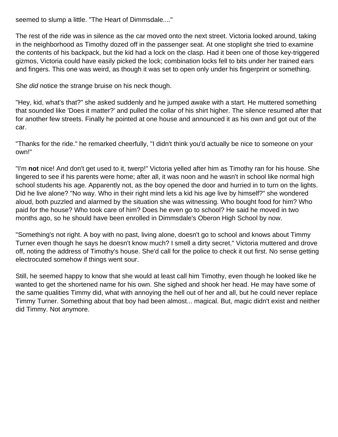seemed to slump a little. "The Heart of Dimmsdale...."

The rest of the ride was in silence as the car moved onto the next street. Victoria looked around, taking in the neighborhood as Timothy dozed off in the passenger seat. At one stoplight she tried to examine the contents of his backpack, but the kid had a lock on the clasp. Had it been one of those key-triggered gizmos, Victoria could have easily picked the lock; combination locks fell to bits under her trained ears and fingers. This one was weird, as though it was set to open only under his fingerprint or something.

She *did* notice the strange bruise on his neck though.

"Hey, kid, what's that?" she asked suddenly and he jumped awake with a start. He muttered something that sounded like 'Does it matter?' and pulled the collar of his shirt higher. The silence resumed after that for another few streets. Finally he pointed at one house and announced it as his own and got out of the car.

"Thanks for the ride." he remarked cheerfully, "I didn't think you'd actually be nice to someone on your own!"

"I'm **not** nice! And don't get used to it, twerp!" Victoria yelled after him as Timothy ran for his house. She lingered to see if his parents were home; after all, it was noon and he wasn't in school like normal high school students his age. Apparently not, as the boy opened the door and hurried in to turn on the lights. Did he live alone? "No way. Who in their right mind lets a kid his age live by himself?" she wondered aloud, both puzzled and alarmed by the situation she was witnessing. Who bought food for him? Who paid for the house? Who took care of him? Does he even go to school? He said he moved in two months ago, so he should have been enrolled in Dimmsdale's Oberon High School by now.

"Something's not right. A boy with no past, living alone, doesn't go to school and knows about Timmy Turner even though he says he doesn't know much? I smell a dirty secret." Victoria muttered and drove off, noting the address of Timothy's house. She'd call for the police to check it out first. No sense getting electrocuted somehow if things went sour.

Still, he seemed happy to know that she would at least call him Timothy, even though he looked like he wanted to get the shortened name for his own. She sighed and shook her head. He may have some of the same qualities Timmy did, what with annoying the hell out of her and all, but he could never replace Timmy Turner. Something about that boy had been almost... magical. But, magic didn't exist and neither did Timmy. Not anymore.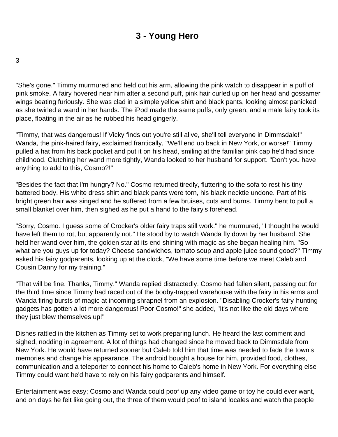### **3 - Young Hero**

<span id="page-9-0"></span>"She's gone." Timmy murmured and held out his arm, allowing the pink watch to disappear in a puff of pink smoke. A fairy hovered near him after a second puff, pink hair curled up on her head and gossamer wings beating furiously. She was clad in a simple yellow shirt and black pants, looking almost panicked as she twirled a wand in her hands. The iPod made the same puffs, only green, and a male fairy took its place, floating in the air as he rubbed his head gingerly.

"Timmy, that was dangerous! If Vicky finds out you're still alive, she'll tell everyone in Dimmsdale!" Wanda, the pink-haired fairy, exclaimed frantically, "We'll end up back in New York, or worse!" Timmy pulled a hat from his back pocket and put it on his head, smiling at the familiar pink cap he'd had since childhood. Clutching her wand more tightly, Wanda looked to her husband for support. "Don't you have anything to add to this, Cosmo?!"

"Besides the fact that I'm hungry? No." Cosmo returned tiredly, fluttering to the sofa to rest his tiny battered body. His white dress shirt and black pants were torn, his black necktie undone. Part of his bright green hair was singed and he suffered from a few bruises, cuts and burns. Timmy bent to pull a small blanket over him, then sighed as he put a hand to the fairy's forehead.

"Sorry, Cosmo. I guess some of Crocker's older fairy traps still work." he murmured, "I thought he would have left them to rot, but apparently not." He stood by to watch Wanda fly down by her husband. She held her wand over him, the golden star at its end shining with magic as she began healing him. "So what are you guys up for today? Cheese sandwiches, tomato soup and apple juice sound good?" Timmy asked his fairy godparents, looking up at the clock, "We have some time before we meet Caleb and Cousin Danny for my training."

"That will be fine. Thanks, Timmy." Wanda replied distractedly. Cosmo had fallen silent, passing out for the third time since Timmy had raced out of the booby-trapped warehouse with the fairy in his arms and Wanda firing bursts of magic at incoming shrapnel from an explosion. "Disabling Crocker's fairy-hunting gadgets has gotten a lot more dangerous! Poor Cosmo!" she added, "It's not like the old days where they just blew themselves up!"

Dishes rattled in the kitchen as Timmy set to work preparing lunch. He heard the last comment and sighed, nodding in agreement. A lot of things had changed since he moved back to Dimmsdale from New York. He would have returned sooner but Caleb told him that time was needed to fade the town's memories and change his appearance. The android bought a house for him, provided food, clothes, communication and a teleporter to connect his home to Caleb's home in New York. For everything else Timmy could want he'd have to rely on his fairy godparents and himself.

Entertainment was easy; Cosmo and Wanda could poof up any video game or toy he could ever want, and on days he felt like going out, the three of them would poof to island locales and watch the people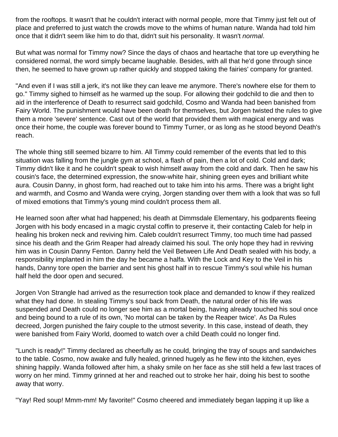from the rooftops. It wasn't that he couldn't interact with normal people, more that Timmy just felt out of place and preferred to just watch the crowds move to the whims of human nature. Wanda had told him once that it didn't seem like him to do that, didn't suit his personality. It wasn't normal.

But what was normal for Timmy now? Since the days of chaos and heartache that tore up everything he considered normal, the word simply became laughable. Besides, with all that he'd gone through since then, he seemed to have grown up rather quickly and stopped taking the fairies' company for granted.

"And even if I was still a jerk, it's not like they can leave me anymore. There's nowhere else for them to go." Timmy sighed to himself as he warmed up the soup. For allowing their godchild to die and then to aid in the interference of Death to resurrect said godchild, Cosmo and Wanda had been banished from Fairy World. The punishment would have been death for themselves, but Jorgen twisted the rules to give them a more 'severe' sentence. Cast out of the world that provided them with magical energy and was once their home, the couple was forever bound to Timmy Turner, or as long as he stood beyond Death's reach.

The whole thing still seemed bizarre to him. All Timmy could remember of the events that led to this situation was falling from the jungle gym at school, a flash of pain, then a lot of cold. Cold and dark; Timmy didn't like it and he couldn't speak to wish himself away from the cold and dark. Then he saw his cousin's face, the determined expression, the snow-white hair, shining green eyes and brilliant white aura. Cousin Danny, in ghost form, had reached out to take him into his arms. There was a bright light and warmth, and Cosmo and Wanda were crying, Jorgen standing over them with a look that was so full of mixed emotions that Timmy's young mind couldn't process them all.

He learned soon after what had happened; his death at Dimmsdale Elementary, his godparents fleeing Jorgen with his body encased in a magic crystal coffin to preserve it, their contacting Caleb for help in healing his broken neck and reviving him. Caleb couldn't resurrect Timmy, too much time had passed since his death and the Grim Reaper had already claimed his soul. The only hope they had in reviving him was in Cousin Danny Fenton. Danny held the Veil Between Life And Death sealed with his body, a responsibility implanted in him the day he became a halfa. With the Lock and Key to the Veil in his hands, Danny tore open the barrier and sent his ghost half in to rescue Timmy's soul while his human half held the door open and secured.

Jorgen Von Strangle had arrived as the resurrection took place and demanded to know if they realized what they had done. In stealing Timmy's soul back from Death, the natural order of his life was suspended and Death could no longer see him as a mortal being, having already touched his soul once and being bound to a rule of its own, 'No mortal can be taken by the Reaper twice'. As Da Rules decreed, Jorgen punished the fairy couple to the utmost severity. In this case, instead of death, they were banished from Fairy World, doomed to watch over a child Death could no longer find.

"Lunch is ready!" Timmy declared as cheerfully as he could, bringing the tray of soups and sandwiches to the table. Cosmo, now awake and fully healed, grinned hugely as he flew into the kitchen, eyes shining happily. Wanda followed after him, a shaky smile on her face as she still held a few last traces of worry on her mind. Timmy grinned at her and reached out to stroke her hair, doing his best to soothe away that worry.

"Yay! Red soup! Mmm-mm! My favorite!" Cosmo cheered and immediately began lapping it up like a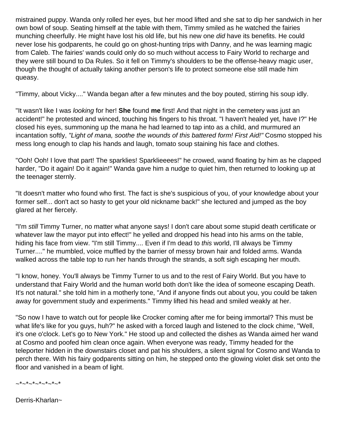mistrained puppy. Wanda only rolled her eyes, but her mood lifted and she sat to dip her sandwich in her own bowl of soup. Seating himself at the table with them, Timmy smiled as he watched the fairies munching cheerfully. He might have lost his old life, but his new one *did* have its benefits. He could never lose his godparents, he could go on ghost-hunting trips with Danny, and he was learning magic from Caleb. The fairies' wands could only do so much without access to Fairy World to recharge and they were still bound to Da Rules. So it fell on Timmy's shoulders to be the offense-heavy magic user, though the thought of actually taking another person's life to protect someone else still made him queasy.

"Timmy, about Vicky...." Wanda began after a few minutes and the boy pouted, stirring his soup idly.

"It wasn't like I was looking for her! **She** found **me** first! And that night in the cemetery was just an accident!" he protested and winced, touching his fingers to his throat. "I haven't healed yet, have I?" He closed his eyes, summoning up the mana he had learned to tap into as a child, and murmured an incantation softly, "Light of mana, soothe the wounds of this battered form! First Aid!" Cosmo stopped his mess long enough to clap his hands and laugh, tomato soup staining his face and clothes.

"Ooh! Ooh! I love that part! The sparklies! Sparklieeees!" he crowed, wand floating by him as he clapped harder, "Do it again! Do it again!" Wanda gave him a nudge to quiet him, then returned to looking up at the teenager sternly.

"It doesn't matter who found who first. The fact is she's suspicious of you, of your knowledge about your former self... don't act so hasty to get your old nickname back!" she lectured and jumped as the boy glared at her fiercely.

"I'm still Timmy Turner, no matter what anyone says! I don't care about some stupid death certificate or whatever law the mayor put into effect!" he yelled and dropped his head into his arms on the table, hiding his face from view. "I'm still Timmy.... Even if I'm dead to this world, I'll always be Timmy Turner...." he mumbled, voice muffled by the barrier of messy brown hair and folded arms. Wanda walked across the table top to run her hands through the strands, a soft sigh escaping her mouth.

"I know, honey. You'll always be Timmy Turner to us and to the rest of Fairy World. But you have to understand that Fairy World and the human world both don't like the idea of someone escaping Death. It's not natural." she told him in a motherly tone, "And if anyone finds out about you, you could be taken away for government study and experiments." Timmy lifted his head and smiled weakly at her.

"So now I have to watch out for people like Crocker coming after me for being immortal? This must be what life's like for you guys, huh?" he asked with a forced laugh and listened to the clock chime, "Well, it's one o'clock. Let's go to New York." He stood up and collected the dishes as Wanda aimed her wand at Cosmo and poofed him clean once again. When everyone was ready, Timmy headed for the teleporter hidden in the downstairs closet and pat his shoulders, a silent signal for Cosmo and Wanda to perch there. With his fairy godparents sitting on him, he stepped onto the glowing violet disk set onto the floor and vanished in a beam of light.

```
x^*x^*x^*x^*x^*x^*
```
Derris-Kharlan~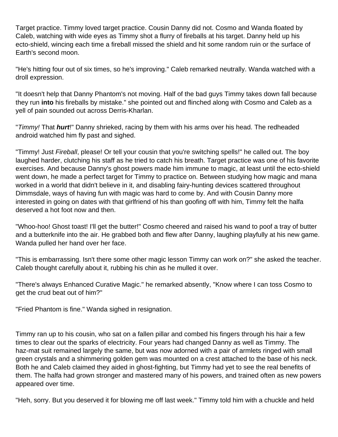Target practice. Timmy loved target practice. Cousin Danny did not. Cosmo and Wanda floated by Caleb, watching with wide eyes as Timmy shot a flurry of fireballs at his target. Danny held up his ecto-shield, wincing each time a fireball missed the shield and hit some random ruin or the surface of Earth's second moon.

"He's hitting four out of six times, so he's improving." Caleb remarked neutrally. Wanda watched with a droll expression.

"It doesn't help that Danny Phantom's not moving. Half of the bad guys Timmy takes down fall because they run **into** his fireballs by mistake." she pointed out and flinched along with Cosmo and Caleb as a yell of pain sounded out across Derris-Kharlan.

"Timmy! That **hurt**!" Danny shrieked, racing by them with his arms over his head. The redheaded android watched him fly past and sighed.

"Timmy! Just Fireball, please! Or tell your cousin that you're switching spells!" he called out. The boy laughed harder, clutching his staff as he tried to catch his breath. Target practice was one of his favorite exercises. And because Danny's ghost powers made him immune to magic, at least until the ecto-shield went down, he made a perfect target for Timmy to practice on. Between studying how magic and mana worked in a world that didn't believe in it, and disabling fairy-hunting devices scattered throughout Dimmsdale, ways of having fun with magic was hard to come by. And with Cousin Danny more interested in going on dates with that girlfriend of his than goofing off with him, Timmy felt the halfa deserved a hot foot now and then.

"Whoo-hoo! Ghost toast! I'll get the butter!" Cosmo cheered and raised his wand to poof a tray of butter and a butterknife into the air. He grabbed both and flew after Danny, laughing playfully at his new game. Wanda pulled her hand over her face.

"This is embarrassing. Isn't there some other magic lesson Timmy can work on?" she asked the teacher. Caleb thought carefully about it, rubbing his chin as he mulled it over.

"There's always Enhanced Curative Magic." he remarked absently, "Know where I can toss Cosmo to get the crud beat out of him?"

"Fried Phantom is fine." Wanda sighed in resignation.

Timmy ran up to his cousin, who sat on a fallen pillar and combed his fingers through his hair a few times to clear out the sparks of electricity. Four years had changed Danny as well as Timmy. The haz-mat suit remained largely the same, but was now adorned with a pair of armlets ringed with small green crystals and a shimmering golden gem was mounted on a crest attached to the base of his neck. Both he and Caleb claimed they aided in ghost-fighting, but Timmy had yet to see the real benefits of them. The halfa had grown stronger and mastered many of his powers, and trained often as new powers appeared over time.

"Heh, sorry. But you deserved it for blowing me off last week." Timmy told him with a chuckle and held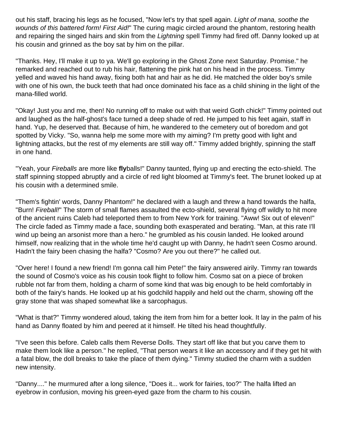out his staff, bracing his legs as he focused, "Now let's try that spell again. Light of mana, soothe the wounds of this battered form! First Aid!" The curing magic circled around the phantom, restoring health and repairing the singed hairs and skin from the Lightning spell Timmy had fired off. Danny looked up at his cousin and grinned as the boy sat by him on the pillar.

"Thanks. Hey, I'll make it up to ya. We'll go exploring in the Ghost Zone next Saturday. Promise." he remarked and reached out to rub his hair, flattening the pink hat on his head in the process. Timmy yelled and waved his hand away, fixing both hat and hair as he did. He matched the older boy's smile with one of his own, the buck teeth that had once dominated his face as a child shining in the light of the mana-filled world.

"Okay! Just you and me, then! No running off to make out with that weird Goth chick!" Timmy pointed out and laughed as the half-ghost's face turned a deep shade of red. He jumped to his feet again, staff in hand. Yup, he deserved that. Because of him, he wandered to the cemetery out of boredom and got spotted by Vicky. "So, wanna help me some more with my aiming? I'm pretty good with light and lightning attacks, but the rest of my elements are still way off." Timmy added brightly, spinning the staff in one hand.

"Yeah, your Fireballs are more like **fly**balls!" Danny taunted, flying up and erecting the ecto-shield. The staff spinning stopped abruptly and a circle of red light bloomed at Timmy's feet. The brunet looked up at his cousin with a determined smile.

"Them's fightin' words, Danny Phantom!" he declared with a laugh and threw a hand towards the halfa, "Burn! Fireball!" The storm of small flames assaulted the ecto-shield, several flying off wildly to hit more of the ancient ruins Caleb had teleported them to from New York for training. "Aww! Six out of eleven!" The circle faded as Timmy made a face, sounding both exasperated and berating. "Man, at this rate I'll wind up being an arsonist more than a hero." he grumbled as his cousin landed. He looked around himself, now realizing that in the whole time he'd caught up with Danny, he hadn't seen Cosmo around. Hadn't the fairy been chasing the halfa? "Cosmo? Are you out there?" he called out.

"Over here! I found a new friend! I'm gonna call him Pete!" the fairy answered airily. Timmy ran towards the sound of Cosmo's voice as his cousin took flight to follow him. Cosmo sat on a piece of broken rubble not far from them, holding a charm of some kind that was big enough to be held comfortably in both of the fairy's hands. He looked up at his godchild happily and held out the charm, showing off the gray stone that was shaped somewhat like a sarcophagus.

"What is that?" Timmy wondered aloud, taking the item from him for a better look. It lay in the palm of his hand as Danny floated by him and peered at it himself. He tilted his head thoughtfully.

"I've seen this before. Caleb calls them Reverse Dolls. They start off like that but you carve them to make them look like a person." he replied, "That person wears it like an accessory and if they get hit with a fatal blow, the doll breaks to take the place of them dying." Timmy studied the charm with a sudden new intensity.

"Danny...." he murmured after a long silence, "Does it... work for fairies, too?" The halfa lifted an eyebrow in confusion, moving his green-eyed gaze from the charm to his cousin.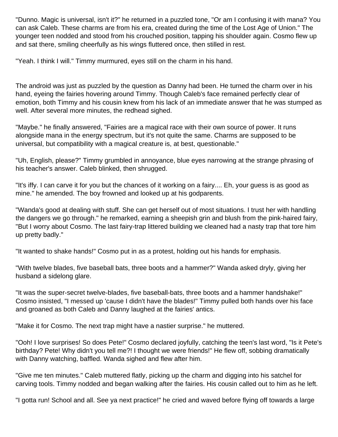"Dunno. Magic is universal, isn't it?" he returned in a puzzled tone, "Or am I confusing it with mana? You can ask Caleb. These charms are from his era, created during the time of the Lost Age of Union." The younger teen nodded and stood from his crouched position, tapping his shoulder again. Cosmo flew up and sat there, smiling cheerfully as his wings fluttered once, then stilled in rest.

"Yeah. I think I will." Timmy murmured, eyes still on the charm in his hand.

The android was just as puzzled by the question as Danny had been. He turned the charm over in his hand, eyeing the fairies hovering around Timmy. Though Caleb's face remained perfectly clear of emotion, both Timmy and his cousin knew from his lack of an immediate answer that he was stumped as well. After several more minutes, the redhead sighed.

"Maybe." he finally answered, "Fairies are a magical race with their own source of power. It runs alongside mana in the energy spectrum, but it's not quite the same. Charms are supposed to be universal, but compatibility with a magical creature is, at best, questionable."

"Uh, English, please?" Timmy grumbled in annoyance, blue eyes narrowing at the strange phrasing of his teacher's answer. Caleb blinked, then shrugged.

"It's iffy. I can carve it for you but the chances of it working on a fairy.... Eh, your guess is as good as mine." he amended. The boy frowned and looked up at his godparents.

"Wanda's good at dealing with stuff. She can get herself out of most situations. I trust her with handling the dangers we go through." he remarked, earning a sheepish grin and blush from the pink-haired fairy, "But I worry about Cosmo. The last fairy-trap littered building we cleaned had a nasty trap that tore him up pretty badly."

"It wanted to shake hands!" Cosmo put in as a protest, holding out his hands for emphasis.

"With twelve blades, five baseball bats, three boots and a hammer?" Wanda asked dryly, giving her husband a sidelong glare.

"It was the super-secret twelve-blades, five baseball-bats, three boots and a hammer handshake!" Cosmo insisted, "I messed up 'cause I didn't have the blades!" Timmy pulled both hands over his face and groaned as both Caleb and Danny laughed at the fairies' antics.

"Make it for Cosmo. The next trap might have a nastier surprise." he muttered.

"Ooh! I love surprises! So does Pete!" Cosmo declared joyfully, catching the teen's last word, "Is it Pete's birthday? Pete! Why didn't you tell me?! I thought we were friends!" He flew off, sobbing dramatically with Danny watching, baffled. Wanda sighed and flew after him.

"Give me ten minutes." Caleb muttered flatly, picking up the charm and digging into his satchel for carving tools. Timmy nodded and began walking after the fairies. His cousin called out to him as he left.

"I gotta run! School and all. See ya next practice!" he cried and waved before flying off towards a large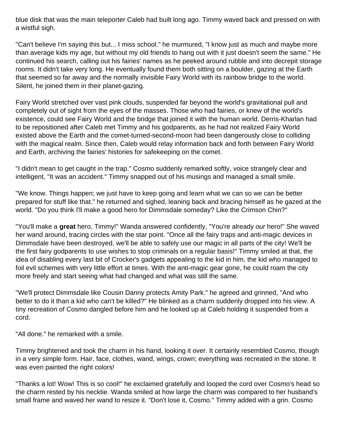blue disk that was the main teleporter Caleb had built long ago. Timmy waved back and pressed on with a wistful sigh.

"Can't believe I'm saying this but... I miss school." he murmured, "I know just as much and maybe more than average kids my age, but without my old friends to hang out with it just doesn't seem the same." He continued his search, calling out his fairies' names as he peeked around rubble and into decrepit storage rooms. It didn't take very long. He eventually found them both sitting on a boulder, gazing at the Earth that seemed so far away and the normally invisible Fairy World with its rainbow bridge to the world. Silent, he joined them in their planet-gazing.

Fairy World stretched over vast pink clouds, suspended far beyond the world's gravitational pull and completely out of sight from the eyes of the masses. Those who had fairies, or knew of the world's existence, could see Fairy World and the bridge that joined it with the human world. Derris-Kharlan had to be repositioned after Caleb met Timmy and his godparents, as he had not realized Fairy World existed above the Earth and the comet-turned-second-moon had been dangerously close to colliding with the magical realm. Since then, Caleb would relay information back and forth between Fairy World and Earth, archiving the fairies' histories for safekeeping on the comet.

"I didn't mean to get caught in the trap." Cosmo suddenly remarked softly, voice strangely clear and intelligent, "It was an accident." Timmy snapped out of his musings and managed a small smile.

"We know. Things happen; we just have to keep going and learn what we can so we can be better prepared for stuff like that." he returned and sighed, leaning back and bracing himself as he gazed at the world. "Do you think I'll make a good hero for Dimmsdale someday? Like the Crimson Chin?"

"You'll make a **great** hero, Timmy!" Wanda answered confidently, "You're already our hero!" She waved her wand around, tracing circles with the star point. "Once all the fairy traps and anti-magic devices in Dimmsdale have been destroyed, we'll be able to safely use our magic in all parts of the city! We'll be the first fairy godparents to use wishes to stop criminals on a regular basis!" Timmy smiled at that, the idea of disabling every last bit of Crocker's gadgets appealing to the kid in him, the kid who managed to foil evil schemes with very little effort at times. With the anti-magic gear gone, he could roam the city more freely and start seeing what had changed and what was still the same.

"We'll protect Dimmsdale like Cousin Danny protects Amity Park." he agreed and grinned, "And who better to do it than a kid who can't be killed?" He blinked as a charm suddenly dropped into his view. A tiny recreation of Cosmo dangled before him and he looked up at Caleb holding it suspended from a cord.

"All done." he remarked with a smile.

Timmy brightened and took the charm in his hand, looking it over. It certainly resembled Cosmo, though in a very simple form. Hair, face, clothes, wand, wings, crown; everything was recreated in the stone. It was even painted the right colors!

"Thanks a lot! Wow! This is so cool!" he exclaimed gratefully and looped the cord over Cosmo's head so the charm rested by his necktie. Wanda smiled at how large the charm was compared to her husband's small frame and waved her wand to resize it. "Don't lose it, Cosmo." Timmy added with a grin. Cosmo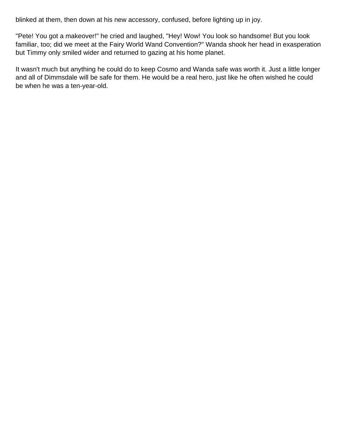blinked at them, then down at his new accessory, confused, before lighting up in joy.

"Pete! You got a makeover!" he cried and laughed, "Hey! Wow! You look so handsome! But you look familiar, too; did we meet at the Fairy World Wand Convention?" Wanda shook her head in exasperation but Timmy only smiled wider and returned to gazing at his home planet.

It wasn't much but anything he could do to keep Cosmo and Wanda safe was worth it. Just a little longer and all of Dimmsdale will be safe for them. He would be a real hero, just like he often wished he could be when he was a ten-year-old.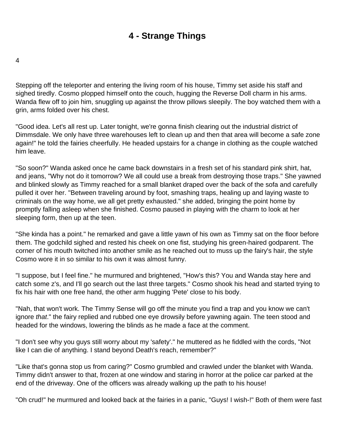### **4 - Strange Things**

<span id="page-17-0"></span>Stepping off the teleporter and entering the living room of his house, Timmy set aside his staff and sighed tiredly. Cosmo plopped himself onto the couch, hugging the Reverse Doll charm in his arms. Wanda flew off to join him, snuggling up against the throw pillows sleepily. The boy watched them with a grin, arms folded over his chest.

"Good idea. Let's all rest up. Later tonight, we're gonna finish clearing out the industrial district of Dimmsdale. We only have three warehouses left to clean up and then that area will become a safe zone again!" he told the fairies cheerfully. He headed upstairs for a change in clothing as the couple watched him leave.

"So soon?" Wanda asked once he came back downstairs in a fresh set of his standard pink shirt, hat, and jeans, "Why not do it tomorrow? We all could use a break from destroying those traps." She yawned and blinked slowly as Timmy reached for a small blanket draped over the back of the sofa and carefully pulled it over her. "Between traveling around by foot, smashing traps, healing up and laying waste to criminals on the way home, we all get pretty exhausted." she added, bringing the point home by promptly falling asleep when she finished. Cosmo paused in playing with the charm to look at her sleeping form, then up at the teen.

"She kinda has a point." he remarked and gave a little yawn of his own as Timmy sat on the floor before them. The godchild sighed and rested his cheek on one fist, studying his green-haired godparent. The corner of his mouth twitched into another smile as he reached out to muss up the fairy's hair, the style Cosmo wore it in so similar to his own it was almost funny.

"I suppose, but I feel fine." he murmured and brightened, "How's this? You and Wanda stay here and catch some z's, and I'll go search out the last three targets." Cosmo shook his head and started trying to fix his hair with one free hand, the other arm hugging 'Pete' close to his body.

"Nah, that won't work. The Timmy Sense will go off the minute you find a trap and you know we can't ignore that." the fairy replied and rubbed one eye drowsily before yawning again. The teen stood and headed for the windows, lowering the blinds as he made a face at the comment.

"I don't see why you guys still worry about my 'safety'." he muttered as he fiddled with the cords, "Not like I can die of anything. I stand beyond Death's reach, remember?"

"Like that's gonna stop us from caring?" Cosmo grumbled and crawled under the blanket with Wanda. Timmy didn't answer to that, frozen at one window and staring in horror at the police car parked at the end of the driveway. One of the officers was already walking up the path to his house!

"Oh crud!" he murmured and looked back at the fairies in a panic, "Guys! I wish-!" Both of them were fast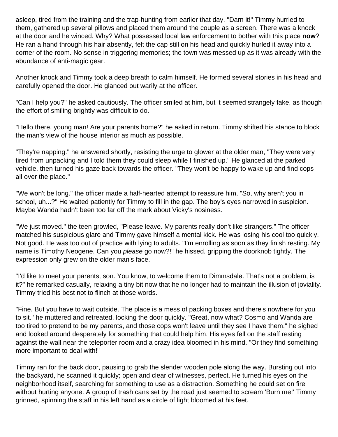asleep, tired from the training and the trap-hunting from earlier that day. "Darn it!" Timmy hurried to them, gathered up several pillows and placed them around the couple as a screen. There was a knock at the door and he winced. Why? What possessed local law enforcement to bother with this place **now**? He ran a hand through his hair absently, felt the cap still on his head and quickly hurled it away into a corner of the room. No sense in triggering memories; the town was messed up as it was already with the abundance of anti-magic gear.

Another knock and Timmy took a deep breath to calm himself. He formed several stories in his head and carefully opened the door. He glanced out warily at the officer.

"Can I help you?" he asked cautiously. The officer smiled at him, but it seemed strangely fake, as though the effort of smiling brightly was difficult to do.

"Hello there, young man! Are your parents home?" he asked in return. Timmy shifted his stance to block the man's view of the house interior as much as possible.

"They're napping." he answered shortly, resisting the urge to glower at the older man, "They were very tired from unpacking and I told them they could sleep while I finished up." He glanced at the parked vehicle, then turned his gaze back towards the officer. "They won't be happy to wake up and find cops all over the place."

"We won't be long." the officer made a half-hearted attempt to reassure him, "So, why aren't you in school, uh...?" He waited patiently for Timmy to fill in the gap. The boy's eyes narrowed in suspicion. Maybe Wanda hadn't been too far off the mark about Vicky's nosiness.

"We just moved." the teen growled, "Please leave. My parents really don't like strangers." The officer matched his suspicious glare and Timmy gave himself a mental kick. He was losing his cool too quickly. Not good. He was too out of practice with lying to adults. "I'm enrolling as soon as they finish resting. My name is Timothy Neogene. Can you please go now?!" he hissed, gripping the doorknob tightly. The expression only grew on the older man's face.

"I'd like to meet your parents, son. You know, to welcome them to Dimmsdale. That's not a problem, is it?" he remarked casually, relaxing a tiny bit now that he no longer had to maintain the illusion of joviality. Timmy tried his best not to flinch at those words.

"Fine. But you have to wait outside. The place is a mess of packing boxes and there's nowhere for you to sit." he muttered and retreated, locking the door quickly. "Great, now what? Cosmo and Wanda are too tired to pretend to be my parents, and those cops won't leave until they see I have them." he sighed and looked around desperately for something that could help him. His eyes fell on the staff resting against the wall near the teleporter room and a crazy idea bloomed in his mind. "Or they find something more important to deal with!"

Timmy ran for the back door, pausing to grab the slender wooden pole along the way. Bursting out into the backyard, he scanned it quickly; open and clear of witnesses, perfect. He turned his eyes on the neighborhood itself, searching for something to use as a distraction. Something he could set on fire without hurting anyone. A group of trash cans set by the road just seemed to scream 'Burn me!' Timmy grinned, spinning the staff in his left hand as a circle of light bloomed at his feet.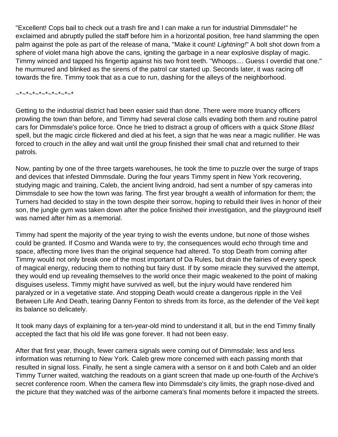"Excellent! Cops bail to check out a trash fire and I can make a run for industrial Dimmsdale!" he exclaimed and abruptly pulled the staff before him in a horizontal position, free hand slamming the open palm against the pole as part of the release of mana, "Make it count! Lightning!" A bolt shot down from a sphere of violet mana high above the cans, igniting the garbage in a near explosive display of magic. Timmy winced and tapped his fingertip against his two front teeth. "Whoops.... Guess I overdid that one." he murmured and blinked as the sirens of the patrol car started up. Seconds later, it was racing off towards the fire. Timmy took that as a cue to run, dashing for the alleys of the neighborhood.

#### ~\*~\*~\*~\*~\*~\*~\*~\*~\*

Getting to the industrial district had been easier said than done. There were more truancy officers prowling the town than before, and Timmy had several close calls evading both them and routine patrol cars for Dimmsdale's police force. Once he tried to distract a group of officers with a quick Stone Blast spell, but the magic circle flickered and died at his feet, a sign that he was near a magic nullifier. He was forced to crouch in the alley and wait until the group finished their small chat and returned to their patrols.

Now, panting by one of the three targets warehouses, he took the time to puzzle over the surge of traps and devices that infested Dimmsdale. During the four years Timmy spent in New York recovering, studying magic and training, Caleb, the ancient living android, had sent a number of spy cameras into Dimmsdale to see how the town was faring. The first year brought a wealth of information for them; the Turners had decided to stay in the town despite their sorrow, hoping to rebuild their lives in honor of their son, the jungle gym was taken down after the police finished their investigation, and the playground itself was named after him as a memorial.

Timmy had spent the majority of the year trying to wish the events undone, but none of those wishes could be granted. If Cosmo and Wanda were to try, the consequences would echo through time and space, affecting more lives than the original sequence had altered. To stop Death from coming after Timmy would not only break one of the most important of Da Rules, but drain the fairies of every speck of magical energy, reducing them to nothing but fairy dust. If by some miracle they survived the attempt, they would end up revealing themselves to the world once their magic weakened to the point of making disguises useless. Timmy might have survived as well, but the injury would have rendered him paralyzed or in a vegetative state. And stopping Death would create a dangerous ripple in the Veil Between Life And Death, tearing Danny Fenton to shreds from its force, as the defender of the Veil kept its balance so delicately.

It took many days of explaining for a ten-year-old mind to understand it all, but in the end Timmy finally accepted the fact that his old life was gone forever. It had not been easy.

After that first year, though, fewer camera signals were coming out of Dimmsdale; less and less information was returning to New York. Caleb grew more concerned with each passing month that resulted in signal loss. Finally, he sent a single camera with a sensor on it and both Caleb and an older Timmy Turner waited, watching the readouts on a giant screen that made up one-fourth of the Archive's secret conference room. When the camera flew into Dimmsdale's city limits, the graph nose-dived and the picture that they watched was of the airborne camera's final moments before it impacted the streets.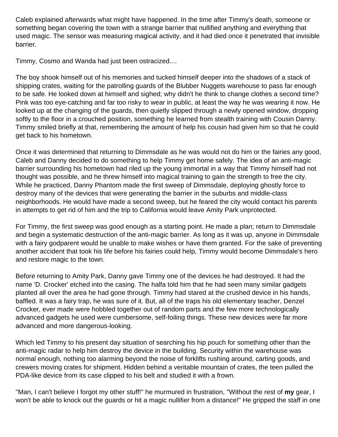Caleb explained afterwards what might have happened. In the time after Timmy's death, someone or something began covering the town with a strange barrier that nullified anything and everything that used magic. The sensor was measuring magical activity, and it had died once it penetrated that invisible barrier.

Timmy, Cosmo and Wanda had just been ostracized....

The boy shook himself out of his memories and tucked himself deeper into the shadows of a stack of shipping crates, waiting for the patrolling guards of the Blubber Nuggets warehouse to pass far enough to be safe. He looked down at himself and sighed; why didn't he think to change clothes a second time? Pink was too eye-catching and far too risky to wear in public, at least the way he was wearing it now. He looked up at the changing of the guards, then quietly slipped through a newly opened window, dropping softly to the floor in a crouched position, something he learned from stealth training with Cousin Danny. Timmy smiled briefly at that, remembering the amount of help his cousin had given him so that he could get back to his hometown.

Once it was determined that returning to Dimmsdale as he was would not do him or the fairies any good, Caleb and Danny decided to do something to help Timmy get home safely. The idea of an anti-magic barrier surrounding his hometown had riled up the young immortal in a way that Timmy himself had not thought was possible, and he threw himself into magical training to gain the strength to free the city. While he practiced, Danny Phantom made the first sweep of Dimmsdale, deploying ghostly force to destroy many of the devices that were generating the barrier in the suburbs and middle-class neighborhoods. He would have made a second sweep, but he feared the city would contact his parents in attempts to get rid of him and the trip to California would leave Amity Park unprotected.

For Timmy, the first sweep was good enough as a starting point. He made a plan; return to Dimmsdale and begin a systematic destruction of the anti-magic barrier. As long as it was up, anyone in Dimmsdale with a fairy godparent would be unable to make wishes or have them granted. For the sake of preventing another accident that took his life before his fairies could help, Timmy would become Dimmsdale's hero and restore magic to the town.

Before returning to Amity Park, Danny gave Timmy one of the devices he had destroyed. It had the name 'D. Crocker' etched into the casing. The halfa told him that he had seen many similar gadgets planted all over the area he had gone through. Timmy had stared at the crushed device in his hands, baffled. It was a fairy trap, he was sure of it. But, all of the traps his old elementary teacher, Denzel Crocker, ever made were hobbled together out of random parts and the few more technologically advanced gadgets he used were cumbersome, self-foiling things. These new devices were far more advanced and more dangerous-looking.

Which led Timmy to his present day situation of searching his hip pouch for something other than the anti-magic radar to help him destroy the device in the building. Security within the warehouse was normal enough, nothing too alarming beyond the noise of forklifts rushing around, carting goods, and crewers moving crates for shipment. Hidden behind a veritable mountain of crates, the teen pulled the PDA-like device from its case clipped to his belt and studied it with a frown.

"Man, I can't believe I forgot my other stuff!" he murmured in frustration, "Without the rest of **my** gear, I won't be able to knock out the guards or hit a magic nullifier from a distance!" He gripped the staff in one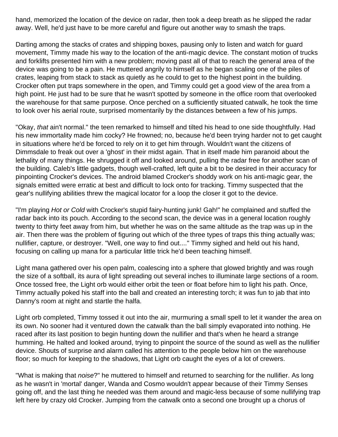hand, memorized the location of the device on radar, then took a deep breath as he slipped the radar away. Well, he'd just have to be more careful and figure out another way to smash the traps.

Darting among the stacks of crates and shipping boxes, pausing only to listen and watch for guard movement, Timmy made his way to the location of the anti-magic device. The constant motion of trucks and forklifts presented him with a new problem; moving past all of that to reach the general area of the device was going to be a pain. He muttered angrily to himself as he began scaling one of the piles of crates, leaping from stack to stack as quietly as he could to get to the highest point in the building. Crocker often put traps somewhere in the open, and Timmy could get a good view of the area from a high point. He just had to be sure that he wasn't spotted by someone in the office room that overlooked the warehouse for that same purpose. Once perched on a sufficiently situated catwalk, he took the time to look over his aerial route, surprised momentarily by the distances between a few of his jumps.

"Okay, that ain't normal." the teen remarked to himself and tilted his head to one side thoughtfully. Had his new immortality made him cocky? He frowned; no, because he'd been trying harder not to get caught in situations where he'd be forced to rely on it to get him through. Wouldn't want the citizens of Dimmsdale to freak out over a 'ghost' in their midst again. That in itself made him paranoid about the lethality of many things. He shrugged it off and looked around, pulling the radar free for another scan of the building. Caleb's little gadgets, though well-crafted, left quite a bit to be desired in their accuracy for pinpointing Crocker's devices. The android blamed Crocker's shoddy work on his anti-magic gear, the signals emitted were erratic at best and difficult to lock onto for tracking. Timmy suspected that the gear's nullifying abilities threw the magical locator for a loop the closer it got to the device.

"I'm playing *Hot or Cold* with Crocker's stupid fairy-hunting junk! Gah!" he complained and stuffed the radar back into its pouch. According to the second scan, the device was in a general location roughly twenty to thirty feet away from him, but whether he was on the same altitude as the trap was up in the air. Then there was the problem of figuring out which of the three types of traps this thing actually was; nullifier, capture, or destroyer. "Well, one way to find out...." Timmy sighed and held out his hand, focusing on calling up mana for a particular little trick he'd been teaching himself.

Light mana gathered over his open palm, coalescing into a sphere that glowed brightly and was rough the size of a softball, its aura of light spreading out several inches to illuminate large sections of a room. Once tossed free, the Light orb would either orbit the teen or float before him to light his path. Once, Timmy actually poked his staff into the ball and created an interesting torch; it was fun to jab that into Danny's room at night and startle the halfa.

Light orb completed, Timmy tossed it out into the air, murmuring a small spell to let it wander the area on its own. No sooner had it ventured down the catwalk than the ball simply evaporated into nothing. He raced after its last position to begin hunting down the nullifier and that's when he heard a strange humming. He halted and looked around, trying to pinpoint the source of the sound as well as the nullifier device. Shouts of surprise and alarm called his attention to the people below him on the warehouse floor; so much for keeping to the shadows, that Light orb caught the eyes of a lot of crewers.

"What is making that *noise*?" he muttered to himself and returned to searching for the nullifier. As long as he wasn't in 'mortal' danger, Wanda and Cosmo wouldn't appear because of their Timmy Senses going off, and the last thing he needed was them around and magic-less because of some nullifying trap left here by crazy old Crocker. Jumping from the catwalk onto a second one brought up a chorus of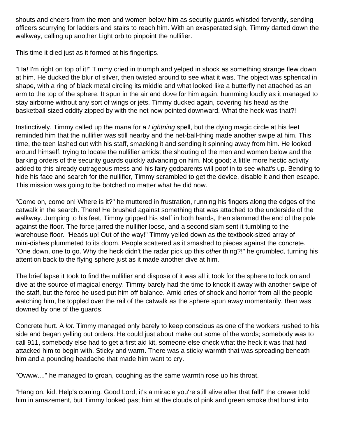shouts and cheers from the men and women below him as security guards whistled fervently, sending officers scurrying for ladders and stairs to reach him. With an exasperated sigh, Timmy darted down the walkway, calling up another Light orb to pinpoint the nullifier.

This time it died just as it formed at his fingertips.

"Ha! I'm right on top of it!" Timmy cried in triumph and yelped in shock as something strange flew down at him. He ducked the blur of silver, then twisted around to see what it was. The object was spherical in shape, with a ring of black metal circling its middle and what looked like a butterfly net attached as an arm to the top of the sphere. It spun in the air and dove for him again, humming loudly as it managed to stay airborne without any sort of wings or jets. Timmy ducked again, covering his head as the basketball-sized oddity zipped by with the net now pointed downward. What the heck was that?!

Instinctively, Timmy called up the mana for a Lightning spell, but the dying magic circle at his feet reminded him that the nullifier was still nearby and the net-ball-thing made another swipe at him. This time, the teen lashed out with his staff, smacking it and sending it spinning away from him. He looked around himself, trying to locate the nullifier amidst the shouting of the men and women below and the barking orders of the security guards quickly advancing on him. Not good; a little more hectic activity added to this already outrageous mess and his fairy godparents will poof in to see what's up. Bending to hide his face and search for the nullifier, Timmy scrambled to get the device, disable it and then escape. This mission was going to be botched no matter what he did now.

"Come on, come on! Where is it?" he muttered in frustration, running his fingers along the edges of the catwalk in the search. There! He brushed against something that was attached to the underside of the walkway. Jumping to his feet, Timmy gripped his staff in both hands, then slammed the end of the pole against the floor. The force jarred the nullifier loose, and a second slam sent it tumbling to the warehouse floor. "Heads up! Out of the way!" Timmy yelled down as the textbook-sized array of mini-dishes plummeted to its doom. People scattered as it smashed to pieces against the concrete. "One down, one to go. Why the heck didn't the radar pick up this other thing?!" he grumbled, turning his attention back to the flying sphere just as it made another dive at him.

The brief lapse it took to find the nullifier and dispose of it was all it took for the sphere to lock on and dive at the source of magical energy. Timmy barely had the time to knock it away with another swipe of the staff, but the force he used put him off balance. Amid cries of shock and horror from all the people watching him, he toppled over the rail of the catwalk as the sphere spun away momentarily, then was downed by one of the guards.

Concrete hurt. A lot. Timmy managed only barely to keep conscious as one of the workers rushed to his side and began yelling out orders. He could just about make out some of the words; somebody was to call 911, somebody else had to get a first aid kit, someone else check what the heck it was that had attacked him to begin with. Sticky and warm. There was a sticky warmth that was spreading beneath him and a pounding headache that made him want to cry.

"Owww...." he managed to groan, coughing as the same warmth rose up his throat.

"Hang on, kid. Help's coming. Good Lord, it's a miracle you're still alive after that fall!" the crewer told him in amazement, but Timmy looked past him at the clouds of pink and green smoke that burst into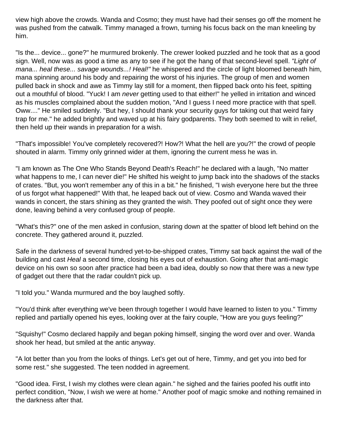view high above the crowds. Wanda and Cosmo; they must have had their senses go off the moment he was pushed from the catwalk. Timmy managed a frown, turning his focus back on the man kneeling by him.

"Is the... device... gone?" he murmured brokenly. The crewer looked puzzled and he took that as a good sign. Well, now was as good a time as any to see if he got the hang of that second-level spell. "Light of mana... heal these... savage wounds...! Heal!" he whispered and the circle of light bloomed beneath him, mana spinning around his body and repairing the worst of his injuries. The group of men and women pulled back in shock and awe as Timmy lay still for a moment, then flipped back onto his feet, spitting out a mouthful of blood. "Yuck! I am never getting used to that either!" he yelled in irritation and winced as his muscles complained about the sudden motion, "And I guess I need more practice with that spell. Oww...." He smiled suddenly. "But hey, I should thank your security guys for taking out that weird fairy trap for me." he added brightly and waved up at his fairy godparents. They both seemed to wilt in relief, then held up their wands in preparation for a wish.

"That's impossible! You've completely recovered?! How?! What the hell are you?!" the crowd of people shouted in alarm. Timmy only grinned wider at them, ignoring the current mess he was in.

"I am known as The One Who Stands Beyond Death's Reach!" he declared with a laugh, "No matter what happens to me, I can never die!" He shifted his weight to jump back into the shadows of the stacks of crates. "But, you won't remember any of this in a bit." he finished, "I wish everyone here but the three of us forgot what happened!" With that, he leaped back out of view. Cosmo and Wanda waved their wands in concert, the stars shining as they granted the wish. They poofed out of sight once they were done, leaving behind a very confused group of people.

"What's this?" one of the men asked in confusion, staring down at the spatter of blood left behind on the concrete. They gathered around it, puzzled.

Safe in the darkness of several hundred yet-to-be-shipped crates, Timmy sat back against the wall of the building and cast Heal a second time, closing his eyes out of exhaustion. Going after that anti-magic device on his own so soon after practice had been a bad idea, doubly so now that there was a new type of gadget out there that the radar couldn't pick up.

"I told you." Wanda murmured and the boy laughed softly.

"You'd think after everything we've been through together I would have learned to listen to you." Timmy replied and partially opened his eyes, looking over at the fairy couple, "How are you guys feeling?"

"Squishy!" Cosmo declared happily and began poking himself, singing the word over and over. Wanda shook her head, but smiled at the antic anyway.

"A lot better than you from the looks of things. Let's get out of here, Timmy, and get you into bed for some rest." she suggested. The teen nodded in agreement.

"Good idea. First, I wish my clothes were clean again." he sighed and the fairies poofed his outfit into perfect condition, "Now, I wish we were at home." Another poof of magic smoke and nothing remained in the darkness after that.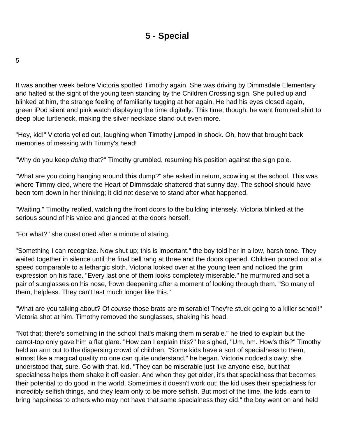### **5 - Special**

<span id="page-24-0"></span>It was another week before Victoria spotted Timothy again. She was driving by Dimmsdale Elementary and halted at the sight of the young teen standing by the Children Crossing sign. She pulled up and blinked at him, the strange feeling of familiarity tugging at her again. He had his eyes closed again, green iPod silent and pink watch displaying the time digitally. This time, though, he went from red shirt to deep blue turtleneck, making the silver necklace stand out even more.

"Hey, kid!" Victoria yelled out, laughing when Timothy jumped in shock. Oh, how that brought back memories of messing with Timmy's head!

"Why do you keep *doing* that?" Timothy grumbled, resuming his position against the sign pole.

"What are you doing hanging around **this** dump?" she asked in return, scowling at the school. This was where Timmy died, where the Heart of Dimmsdale shattered that sunny day. The school should have been torn down in her thinking; it did not deserve to stand after what happened.

"Waiting." Timothy replied, watching the front doors to the building intensely. Victoria blinked at the serious sound of his voice and glanced at the doors herself.

"For what?" she questioned after a minute of staring.

"Something I can recognize. Now shut up; this is important." the boy told her in a low, harsh tone. They waited together in silence until the final bell rang at three and the doors opened. Children poured out at a speed comparable to a lethargic sloth. Victoria looked over at the young teen and noticed the grim expression on his face. "Every last one of them looks completely miserable." he murmured and set a pair of sunglasses on his nose, frown deepening after a moment of looking through them, "So many of them, helpless. They can't last much longer like this."

"What are you talking about? Of course those brats are miserable! They're stuck going to a killer school!" Victoria shot at him. Timothy removed the sunglasses, shaking his head.

"Not that; there's something **in** the school that's making them miserable." he tried to explain but the carrot-top only gave him a flat glare. "How can I explain this?" he sighed, "Um, hm. How's this?" Timothy held an arm out to the dispersing crowd of children. "Some kids have a sort of specialness to them, almost like a magical quality no one can quite understand." he began. Victoria nodded slowly; she understood that, sure. Go with that, kid. "They can be miserable just like anyone else, but that specialness helps them shake it off easier. And when they get older, it's that specialness that becomes their potential to do good in the world. Sometimes it doesn't work out; the kid uses their specialness for incredibly selfish things, and they learn only to be more selfish. But most of the time, the kids learn to bring happiness to others who may not have that same specialness they did." the boy went on and held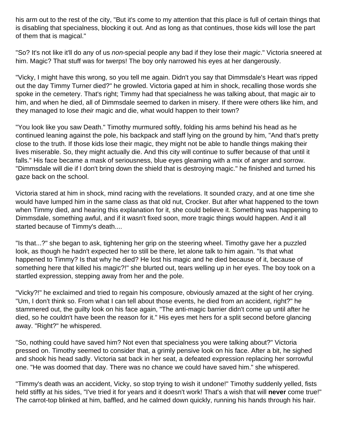his arm out to the rest of the city, "But it's come to my attention that this place is full of certain things that is disabling that specialness, blocking it out. And as long as that continues, those kids will lose the part of them that is magical."

"So? It's not like it'll do any of us non-special people any bad if they lose their magic." Victoria sneered at him. Magic? That stuff was for twerps! The boy only narrowed his eyes at her dangerously.

"Vicky, I might have this wrong, so you tell me again. Didn't you say that Dimmsdale's Heart was ripped out the day Timmy Turner died?" he growled. Victoria gaped at him in shock, recalling those words she spoke in the cemetery. That's right; Timmy had that specialness he was talking about, that magic air to him, and when he died, all of Dimmsdale seemed to darken in misery. If there were others like him, and they managed to lose their magic and die, what would happen to their town?

"You look like you saw Death." Timothy murmured softly, folding his arms behind his head as he continued leaning against the pole, his backpack and staff lying on the ground by him, "And that's pretty close to the truth. If those kids lose their magic, they might not be able to handle things making their lives miserable. So, they might actually die. And this city will continue to suffer because of that until it falls." His face became a mask of seriousness, blue eyes gleaming with a mix of anger and sorrow. "Dimmsdale will die if I don't bring down the shield that is destroying magic." he finished and turned his gaze back on the school.

Victoria stared at him in shock, mind racing with the revelations. It sounded crazy, and at one time she would have lumped him in the same class as that old nut, Crocker. But after what happened to the town when Timmy died, and hearing this explanation for it, she could believe it. Something was happening to Dimmsdale, something awful, and if it wasn't fixed soon, more tragic things would happen. And it all started because of Timmy's death....

"Is that...?" she began to ask, tightening her grip on the steering wheel. Timothy gave her a puzzled look, as though he hadn't expected her to still be there, let alone talk to him again. "Is that what happened to Timmy? Is that why he died? He lost his magic and he died because of it, because of something here that killed his magic?!" she blurted out, tears welling up in her eyes. The boy took on a startled expression, stepping away from her and the pole.

"Vicky?!" he exclaimed and tried to regain his composure, obviously amazed at the sight of her crying. "Um, I don't think so. From what I can tell about those events, he died from an accident, right?" he stammered out, the guilty look on his face again, "The anti-magic barrier didn't come up until after he died, so he couldn't have been the reason for it." His eyes met hers for a split second before glancing away. "Right?" he whispered.

"So, nothing could have saved him? Not even that specialness you were talking about?" Victoria pressed on. Timothy seemed to consider that, a grimly pensive look on his face. After a bit, he sighed and shook his head sadly. Victoria sat back in her seat, a defeated expression replacing her sorrowful one. "He was doomed that day. There was no chance we could have saved him." she whispered.

"Timmy's death was an accident, Vicky, so stop trying to wish it undone!" Timothy suddenly yelled, fists held stiffly at his sides, "I've tried it for years and it doesn't work! That's a wish that will **never** come true!" The carrot-top blinked at him, baffled, and he calmed down quickly, running his hands through his hair.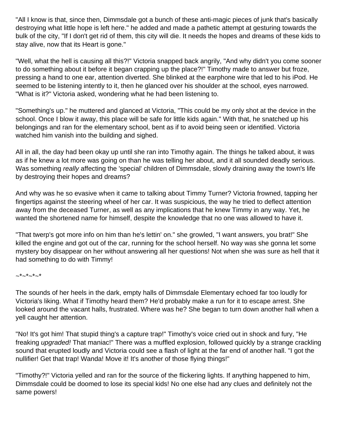"All I know is that, since then, Dimmsdale got a bunch of these anti-magic pieces of junk that's basically destroying what little hope is left here." he added and made a pathetic attempt at gesturing towards the bulk of the city, "If I don't get rid of them, this city will die. It needs the hopes and dreams of these kids to stay alive, now that its Heart is gone."

"Well, what the hell is causing all this?!" Victoria snapped back angrily, "And why didn't you come sooner to do something about it before it began crapping up the place?!" Timothy made to answer but froze, pressing a hand to one ear, attention diverted. She blinked at the earphone wire that led to his iPod. He seemed to be listening intently to it, then he glanced over his shoulder at the school, eyes narrowed. "What is it?" Victoria asked, wondering what he had been listening to.

"Something's up." he muttered and glanced at Victoria, "This could be my only shot at the device in the school. Once I blow it away, this place will be safe for little kids again." With that, he snatched up his belongings and ran for the elementary school, bent as if to avoid being seen or identified. Victoria watched him vanish into the building and sighed.

All in all, the day had been okay up until she ran into Timothy again. The things he talked about, it was as if he knew a lot more was going on than he was telling her about, and it all sounded deadly serious. Was something really affecting the 'special' children of Dimmsdale, slowly draining away the town's life by destroying their hopes and dreams?

And why was he so evasive when it came to talking about Timmy Turner? Victoria frowned, tapping her fingertips against the steering wheel of her car. It was suspicious, the way he tried to deflect attention away from the deceased Turner, as well as any implications that he knew Timmy in any way. Yet, he wanted the shortened name for himself, despite the knowledge that no one was allowed to have it.

"That twerp's got more info on him than he's lettin' on." she growled, "I want answers, you brat!" She killed the engine and got out of the car, running for the school herself. No way was she gonna let some mystery boy disappear on her without answering all her questions! Not when she was sure as hell that it had something to do with Timmy!

#### $-*-*-*-*$

The sounds of her heels in the dark, empty halls of Dimmsdale Elementary echoed far too loudly for Victoria's liking. What if Timothy heard them? He'd probably make a run for it to escape arrest. She looked around the vacant halls, frustrated. Where was he? She began to turn down another hall when a yell caught her attention.

"No! It's got him! That stupid thing's a capture trap!" Timothy's voice cried out in shock and fury, "He freaking *upgraded!* That maniac!" There was a muffled explosion, followed quickly by a strange crackling sound that erupted loudly and Victoria could see a flash of light at the far end of another hall. "I got the nullifier! Get that trap! Wanda! Move it! It's another of those flying things!"

"Timothy?!" Victoria yelled and ran for the source of the flickering lights. If anything happened to him, Dimmsdale could be doomed to lose its special kids! No one else had any clues and definitely not the same powers!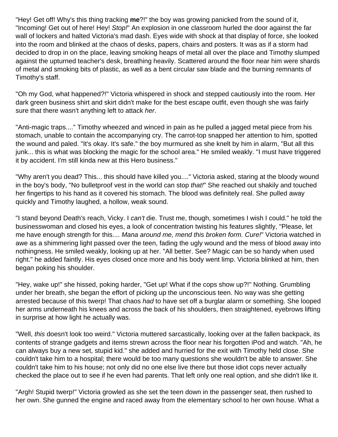"Hey! Get off! Why's this thing tracking **me**?!" the boy was growing panicked from the sound of it, "Incoming! Get out of here! Hey! Stop!" An explosion in one classroom hurled the door against the far wall of lockers and halted Victoria's mad dash. Eyes wide with shock at that display of force, she looked into the room and blinked at the chaos of desks, papers, chairs and posters. It was as if a storm had decided to drop in on the place, leaving smoking heaps of metal all over the place and Timothy slumped against the upturned teacher's desk, breathing heavily. Scattered around the floor near him were shards of metal and smoking bits of plastic, as well as a bent circular saw blade and the burning remnants of Timothy's staff.

"Oh my God, what happened?!" Victoria whispered in shock and stepped cautiously into the room. Her dark green business shirt and skirt didn't make for the best escape outfit, even though she was fairly sure that there wasn't anything left to attack her.

"Anti-magic traps...." Timothy wheezed and winced in pain as he pulled a jagged metal piece from his stomach, unable to contain the accompanying cry. The carrot-top snapped her attention to him, spotted the wound and paled. "It's okay. It's safe." the boy murmured as she knelt by him in alarm, "But all this junk... this is what was blocking the magic for the school area." He smiled weakly. "I must have triggered it by accident. I'm still kinda new at this Hero business."

"Why aren't you dead? This... this should have killed you...." Victoria asked, staring at the bloody wound in the boy's body, "No bulletproof vest in the world can stop that!" She reached out shakily and touched her fingertips to his hand as it covered his stomach. The blood was definitely real. She pulled away quickly and Timothy laughed, a hollow, weak sound.

"I stand beyond Death's reach, Vicky. I can't die. Trust me, though, sometimes I wish I could." he told the businesswoman and closed his eyes, a look of concentration twisting his features slightly, "Please, let me have enough strength for this.... Mana around me, mend this broken form. Cure!" Victoria watched in awe as a shimmering light passed over the teen, fading the ugly wound and the mess of blood away into nothingness. He smiled weakly, looking up at her. "All better. See? Magic can be so handy when used right." he added faintly. His eyes closed once more and his body went limp. Victoria blinked at him, then began poking his shoulder.

"Hey, wake up!" she hissed, poking harder, "Get up! What if the cops show up?!" Nothing. Grumbling under her breath, she began the effort of picking up the unconscious teen. No way was she getting arrested because of this twerp! That chaos had to have set off a burglar alarm or something. She looped her arms underneath his knees and across the back of his shoulders, then straightened, eyebrows lifting in surprise at how light he actually was.

"Well, this doesn't look too weird." Victoria muttered sarcastically, looking over at the fallen backpack, its contents of strange gadgets and items strewn across the floor near his forgotten iPod and watch. "Ah, he can always buy a new set, stupid kid." she added and hurried for the exit with Timothy held close. She couldn't take him to a hospital; there would be too many questions she wouldn't be able to answer. She couldn't take him to his house; not only did no one else live there but those idiot cops never actually checked the place out to see if he even had parents. That left only one real option, and she didn't like it.

"Argh! Stupid twerp!" Victoria growled as she set the teen down in the passenger seat, then rushed to her own. She gunned the engine and raced away from the elementary school to her own house. What a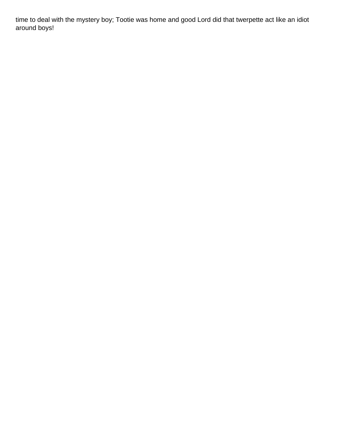time to deal with the mystery boy; Tootie was home and good Lord did that twerpette act like an idiot around boys!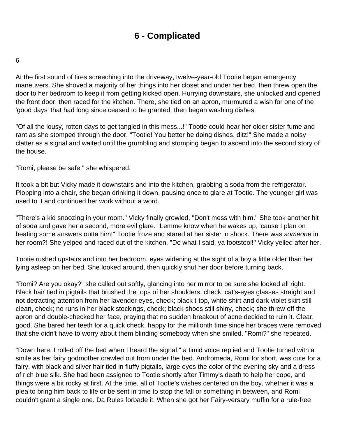### **6 - Complicated**

#### <span id="page-29-0"></span>6

At the first sound of tires screeching into the driveway, twelve-year-old Tootie began emergency maneuvers. She shoved a majority of her things into her closet and under her bed, then threw open the door to her bedroom to keep it from getting kicked open. Hurrying downstairs, she unlocked and opened the front door, then raced for the kitchen. There, she tied on an apron, murmured a wish for one of the 'good days' that had long since ceased to be granted, then began washing dishes.

"Of all the lousy, rotten days to get tangled in this mess...!" Tootie could hear her older sister fume and rant as she stomped through the door, "Tootie! You better be doing dishes, ditz!" She made a noisy clatter as a signal and waited until the grumbling and stomping began to ascend into the second story of the house.

"Romi, please be safe." she whispered.

It took a bit but Vicky made it downstairs and into the kitchen, grabbing a soda from the refrigerator. Plopping into a chair, she began drinking it down, pausing once to glare at Tootie. The younger girl was used to it and continued her work without a word.

"There's a kid snoozing in your room." Vicky finally growled, "Don't mess with him." She took another hit of soda and gave her a second, more evil glare. "Lemme know when he wakes up, 'cause I plan on beating some answers outta him!" Tootie froze and stared at her sister in shock. There was someone in her room?! She yelped and raced out of the kitchen. "Do what I said, ya footstool!" Vicky yelled after her.

Tootie rushed upstairs and into her bedroom, eyes widening at the sight of a boy a little older than her lying asleep on her bed. She looked around, then quickly shut her door before turning back.

"Romi? Are you okay?" she called out softly, glancing into her mirror to be sure she looked all right. Black hair tied in pigtails that brushed the tops of her shoulders, check; cat's-eyes glasses straight and not detracting attention from her lavender eyes, check; black t-top, white shirt and dark violet skirt still clean, check; no runs in her black stockings, check; black shoes still shiny, check; she threw off the apron and double-checked her face, praying that no sudden breakout of acne decided to ruin it. Clear, good. She bared her teeth for a quick check, happy for the millionth time since her braces were removed that she didn't have to worry about them blinding somebody when she smiled. "Romi?" she repeated.

"Down here. I rolled off the bed when I heard the signal." a timid voice replied and Tootie turned with a smile as her fairy godmother crawled out from under the bed. Andromeda, Romi for short, was cute for a fairy, with black and silver hair tied in fluffy pigtails, large eyes the color of the evening sky and a dress of rich blue silk. She had been assigned to Tootie shortly after Timmy's death to help her cope, and things were a bit rocky at first. At the time, all of Tootie's wishes centered on the boy, whether it was a plea to bring him back to life or be sent in time to stop the fall or something in between, and Romi couldn't grant a single one. Da Rules forbade it. When she got her Fairy-versary muffin for a rule-free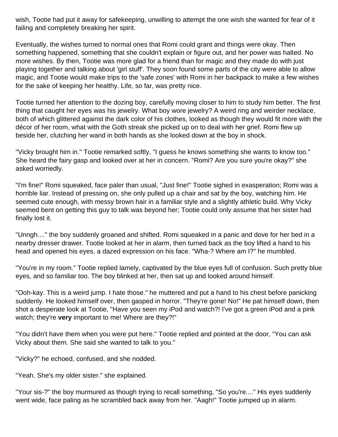wish, Tootie had put it away for safekeeping, unwilling to attempt the one wish she wanted for fear of it failing and completely breaking her spirit.

Eventually, the wishes turned to normal ones that Romi could grant and things were okay. Then something happened, something that she couldn't explain or figure out, and her power was halted. No more wishes. By then, Tootie was more glad for a friend than for magic and they made do with just playing together and talking about 'girl stuff'. They soon found some parts of the city were able to allow magic, and Tootie would make trips to the 'safe zones' with Romi in her backpack to make a few wishes for the sake of keeping her healthy. Life, so far, was pretty nice.

Tootie turned her attention to the dozing boy, carefully moving closer to him to study him better. The first thing that caught her eyes was his jewelry. What boy wore jewelry? A weird ring and weirder necklace, both of which glittered against the dark color of his clothes, looked as though they would fit more with the décor of her room, what with the Goth streak she picked up on to deal with her grief. Romi flew up beside her, clutching her wand in both hands as she looked down at the boy in shock.

"Vicky brought him in." Tootie remarked softly, "I guess he knows something she wants to know too." She heard the fairy gasp and looked over at her in concern. "Romi? Are you sure you're okay?" she asked worriedly.

"I'm fine!" Romi squeaked, face paler than usual, "Just fine!" Tootie sighed in exasperation; Romi was a horrible liar. Instead of pressing on, she only pulled up a chair and sat by the boy, watching him. He seemed cute enough, with messy brown hair in a familiar style and a slightly athletic build. Why Vicky seemed bent on getting this guy to talk was beyond her; Tootie could only assume that her sister had finally lost it.

"Unngh...." the boy suddenly groaned and shifted. Romi squeaked in a panic and dove for her bed in a nearby dresser drawer. Tootie looked at her in alarm, then turned back as the boy lifted a hand to his head and opened his eyes, a dazed expression on his face. "Wha-? Where am I?" he mumbled.

"You're in my room." Tootie replied lamely, captivated by the blue eyes full of confusion. Such pretty blue eyes, and so familiar too. The boy blinked at her, then sat up and looked around himself.

"Ooh-kay. This is a weird jump. I hate those." he muttered and put a hand to his chest before panicking suddenly. He looked himself over, then gasped in horror. "They're gone! No!" He pat himself down, then shot a desperate look at Tootie, "Have you seen my iPod and watch?! I've got a green iPod and a pink watch; they're **very** important to me! Where are they?!"

"You didn't have them when you were put here." Tootie replied and pointed at the door, "You can ask Vicky about them. She said she wanted to talk to you."

"Vicky?" he echoed, confused, and she nodded.

"Yeah. She's my older sister." she explained.

"Your sis-?" the boy murmured as though trying to recall something, "So you're...." His eyes suddenly went wide, face paling as he scrambled back away from her. "Aagh!" Tootie jumped up in alarm.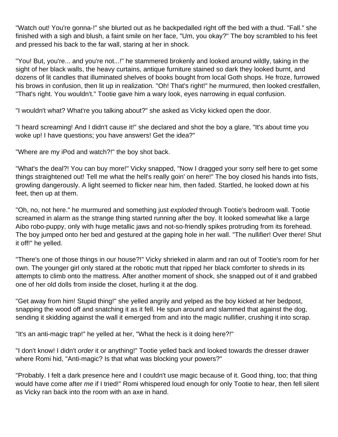"Watch out! You're gonna-!" she blurted out as he backpedalled right off the bed with a thud. "Fall." she finished with a sigh and blush, a faint smile on her face, "Um, you okay?" The boy scrambled to his feet and pressed his back to the far wall, staring at her in shock.

"You! But, you're... and you're not...!" he stammered brokenly and looked around wildly, taking in the sight of her black walls, the heavy curtains, antique furniture stained so dark they looked burnt, and dozens of lit candles that illuminated shelves of books bought from local Goth shops. He froze, furrowed his brows in confusion, then lit up in realization. "Oh! That's right!" he murmured, then looked crestfallen, "That's right. You wouldn't." Tootie gave him a wary look, eyes narrowing in equal confusion.

"I wouldn't what? What're you talking about?" she asked as Vicky kicked open the door.

"I heard screaming! And I didn't cause it!" she declared and shot the boy a glare, "It's about time you woke up! I have questions; you have answers! Get the idea?"

"Where are my iPod and watch?!" the boy shot back.

"What's the deal?! You can buy more!" Vicky snapped, "Now I dragged your sorry self here to get some things straightened out! Tell me what the hell's really goin' on here!" The boy closed his hands into fists, growling dangerously. A light seemed to flicker near him, then faded. Startled, he looked down at his feet, then up at them.

"Oh, no, not here." he murmured and something just exploded through Tootie's bedroom wall. Tootie screamed in alarm as the strange thing started running after the boy. It looked somewhat like a large Aibo robo-puppy, only with huge metallic jaws and not-so-friendly spikes protruding from its forehead. The boy jumped onto her bed and gestured at the gaping hole in her wall. "The nullifier! Over there! Shut it off!" he yelled.

"There's one of those things in our house?!" Vicky shrieked in alarm and ran out of Tootie's room for her own. The younger girl only stared at the robotic mutt that ripped her black comforter to shreds in its attempts to climb onto the mattress. After another moment of shock, she snapped out of it and grabbed one of her old dolls from inside the closet, hurling it at the dog.

"Get away from him! Stupid thing!" she yelled angrily and yelped as the boy kicked at her bedpost, snapping the wood off and snatching it as it fell. He spun around and slammed that against the dog, sending it skidding against the wall it emerged from and into the magic nullifier, crushing it into scrap.

"It's an anti-magic trap!" he yelled at her, "What the heck is it doing here?!"

"I don't know! I didn't order it or anything!" Tootie yelled back and looked towards the dresser drawer where Romi hid, "Anti-magic? Is that what was blocking your powers?"

"Probably. I felt a dark presence here and I couldn't use magic because of it. Good thing, too; that thing would have come after me if I tried!" Romi whispered loud enough for only Tootie to hear, then fell silent as Vicky ran back into the room with an axe in hand.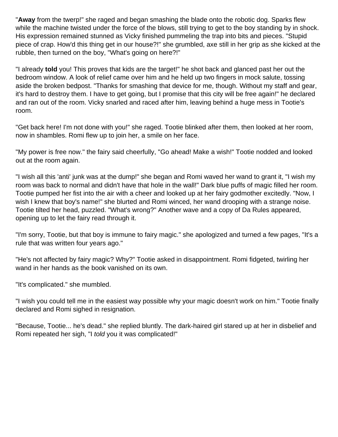"**Away** from the twerp!" she raged and began smashing the blade onto the robotic dog. Sparks flew while the machine twisted under the force of the blows, still trying to get to the boy standing by in shock. His expression remained stunned as Vicky finished pummeling the trap into bits and pieces. "Stupid piece of crap. How'd this thing get in our house?!" she grumbled, axe still in her grip as she kicked at the rubble, then turned on the boy, "What's going on here?!"

"I already **told** you! This proves that kids are the target!" he shot back and glanced past her out the bedroom window. A look of relief came over him and he held up two fingers in mock salute, tossing aside the broken bedpost. "Thanks for smashing that device for me, though. Without my staff and gear, it's hard to destroy them. I have to get going, but I promise that this city will be free again!" he declared and ran out of the room. Vicky snarled and raced after him, leaving behind a huge mess in Tootie's room.

"Get back here! I'm not done with you!" she raged. Tootie blinked after them, then looked at her room, now in shambles. Romi flew up to join her, a smile on her face.

"My power is free now." the fairy said cheerfully, "Go ahead! Make a wish!" Tootie nodded and looked out at the room again.

"I wish all this 'anti' junk was at the dump!" she began and Romi waved her wand to grant it, "I wish my room was back to normal and didn't have that hole in the wall!" Dark blue puffs of magic filled her room. Tootie pumped her fist into the air with a cheer and looked up at her fairy godmother excitedly. "Now, I wish I knew that boy's name!" she blurted and Romi winced, her wand drooping with a strange noise. Tootie tilted her head, puzzled. "What's wrong?" Another wave and a copy of Da Rules appeared, opening up to let the fairy read through it.

"I'm sorry, Tootie, but that boy is immune to fairy magic." she apologized and turned a few pages, "It's a rule that was written four years ago."

"He's not affected by fairy magic? Why?" Tootie asked in disappointment. Romi fidgeted, twirling her wand in her hands as the book vanished on its own.

"It's complicated." she mumbled.

"I wish you could tell me in the easiest way possible why your magic doesn't work on him." Tootie finally declared and Romi sighed in resignation.

"Because, Tootie... he's dead." she replied bluntly. The dark-haired girl stared up at her in disbelief and Romi repeated her sigh, "I told you it was complicated!"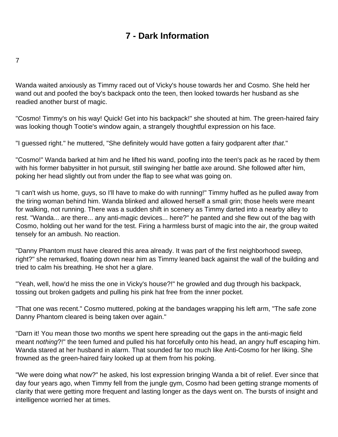## **7 - Dark Information**

<span id="page-33-0"></span>7

Wanda waited anxiously as Timmy raced out of Vicky's house towards her and Cosmo. She held her wand out and poofed the boy's backpack onto the teen, then looked towards her husband as she readied another burst of magic.

"Cosmo! Timmy's on his way! Quick! Get into his backpack!" she shouted at him. The green-haired fairy was looking though Tootie's window again, a strangely thoughtful expression on his face.

"I guessed right." he muttered, "She definitely would have gotten a fairy godparent after that."

"Cosmo!" Wanda barked at him and he lifted his wand, poofing into the teen's pack as he raced by them with his former babysitter in hot pursuit, still swinging her battle axe around. She followed after him, poking her head slightly out from under the flap to see what was going on.

"I can't wish us home, guys, so I'll have to make do with running!" Timmy huffed as he pulled away from the tiring woman behind him. Wanda blinked and allowed herself a small grin; those heels were meant for walking, not running. There was a sudden shift in scenery as Timmy darted into a nearby alley to rest. "Wanda... are there... any anti-magic devices... here?" he panted and she flew out of the bag with Cosmo, holding out her wand for the test. Firing a harmless burst of magic into the air, the group waited tensely for an ambush. No reaction.

"Danny Phantom must have cleared this area already. It was part of the first neighborhood sweep, right?" she remarked, floating down near him as Timmy leaned back against the wall of the building and tried to calm his breathing. He shot her a glare.

"Yeah, well, how'd he miss the one in Vicky's house?!" he growled and dug through his backpack, tossing out broken gadgets and pulling his pink hat free from the inner pocket.

"That one was recent." Cosmo muttered, poking at the bandages wrapping his left arm, "The safe zone Danny Phantom cleared is being taken over again."

"Darn it! You mean those two months we spent here spreading out the gaps in the anti-magic field meant nothing?!" the teen fumed and pulled his hat forcefully onto his head, an angry huff escaping him. Wanda stared at her husband in alarm. That sounded far too much like Anti-Cosmo for her liking. She frowned as the green-haired fairy looked up at them from his poking.

"We were doing what now?" he asked, his lost expression bringing Wanda a bit of relief. Ever since that day four years ago, when Timmy fell from the jungle gym, Cosmo had been getting strange moments of clarity that were getting more frequent and lasting longer as the days went on. The bursts of insight and intelligence worried her at times.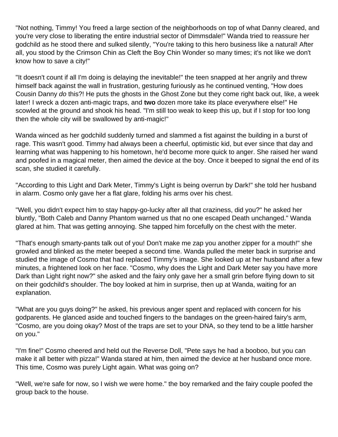"Not nothing, Timmy! You freed a large section of the neighborhoods on top of what Danny cleared, and you're very close to liberating the entire industrial sector of Dimmsdale!" Wanda tried to reassure her godchild as he stood there and sulked silently, "You're taking to this hero business like a natural! After all, you stood by the Crimson Chin as Cleft the Boy Chin Wonder so many times; it's not like we don't know how to save a city!"

"It doesn't count if all I'm doing is delaying the inevitable!" the teen snapped at her angrily and threw himself back against the wall in frustration, gesturing furiously as he continued venting, "How does Cousin Danny do this?! He puts the ghosts in the Ghost Zone but they come right back out, like, a week later! I wreck a dozen anti-magic traps, and **two** dozen more take its place everywhere else!" He scowled at the ground and shook his head. "I'm still too weak to keep this up, but if I stop for too long then the whole city will be swallowed by anti-magic!"

Wanda winced as her godchild suddenly turned and slammed a fist against the building in a burst of rage. This wasn't good. Timmy had always been a cheerful, optimistic kid, but ever since that day and learning what was happening to his hometown, he'd become more quick to anger. She raised her wand and poofed in a magical meter, then aimed the device at the boy. Once it beeped to signal the end of its scan, she studied it carefully.

"According to this Light and Dark Meter, Timmy's Light is being overrun by Dark!" she told her husband in alarm. Cosmo only gave her a flat glare, folding his arms over his chest.

"Well, you didn't expect him to stay happy-go-lucky after all that craziness, did you?" he asked her bluntly, "Both Caleb and Danny Phantom warned us that no one escaped Death unchanged." Wanda glared at him. That was getting annoying. She tapped him forcefully on the chest with the meter.

"That's enough smarty-pants talk out of you! Don't make me zap you another zipper for a mouth!" she growled and blinked as the meter beeped a second time. Wanda pulled the meter back in surprise and studied the image of Cosmo that had replaced Timmy's image. She looked up at her husband after a few minutes, a frightened look on her face. "Cosmo, why does the Light and Dark Meter say you have more Dark than Light right now?" she asked and the fairy only gave her a small grin before flying down to sit on their godchild's shoulder. The boy looked at him in surprise, then up at Wanda, waiting for an explanation.

"What are you guys doing?" he asked, his previous anger spent and replaced with concern for his godparents. He glanced aside and touched fingers to the bandages on the green-haired fairy's arm, "Cosmo, are you doing okay? Most of the traps are set to your DNA, so they tend to be a little harsher on you."

"I'm fine!" Cosmo cheered and held out the Reverse Doll, "Pete says he had a booboo, but you can make it all better with pizza!" Wanda stared at him, then aimed the device at her husband once more. This time, Cosmo was purely Light again. What was going on?

"Well, we're safe for now, so I wish we were home." the boy remarked and the fairy couple poofed the group back to the house.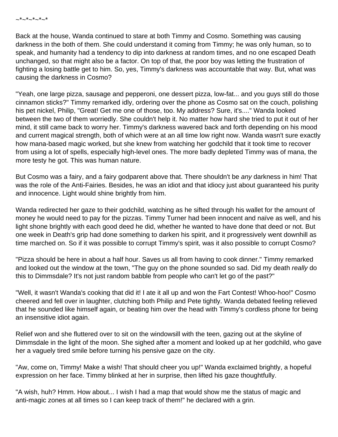#### $x^*x^*x^*x^*$

Back at the house, Wanda continued to stare at both Timmy and Cosmo. Something was causing darkness in the both of them. She could understand it coming from Timmy; he was only human, so to speak, and humanity had a tendency to dip into darkness at random times, and no one escaped Death unchanged, so that might also be a factor. On top of that, the poor boy was letting the frustration of fighting a losing battle get to him. So, yes, Timmy's darkness was accountable that way. But, what was causing the darkness in Cosmo?

"Yeah, one large pizza, sausage and pepperoni, one dessert pizza, low-fat... and you guys still do those cinnamon sticks?" Timmy remarked idly, ordering over the phone as Cosmo sat on the couch, polishing his pet nickel, Philip, "Great! Get me one of those, too. My address? Sure, it's...." Wanda looked between the two of them worriedly. She couldn't help it. No matter how hard she tried to put it out of her mind, it still came back to worry her. Timmy's darkness wavered back and forth depending on his mood and current magical strength, both of which were at an all time low right now. Wanda wasn't sure exactly how mana-based magic worked, but she knew from watching her godchild that it took time to recover from using a lot of spells, especially high-level ones. The more badly depleted Timmy was of mana, the more testy he got. This was human nature.

But Cosmo was a fairy, and a fairy godparent above that. There shouldn't be any darkness in him! That was the role of the Anti-Fairies. Besides, he was an idiot and that idiocy just about guaranteed his purity and innocence. Light would shine brightly from him.

Wanda redirected her gaze to their godchild, watching as he sifted through his wallet for the amount of money he would need to pay for the pizzas. Timmy Turner had been innocent and naïve as well, and his light shone brightly with each good deed he did, whether he wanted to have done that deed or not. But one week in Death's grip had done something to darken his spirit, and it progressively went downhill as time marched on. So if it was possible to corrupt Timmy's spirit, was it also possible to corrupt Cosmo?

"Pizza should be here in about a half hour. Saves us all from having to cook dinner." Timmy remarked and looked out the window at the town, "The guy on the phone sounded so sad. Did my death really do this to Dimmsdale? It's not just random babble from people who can't let go of the past?"

"Well, it wasn't Wanda's cooking that did it! I ate it all up and won the Fart Contest! Whoo-hoo!" Cosmo cheered and fell over in laughter, clutching both Philip and Pete tightly. Wanda debated feeling relieved that he sounded like himself again, or beating him over the head with Timmy's cordless phone for being an insensitive idiot again.

Relief won and she fluttered over to sit on the windowsill with the teen, gazing out at the skyline of Dimmsdale in the light of the moon. She sighed after a moment and looked up at her godchild, who gave her a vaguely tired smile before turning his pensive gaze on the city.

"Aw, come on, Timmy! Make a wish! That should cheer you up!" Wanda exclaimed brightly, a hopeful expression on her face. Timmy blinked at her in surprise, then lifted his gaze thoughtfully.

"A wish, huh? Hmm. How about... I wish I had a map that would show me the status of magic and anti-magic zones at all times so I can keep track of them!" he declared with a grin.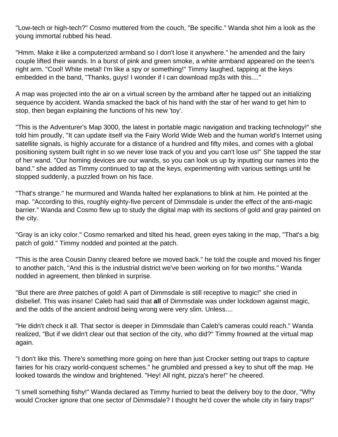"Low-tech or high-tech?" Cosmo muttered from the couch, "Be specific." Wanda shot him a look as the young immortal rubbed his head.

"Hmm. Make it like a computerized armband so I don't lose it anywhere." he amended and the fairy couple lifted their wands. In a burst of pink and green smoke, a white armband appeared on the teen's right arm. "Cool! White metal! I'm like a spy or something!" Timmy laughed, tapping at the keys embedded in the band, "Thanks, guys! I wonder if I can download mp3s with this...."

A map was projected into the air on a virtual screen by the armband after he tapped out an initializing sequence by accident. Wanda smacked the back of his hand with the star of her wand to get him to stop, then began explaining the functions of his new 'toy'.

"This is the Adventurer's Map 3000, the latest in portable magic navigation and tracking technology!" she told him proudly, "It can update itself via the Fairy World Wide Web and the human world's Internet using satellite signals, is highly accurate for a distance of a hundred and fifty miles, and comes with a global positioning system built right in so we never lose track of you and you can't lose us!" She tapped the star of her wand. "Our homing devices are our wands, so you can look us up by inputting our names into the band." she added as Timmy continued to tap at the keys, experimenting with various settings until he stopped suddenly, a puzzled frown on his face.

"That's strange." he murmured and Wanda halted her explanations to blink at him. He pointed at the map. "According to this, roughly eighty-five percent of Dimmsdale is under the effect of the anti-magic barrier." Wanda and Cosmo flew up to study the digital map with its sections of gold and gray painted on the city.

"Gray is an icky color." Cosmo remarked and tilted his head, green eyes taking in the map, "That's a big patch of gold." Timmy nodded and pointed at the patch.

"This is the area Cousin Danny cleared before we moved back." he told the couple and moved his finger to another patch, "And this is the industrial district we've been working on for two months." Wanda nodded in agreement, then blinked in surprise.

"But there are three patches of gold! A part of Dimmsdale is still receptive to magic!" she cried in disbelief. This was insane! Caleb had said that **all** of Dimmsdale was under lockdown against magic, and the odds of the ancient android being wrong were very slim. Unless....

"He didn't check it all. That sector is deeper in Dimmsdale than Caleb's cameras could reach." Wanda realized, "But if we didn't clear out that section of the city, who did?" Timmy frowned at the virtual map again.

"I don't like this. There's something more going on here than just Crocker setting out traps to capture fairies for his crazy world-conquest schemes." he grumbled and pressed a key to shut off the map. He looked towards the window and brightened. "Hey! All right, pizza's here!" he cheered.

"I smell something fishy!" Wanda declared as Timmy hurried to beat the delivery boy to the door, "Why would Crocker ignore that one sector of Dimmsdale? I thought he'd cover the whole city in fairy traps!"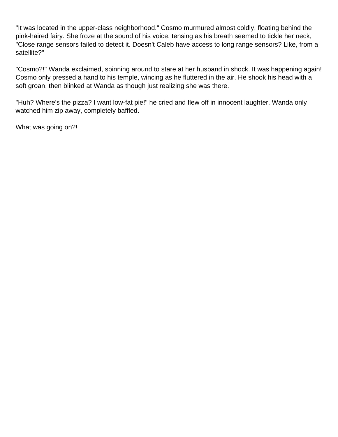"It was located in the upper-class neighborhood." Cosmo murmured almost coldly, floating behind the pink-haired fairy. She froze at the sound of his voice, tensing as his breath seemed to tickle her neck, "Close range sensors failed to detect it. Doesn't Caleb have access to long range sensors? Like, from a satellite?"

"Cosmo?!" Wanda exclaimed, spinning around to stare at her husband in shock. It was happening again! Cosmo only pressed a hand to his temple, wincing as he fluttered in the air. He shook his head with a soft groan, then blinked at Wanda as though just realizing she was there.

"Huh? Where's the pizza? I want low-fat pie!" he cried and flew off in innocent laughter. Wanda only watched him zip away, completely baffled.

What was going on?!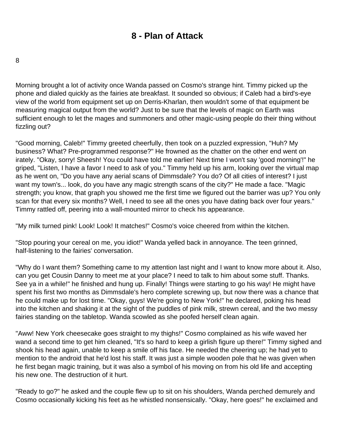# **8 - Plan of Attack**

8

Morning brought a lot of activity once Wanda passed on Cosmo's strange hint. Timmy picked up the phone and dialed quickly as the fairies ate breakfast. It sounded so obvious; if Caleb had a bird's-eye view of the world from equipment set up on Derris-Kharlan, then wouldn't some of that equipment be measuring magical output from the world? Just to be sure that the levels of magic on Earth was sufficient enough to let the mages and summoners and other magic-using people do their thing without fizzling out?

"Good morning, Caleb!" Timmy greeted cheerfully, then took on a puzzled expression, "Huh? My business? What? Pre-programmed response?" He frowned as the chatter on the other end went on irately. "Okay, sorry! Sheesh! You could have told me earlier! Next time I won't say 'good morning'!" he griped, "Listen, I have a favor I need to ask of you." Timmy held up his arm, looking over the virtual map as he went on, "Do you have any aerial scans of Dimmsdale? You do? Of all cities of interest? I just want my town's... look, do you have any magic strength scans of the city?" He made a face. "Magic strength; you know, that graph you showed me the first time we figured out the barrier was up? You only scan for that every six months? Well, I need to see all the ones you have dating back over four years." Timmy rattled off, peering into a wall-mounted mirror to check his appearance.

"My milk turned pink! Look! Look! It matches!" Cosmo's voice cheered from within the kitchen.

"Stop pouring your cereal on me, you idiot!" Wanda yelled back in annoyance. The teen grinned, half-listening to the fairies' conversation.

"Why do I want them? Something came to my attention last night and I want to know more about it. Also, can you get Cousin Danny to meet me at your place? I need to talk to him about some stuff. Thanks. See ya in a while!" he finished and hung up. Finally! Things were starting to go his way! He might have spent his first two months as Dimmsdale's hero complete screwing up, but now there was a chance that he could make up for lost time. "Okay, guys! We're going to New York!" he declared, poking his head into the kitchen and shaking it at the sight of the puddles of pink milk, strewn cereal, and the two messy fairies standing on the tabletop. Wanda scowled as she poofed herself clean again.

"Aww! New York cheesecake goes straight to my thighs!" Cosmo complained as his wife waved her wand a second time to get him cleaned, "It's so hard to keep a girlish figure up there!" Timmy sighed and shook his head again, unable to keep a smile off his face. He needed the cheering up; he had yet to mention to the android that he'd lost his staff. It was just a simple wooden pole that he was given when he first began magic training, but it was also a symbol of his moving on from his old life and accepting his new one. The destruction of it hurt.

"Ready to go?" he asked and the couple flew up to sit on his shoulders, Wanda perched demurely and Cosmo occasionally kicking his feet as he whistled nonsensically. "Okay, here goes!" he exclaimed and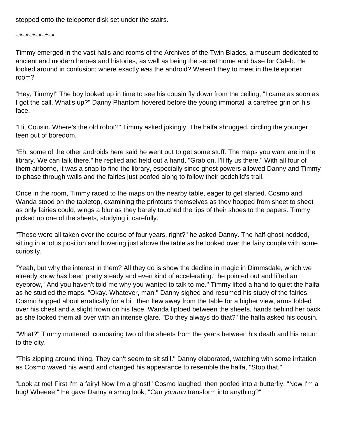stepped onto the teleporter disk set under the stairs.

 $2*2*2*2*2*2*$ 

Timmy emerged in the vast halls and rooms of the Archives of the Twin Blades, a museum dedicated to ancient and modern heroes and histories, as well as being the secret home and base for Caleb. He looked around in confusion; where exactly was the android? Weren't they to meet in the teleporter room?

"Hey, Timmy!" The boy looked up in time to see his cousin fly down from the ceiling, "I came as soon as I got the call. What's up?" Danny Phantom hovered before the young immortal, a carefree grin on his face.

"Hi, Cousin. Where's the old robot?" Timmy asked jokingly. The halfa shrugged, circling the younger teen out of boredom.

"Eh, some of the other androids here said he went out to get some stuff. The maps you want are in the library. We can talk there." he replied and held out a hand, "Grab on. I'll fly us there." With all four of them airborne, it was a snap to find the library, especially since ghost powers allowed Danny and Timmy to phase through walls and the fairies just poofed along to follow their godchild's trail.

Once in the room, Timmy raced to the maps on the nearby table, eager to get started. Cosmo and Wanda stood on the tabletop, examining the printouts themselves as they hopped from sheet to sheet as only fairies could, wings a blur as they barely touched the tips of their shoes to the papers. Timmy picked up one of the sheets, studying it carefully.

"These were all taken over the course of four years, right?" he asked Danny. The half-ghost nodded, sitting in a lotus position and hovering just above the table as he looked over the fairy couple with some curiosity.

"Yeah, but why the interest in them? All they do is show the decline in magic in Dimmsdale, which we already know has been pretty steady and even kind of accelerating." he pointed out and lifted an eyebrow, "And you haven't told me why you wanted to talk to me." Timmy lifted a hand to quiet the halfa as he studied the maps. "Okay. Whatever, man." Danny sighed and resumed his study of the fairies. Cosmo hopped about erratically for a bit, then flew away from the table for a higher view, arms folded over his chest and a slight frown on his face. Wanda tiptoed between the sheets, hands behind her back as she looked them all over with an intense glare. "Do they always do that?" the halfa asked his cousin.

"What?" Timmy muttered, comparing two of the sheets from the years between his death and his return to the city.

"This zipping around thing. They can't seem to sit still." Danny elaborated, watching with some irritation as Cosmo waved his wand and changed his appearance to resemble the halfa, "Stop that."

"Look at me! First I'm a fairy! Now I'm a ghost!" Cosmo laughed, then poofed into a butterfly, "Now I'm a bug! Wheeee!" He gave Danny a smug look, "Can youuuu transform into anything?"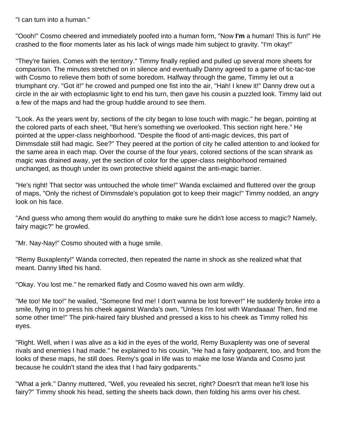"I can turn into a human."

"Oooh!" Cosmo cheered and immediately poofed into a human form, "Now **I'm** a human! This is fun!" He crashed to the floor moments later as his lack of wings made him subject to gravity. "I'm okay!"

"They're fairies. Comes with the territory." Timmy finally replied and pulled up several more sheets for comparison. The minutes stretched on in silence and eventually Danny agreed to a game of tic-tac-toe with Cosmo to relieve them both of some boredom. Halfway through the game, Timmy let out a triumphant cry. "Got it!" he crowed and pumped one fist into the air, "Hah! I knew it!" Danny drew out a circle in the air with ectoplasmic light to end his turn, then gave his cousin a puzzled look. Timmy laid out a few of the maps and had the group huddle around to see them.

"Look. As the years went by, sections of the city began to lose touch with magic." he began, pointing at the colored parts of each sheet, "But here's something we overlooked. This section right here." He pointed at the upper-class neighborhood. "Despite the flood of anti-magic devices, this part of Dimmsdale still had magic. See?" They peered at the portion of city he called attention to and looked for the same area in each map. Over the course of the four years, colored sections of the scan shrank as magic was drained away, yet the section of color for the upper-class neighborhood remained unchanged, as though under its own protective shield against the anti-magic barrier.

"He's right! That sector was untouched the whole time!" Wanda exclaimed and fluttered over the group of maps, "Only the richest of Dimmsdale's population got to keep their magic!" Timmy nodded, an angry look on his face.

"And guess who among them would do anything to make sure he didn't lose access to magic? Namely, fairy magic?" he growled.

"Mr. Nay-Nay!" Cosmo shouted with a huge smile.

"Remy Buxaplenty!" Wanda corrected, then repeated the name in shock as she realized what that meant. Danny lifted his hand.

"Okay. You lost me." he remarked flatly and Cosmo waved his own arm wildly.

"Me too! Me too!" he wailed, "Someone find me! I don't wanna be lost forever!" He suddenly broke into a smile, flying in to press his cheek against Wanda's own, "Unless I'm lost with Wandaaaa! Then, find me some other time!" The pink-haired fairy blushed and pressed a kiss to his cheek as Timmy rolled his eyes.

"Right. Well, when I was alive as a kid in the eyes of the world, Remy Buxaplenty was one of several rivals and enemies I had made." he explained to his cousin, "He had a fairy godparent, too, and from the looks of these maps, he still does. Remy's goal in life was to make me lose Wanda and Cosmo just because he couldn't stand the idea that I had fairy godparents."

"What a jerk." Danny muttered, "Well, you revealed his secret, right? Doesn't that mean he'll lose his fairy?" Timmy shook his head, setting the sheets back down, then folding his arms over his chest.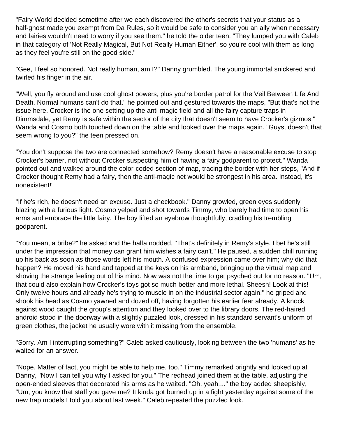"Fairy World decided sometime after we each discovered the other's secrets that your status as a half-ghost made you exempt from Da Rules, so it would be safe to consider you an ally when necessary and fairies wouldn't need to worry if you see them." he told the older teen, "They lumped you with Caleb in that category of 'Not Really Magical, But Not Really Human Either', so you're cool with them as long as they feel you're still on the good side."

"Gee, I feel so honored. Not really human, am I?" Danny grumbled. The young immortal snickered and twirled his finger in the air.

"Well, you fly around and use cool ghost powers, plus you're border patrol for the Veil Between Life And Death. Normal humans can't do that." he pointed out and gestured towards the maps, "But that's not the issue here. Crocker is the one setting up the anti-magic field and all the fairy capture traps in Dimmsdale, yet Remy is safe within the sector of the city that doesn't seem to have Crocker's gizmos." Wanda and Cosmo both touched down on the table and looked over the maps again. "Guys, doesn't that seem wrong to you?" the teen pressed on.

"You don't suppose the two are connected somehow? Remy doesn't have a reasonable excuse to stop Crocker's barrier, not without Crocker suspecting him of having a fairy godparent to protect." Wanda pointed out and walked around the color-coded section of map, tracing the border with her steps, "And if Crocker thought Remy had a fairy, then the anti-magic net would be strongest in his area. Instead, it's nonexistent!"

"If he's rich, he doesn't need an excuse. Just a checkbook." Danny growled, green eyes suddenly blazing with a furious light. Cosmo yelped and shot towards Timmy, who barely had time to open his arms and embrace the little fairy. The boy lifted an eyebrow thoughtfully, cradling his trembling godparent.

"You mean, a bribe?" he asked and the halfa nodded, "That's definitely in Remy's style. I bet he's still under the impression that money can grant him wishes a fairy can't." He paused, a sudden chill running up his back as soon as those words left his mouth. A confused expression came over him; why did that happen? He moved his hand and tapped at the keys on his armband, bringing up the virtual map and shoving the strange feeling out of his mind. Now was not the time to get psyched out for no reason. "Um, that could also explain how Crocker's toys got so much better and more lethal. Sheesh! Look at this! Only twelve hours and already he's trying to muscle in on the industrial sector again!" he griped and shook his head as Cosmo yawned and dozed off, having forgotten his earlier fear already. A knock against wood caught the group's attention and they looked over to the library doors. The red-haired android stood in the doorway with a slightly puzzled look, dressed in his standard servant's uniform of green clothes, the jacket he usually wore with it missing from the ensemble.

"Sorry. Am I interrupting something?" Caleb asked cautiously, looking between the two 'humans' as he waited for an answer.

"Nope. Matter of fact, you might be able to help me, too." Timmy remarked brightly and looked up at Danny, "Now I can tell you why I asked for you." The redhead joined them at the table, adjusting the open-ended sleeves that decorated his arms as he waited. "Oh, yeah...." the boy added sheepishly, "Um, you know that staff you gave me? It kinda got burned up in a fight yesterday against some of the new trap models I told you about last week." Caleb repeated the puzzled look.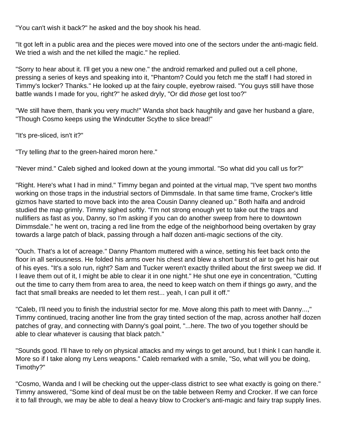"You can't wish it back?" he asked and the boy shook his head.

"It got left in a public area and the pieces were moved into one of the sectors under the anti-magic field. We tried a wish and the net killed the magic." he replied.

"Sorry to hear about it. I'll get you a new one." the android remarked and pulled out a cell phone, pressing a series of keys and speaking into it, "Phantom? Could you fetch me the staff I had stored in Timmy's locker? Thanks." He looked up at the fairy couple, eyebrow raised. "You guys still have those battle wands I made for you, right?" he asked dryly, "Or did those get lost too?"

"We still have them, thank you very much!" Wanda shot back haughtily and gave her husband a glare, "Though Cosmo keeps using the Windcutter Scythe to slice bread!"

"It's pre-sliced, isn't it?"

"Try telling that to the green-haired moron here."

"Never mind." Caleb sighed and looked down at the young immortal. "So what did you call us for?"

"Right. Here's what I had in mind." Timmy began and pointed at the virtual map, "I've spent two months working on those traps in the industrial sectors of Dimmsdale. In that same time frame, Crocker's little gizmos have started to move back into the area Cousin Danny cleaned up." Both halfa and android studied the map grimly. Timmy sighed softly. "I'm not strong enough yet to take out the traps and nullifiers as fast as you, Danny, so I'm asking if you can do another sweep from here to downtown Dimmsdale." he went on, tracing a red line from the edge of the neighborhood being overtaken by gray towards a large patch of black, passing through a half dozen anti-magic sections of the city.

"Ouch. That's a lot of acreage." Danny Phantom muttered with a wince, setting his feet back onto the floor in all seriousness. He folded his arms over his chest and blew a short burst of air to get his hair out of his eyes. "It's a solo run, right? Sam and Tucker weren't exactly thrilled about the first sweep we did. If I leave them out of it, I might be able to clear it in one night." He shut one eye in concentration, "Cutting out the time to carry them from area to area, the need to keep watch on them if things go awry, and the fact that small breaks are needed to let them rest... yeah, I can pull it off."

"Caleb, I'll need you to finish the industrial sector for me. Move along this path to meet with Danny...," Timmy continued, tracing another line from the gray tinted section of the map, across another half dozen patches of gray, and connecting with Danny's goal point, "...here. The two of you together should be able to clear whatever is causing that black patch."

"Sounds good. I'll have to rely on physical attacks and my wings to get around, but I think I can handle it. More so if I take along my Lens weapons." Caleb remarked with a smile, "So, what will you be doing, Timothy?"

"Cosmo, Wanda and I will be checking out the upper-class district to see what exactly is going on there." Timmy answered, "Some kind of deal must be on the table between Remy and Crocker. If we can force it to fall through, we may be able to deal a heavy blow to Crocker's anti-magic and fairy trap supply lines.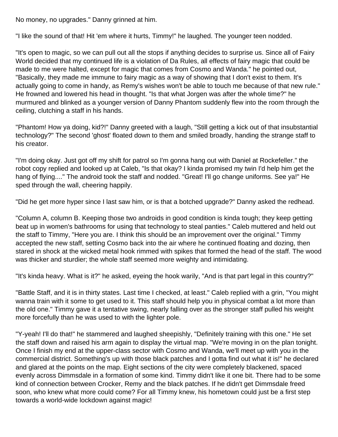No money, no upgrades." Danny grinned at him.

"I like the sound of that! Hit 'em where it hurts, Timmy!" he laughed. The younger teen nodded.

"It's open to magic, so we can pull out all the stops if anything decides to surprise us. Since all of Fairy World decided that my continued life is a violation of Da Rules, all effects of fairy magic that could be made to me were halted, except for magic that comes from Cosmo and Wanda." he pointed out, "Basically, they made me immune to fairy magic as a way of showing that I don't exist to them. It's actually going to come in handy, as Remy's wishes won't be able to touch me because of that new rule." He frowned and lowered his head in thought. "Is that what Jorgen was after the whole time?" he murmured and blinked as a younger version of Danny Phantom suddenly flew into the room through the ceiling, clutching a staff in his hands.

"Phantom! How ya doing, kid?!" Danny greeted with a laugh, "Still getting a kick out of that insubstantial technology?" The second 'ghost' floated down to them and smiled broadly, handing the strange staff to his creator.

"I'm doing okay. Just got off my shift for patrol so I'm gonna hang out with Daniel at Rockefeller." the robot copy replied and looked up at Caleb, "Is that okay? I kinda promised my twin I'd help him get the hang of flying...." The android took the staff and nodded. "Great! I'll go change uniforms. See ya!" He sped through the wall, cheering happily.

"Did he get more hyper since I last saw him, or is that a botched upgrade?" Danny asked the redhead.

"Column A, column B. Keeping those two androids in good condition is kinda tough; they keep getting beat up in women's bathrooms for using that technology to steal panties." Caleb muttered and held out the staff to Timmy, "Here you are. I think this should be an improvement over the original." Timmy accepted the new staff, setting Cosmo back into the air where he continued floating and dozing, then stared in shock at the wicked metal hook rimmed with spikes that formed the head of the staff. The wood was thicker and sturdier; the whole staff seemed more weighty and intimidating.

"It's kinda heavy. What is it?" he asked, eyeing the hook warily, "And is that part legal in this country?"

"Battle Staff, and it is in thirty states. Last time I checked, at least." Caleb replied with a grin, "You might wanna train with it some to get used to it. This staff should help you in physical combat a lot more than the old one." Timmy gave it a tentative swing, nearly falling over as the stronger staff pulled his weight more forcefully than he was used to with the lighter pole.

"Y-yeah! I'll do that!" he stammered and laughed sheepishly, "Definitely training with this one." He set the staff down and raised his arm again to display the virtual map. "We're moving in on the plan tonight. Once I finish my end at the upper-class sector with Cosmo and Wanda, we'll meet up with you in the commercial district. Something's up with those black patches and I gotta find out what it is!" he declared and glared at the points on the map. Eight sections of the city were completely blackened, spaced evenly across Dimmsdale in a formation of some kind. Timmy didn't like it one bit. There had to be some kind of connection between Crocker, Remy and the black patches. If he didn't get Dimmsdale freed soon, who knew what more could come? For all Timmy knew, his hometown could just be a first step towards a world-wide lockdown against magic!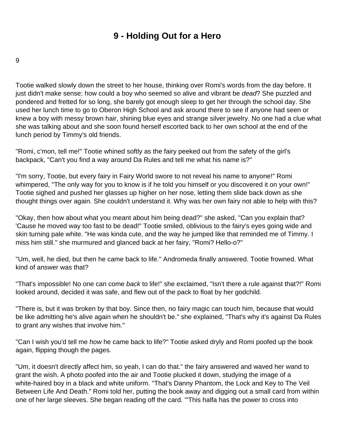# **9 - Holding Out for a Hero**

Tootie walked slowly down the street to her house, thinking over Romi's words from the day before. It just didn't make sense; how could a boy who seemed so alive and vibrant be dead? She puzzled and pondered and fretted for so long, she barely got enough sleep to get her through the school day. She used her lunch time to go to Oberon High School and ask around there to see if anyone had seen or knew a boy with messy brown hair, shining blue eyes and strange silver jewelry. No one had a clue what she was talking about and she soon found herself escorted back to her own school at the end of the lunch period by Timmy's old friends.

"Romi, c'mon, tell me!" Tootie whined softly as the fairy peeked out from the safety of the girl's backpack, "Can't you find a way around Da Rules and tell me what his name is?"

"I'm sorry, Tootie, but every fairy in Fairy World swore to not reveal his name to anyone!" Romi whimpered, "The only way for you to know is if he told you himself or you discovered it on your own!" Tootie sighed and pushed her glasses up higher on her nose, letting them slide back down as she thought things over again. She couldn't understand it. Why was her own fairy not able to help with this?

"Okay, then how about what you meant about him being dead?" she asked, "Can you explain that? 'Cause he moved way too fast to be dead!" Tootie smiled, oblivious to the fairy's eyes going wide and skin turning pale white. "He was kinda cute, and the way he jumped like that reminded me of Timmy. I miss him still." she murmured and glanced back at her fairy, "Romi? Hello-o?"

"Um, well, he died, but then he came back to life." Andromeda finally answered. Tootie frowned. What kind of answer was that?

"That's impossible! No one can come back to life!" she exclaimed, "Isn't there a rule against that?!" Romi looked around, decided it was safe, and flew out of the pack to float by her godchild.

"There is, but it was broken by that boy. Since then, no fairy magic can touch him, because that would be like admitting he's alive again when he shouldn't be." she explained, "That's why it's against Da Rules to grant any wishes that involve him."

"Can I wish you'd tell me *how* he came back to life?" Tootie asked dryly and Romi poofed up the book again, flipping though the pages.

"Um, it doesn't directly affect him, so yeah, I can do that." the fairy answered and waved her wand to grant the wish. A photo poofed into the air and Tootie plucked it down, studying the image of a white-haired boy in a black and white uniform. "That's Danny Phantom, the Lock and Key to The Veil Between Life And Death." Romi told her, putting the book away and digging out a small card from within one of her large sleeves. She began reading off the card. "'This halfa has the power to cross into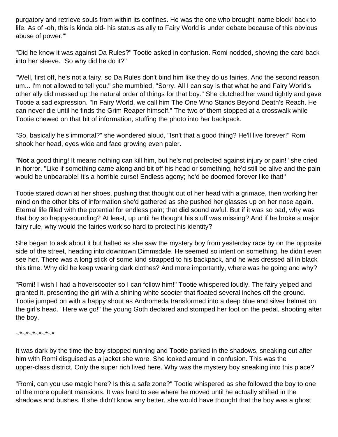purgatory and retrieve souls from within its confines. He was the one who brought 'name block' back to life. As of -oh, this is kinda old- his status as ally to Fairy World is under debate because of this obvious abuse of power.'"

"Did he know it was against Da Rules?" Tootie asked in confusion. Romi nodded, shoving the card back into her sleeve. "So why did he do it?"

"Well, first off, he's not a fairy, so Da Rules don't bind him like they do us fairies. And the second reason, um... I'm not allowed to tell you." she mumbled, "Sorry. All I can say is that what he and Fairy World's other ally did messed up the natural order of things for that boy." She clutched her wand tightly and gave Tootie a sad expression. "In Fairy World, we call him The One Who Stands Beyond Death's Reach. He can never die until he finds the Grim Reaper himself." The two of them stopped at a crosswalk while Tootie chewed on that bit of information, stuffing the photo into her backpack.

"So, basically he's immortal?" she wondered aloud, "Isn't that a good thing? He'll live forever!" Romi shook her head, eyes wide and face growing even paler.

"**Not** a good thing! It means nothing can kill him, but he's not protected against injury or pain!" she cried in horror, "Like if something came along and bit off his head or something, he'd still be alive and the pain would be unbearable! It's a horrible curse! Endless agony; he'd be doomed forever like that!"

Tootie stared down at her shoes, pushing that thought out of her head with a grimace, then working her mind on the other bits of information she'd gathered as she pushed her glasses up on her nose again. Eternal life filled with the potential for endless pain; that **did** sound awful. But if it was so bad, why was that boy so happy-sounding? At least, up until he thought his stuff was missing? And if he broke a major fairy rule, why would the fairies work so hard to protect his identity?

She began to ask about it but halted as she saw the mystery boy from yesterday race by on the opposite side of the street, heading into downtown Dimmsdale. He seemed so intent on something, he didn't even see her. There was a long stick of some kind strapped to his backpack, and he was dressed all in black this time. Why did he keep wearing dark clothes? And more importantly, where was he going and why?

"Romi! I wish I had a hoverscooter so I can follow him!" Tootie whispered loudly. The fairy yelped and granted it, presenting the girl with a shining white scooter that floated several inches off the ground. Tootie jumped on with a happy shout as Andromeda transformed into a deep blue and silver helmet on the girl's head. "Here we go!" the young Goth declared and stomped her foot on the pedal, shooting after the boy.

### $x^*x^*x^*x^*x^*$

It was dark by the time the boy stopped running and Tootie parked in the shadows, sneaking out after him with Romi disguised as a jacket she wore. She looked around in confusion. This was the upper-class district. Only the super rich lived here. Why was the mystery boy sneaking into this place?

"Romi, can you use magic here? Is this a safe zone?" Tootie whispered as she followed the boy to one of the more opulent mansions. It was hard to see where he moved until he actually shifted in the shadows and bushes. If she didn't know any better, she would have thought that the boy was a ghost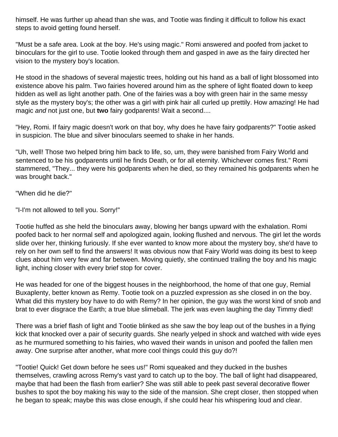himself. He was further up ahead than she was, and Tootie was finding it difficult to follow his exact steps to avoid getting found herself.

"Must be a safe area. Look at the boy. He's using magic." Romi answered and poofed from jacket to binoculars for the girl to use. Tootie looked through them and gasped in awe as the fairy directed her vision to the mystery boy's location.

He stood in the shadows of several majestic trees, holding out his hand as a ball of light blossomed into existence above his palm. Two fairies hovered around him as the sphere of light floated down to keep hidden as well as light another path. One of the fairies was a boy with green hair in the same messy style as the mystery boy's; the other was a girl with pink hair all curled up prettily. How amazing! He had magic and not just one, but **two** fairy godparents! Wait a second....

"Hey, Romi. If fairy magic doesn't work on that boy, why does he have fairy godparents?" Tootie asked in suspicion. The blue and silver binoculars seemed to shake in her hands.

"Uh, well! Those two helped bring him back to life, so, um, they were banished from Fairy World and sentenced to be his godparents until he finds Death, or for all eternity. Whichever comes first." Romi stammered, "They... they were his godparents when he died, so they remained his godparents when he was brought back."

"When did he die?"

"I-I'm not allowed to tell you. Sorry!"

Tootie huffed as she held the binoculars away, blowing her bangs upward with the exhalation. Romi poofed back to her normal self and apologized again, looking flushed and nervous. The girl let the words slide over her, thinking furiously. If she ever wanted to know more about the mystery boy, she'd have to rely on her own self to find the answers! It was obvious now that Fairy World was doing its best to keep clues about him very few and far between. Moving quietly, she continued trailing the boy and his magic light, inching closer with every brief stop for cover.

He was headed for one of the biggest houses in the neighborhood, the home of that one guy, Remial Buxaplenty, better known as Remy. Tootie took on a puzzled expression as she closed in on the boy. What did this mystery boy have to do with Remy? In her opinion, the guy was the worst kind of snob and brat to ever disgrace the Earth; a true blue slimeball. The jerk was even laughing the day Timmy died!

There was a brief flash of light and Tootie blinked as she saw the boy leap out of the bushes in a flying kick that knocked over a pair of security guards. She nearly yelped in shock and watched with wide eyes as he murmured something to his fairies, who waved their wands in unison and poofed the fallen men away. One surprise after another, what more cool things could this guy do?!

"Tootie! Quick! Get down before he sees us!" Romi squeaked and they ducked in the bushes themselves, crawling across Remy's vast yard to catch up to the boy. The ball of light had disappeared, maybe that had been the flash from earlier? She was still able to peek past several decorative flower bushes to spot the boy making his way to the side of the mansion. She crept closer, then stopped when he began to speak; maybe this was close enough, if she could hear his whispering loud and clear.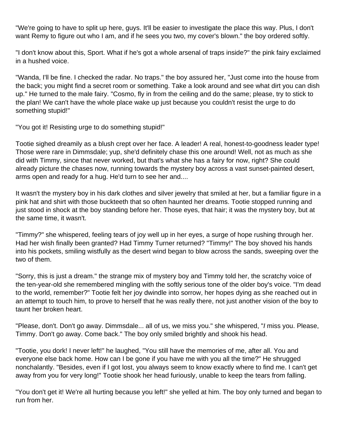"We're going to have to split up here, guys. It'll be easier to investigate the place this way. Plus, I don't want Remy to figure out who I am, and if he sees you two, my cover's blown." the boy ordered softly.

"I don't know about this, Sport. What if he's got a whole arsenal of traps inside?" the pink fairy exclaimed in a hushed voice.

"Wanda, I'll be fine. I checked the radar. No traps." the boy assured her, "Just come into the house from the back; you might find a secret room or something. Take a look around and see what dirt you can dish up." He turned to the male fairy. "Cosmo, fly in from the ceiling and do the same; please, try to stick to the plan! We can't have the whole place wake up just because you couldn't resist the urge to do something stupid!"

"You got it! Resisting urge to do something stupid!"

Tootie sighed dreamily as a blush crept over her face. A leader! A real, honest-to-goodness leader type! Those were rare in Dimmsdale; yup, she'd definitely chase this one around! Well, not as much as she did with Timmy, since that never worked, but that's what she has a fairy for now, right? She could already picture the chases now, running towards the mystery boy across a vast sunset-painted desert, arms open and ready for a hug. He'd turn to see her and....

It wasn't the mystery boy in his dark clothes and silver jewelry that smiled at her, but a familiar figure in a pink hat and shirt with those buckteeth that so often haunted her dreams. Tootie stopped running and just stood in shock at the boy standing before her. Those eyes, that hair; it was the mystery boy, but at the same time, it wasn't.

"Timmy?" she whispered, feeling tears of joy well up in her eyes, a surge of hope rushing through her. Had her wish finally been granted? Had Timmy Turner returned? "Timmy!" The boy shoved his hands into his pockets, smiling wistfully as the desert wind began to blow across the sands, sweeping over the two of them.

"Sorry, this is just a dream." the strange mix of mystery boy and Timmy told her, the scratchy voice of the ten-year-old she remembered mingling with the softly serious tone of the older boy's voice. "I'm dead to the world, remember?" Tootie felt her joy dwindle into sorrow, her hopes dying as she reached out in an attempt to touch him, to prove to herself that he was really there, not just another vision of the boy to taunt her broken heart.

"Please, don't. Don't go away. Dimmsdale... all of us, we miss you." she whispered, "I miss you. Please, Timmy. Don't go away. Come back." The boy only smiled brightly and shook his head.

"Tootie, you dork! I never left!" he laughed, "You still have the memories of me, after all. You and everyone else back home. How can I be gone if you have me with you all the time?" He shrugged nonchalantly. "Besides, even if I got lost, you always seem to know exactly where to find me. I can't get away from you for very long!" Tootie shook her head furiously, unable to keep the tears from falling.

"You don't get it! We're all hurting because you left!" she yelled at him. The boy only turned and began to run from her.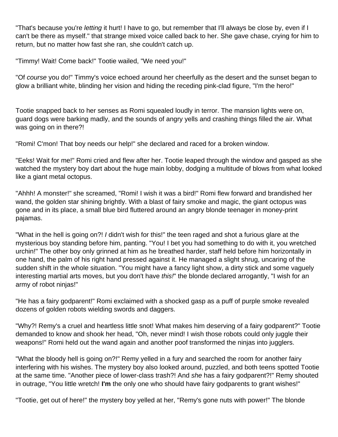"That's because you're *letting* it hurt! I have to go, but remember that I'll always be close by, even if I can't be there as myself." that strange mixed voice called back to her. She gave chase, crying for him to return, but no matter how fast she ran, she couldn't catch up.

"Timmy! Wait! Come back!" Tootie wailed, "We need you!"

"Of course you do!" Timmy's voice echoed around her cheerfully as the desert and the sunset began to glow a brilliant white, blinding her vision and hiding the receding pink-clad figure, "I'm the hero!"

Tootie snapped back to her senses as Romi squealed loudly in terror. The mansion lights were on, guard dogs were barking madly, and the sounds of angry yells and crashing things filled the air. What was going on in there?!

"Romi! C'mon! That boy needs our help!" she declared and raced for a broken window.

"Eeks! Wait for me!" Romi cried and flew after her. Tootie leaped through the window and gasped as she watched the mystery boy dart about the huge main lobby, dodging a multitude of blows from what looked like a giant metal octopus.

"Ahhh! A monster!" she screamed, "Romi! I wish it was a bird!" Romi flew forward and brandished her wand, the golden star shining brightly. With a blast of fairy smoke and magic, the giant octopus was gone and in its place, a small blue bird fluttered around an angry blonde teenager in money-print pajamas.

"What in the hell is going on?! I didn't wish for this!" the teen raged and shot a furious glare at the mysterious boy standing before him, panting. "You! I bet you had something to do with it, you wretched urchin!" The other boy only grinned at him as he breathed harder, staff held before him horizontally in one hand, the palm of his right hand pressed against it. He managed a slight shrug, uncaring of the sudden shift in the whole situation. "You might have a fancy light show, a dirty stick and some vaguely interesting martial arts moves, but you don't have this!" the blonde declared arrogantly, "I wish for an army of robot ninjas!"

"He has a fairy godparent!" Romi exclaimed with a shocked gasp as a puff of purple smoke revealed dozens of golden robots wielding swords and daggers.

"Why?! Remy's a cruel and heartless little snot! What makes him deserving of a fairy godparent?" Tootie demanded to know and shook her head, "Oh, never mind! I wish those robots could only juggle their weapons!" Romi held out the wand again and another poof transformed the ninjas into jugglers.

"What the bloody hell is going on?!" Remy yelled in a fury and searched the room for another fairy interfering with his wishes. The mystery boy also looked around, puzzled, and both teens spotted Tootie at the same time. "Another piece of lower-class trash?! And she has a fairy godparent?!" Remy shouted in outrage, "You little wretch! **I'm** the only one who should have fairy godparents to grant wishes!"

"Tootie, get out of here!" the mystery boy yelled at her, "Remy's gone nuts with power!" The blonde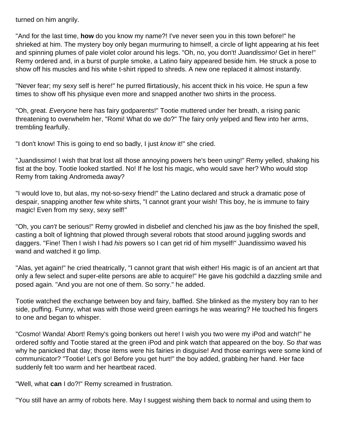turned on him angrily.

"And for the last time, **how** do you know my name?! I've never seen you in this town before!" he shrieked at him. The mystery boy only began murmuring to himself, a circle of light appearing at his feet and spinning plumes of pale violet color around his legs. "Oh, no, you don't! Juandissimo! Get in here!" Remy ordered and, in a burst of purple smoke, a Latino fairy appeared beside him. He struck a pose to show off his muscles and his white t-shirt ripped to shreds. A new one replaced it almost instantly.

"Never fear; my sexy self is here!" he purred flirtatiously, his accent thick in his voice. He spun a few times to show off his physique even more and snapped another two shirts in the process.

"Oh, great. *Everyone* here has fairy godparents!" Tootie muttered under her breath, a rising panic threatening to overwhelm her, "Romi! What do we do?" The fairy only yelped and flew into her arms, trembling fearfully.

"I don't know! This is going to end so badly, I just know it!" she cried.

"Juandissimo! I wish that brat lost all those annoying powers he's been using!" Remy yelled, shaking his fist at the boy. Tootie looked startled. No! If he lost his magic, who would save her? Who would stop Remy from taking Andromeda away?

"I would love to, but alas, my not-so-sexy friend!" the Latino declared and struck a dramatic pose of despair, snapping another few white shirts, "I cannot grant your wish! This boy, he is immune to fairy magic! Even from my sexy, sexy self!"

"Oh, you can't be serious!" Remy growled in disbelief and clenched his jaw as the boy finished the spell, casting a bolt of lightning that plowed through several robots that stood around juggling swords and daggers. "Fine! Then I wish I had *his* powers so I can get rid of him myself!" Juandissimo waved his wand and watched it go limp.

"Alas, yet again!" he cried theatrically, "I cannot grant that wish either! His magic is of an ancient art that only a few select and super-elite persons are able to acquire!" He gave his godchild a dazzling smile and posed again. "And you are not one of them. So sorry." he added.

Tootie watched the exchange between boy and fairy, baffled. She blinked as the mystery boy ran to her side, puffing. Funny, what was with those weird green earrings he was wearing? He touched his fingers to one and began to whisper.

"Cosmo! Wanda! Abort! Remy's going bonkers out here! I wish you two were my iPod and watch!" he ordered softly and Tootie stared at the green iPod and pink watch that appeared on the boy. So that was why he panicked that day; those items were his fairies in disguise! And those earrings were some kind of communicator? "Tootie! Let's go! Before you get hurt!" the boy added, grabbing her hand. Her face suddenly felt too warm and her heartbeat raced.

"Well, what **can** I do?!" Remy screamed in frustration.

"You still have an army of robots here. May I suggest wishing them back to normal and using them to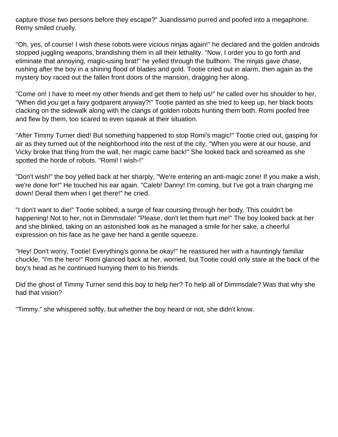capture those two persons before they escape?" Juandissimo purred and poofed into a megaphone. Remy smiled cruelly.

"Oh, yes, of course! I wish these robots were vicious ninjas again!" he declared and the golden androids stopped juggling weapons, brandishing them in all their lethality. "Now, I order you to go forth and eliminate that annoying, magic-using brat!" he yelled through the bullhorn. The ninjas gave chase, rushing after the boy in a shining flood of blades and gold. Tootie cried out in alarm, then again as the mystery boy raced out the fallen front doors of the mansion, dragging her along.

"Come on! I have to meet my other friends and get them to help us!" he called over his shoulder to her, "When did you get a fairy godparent anyway?!" Tootie panted as she tried to keep up, her black boots clacking on the sidewalk along with the clangs of golden robots hunting them both. Romi poofed free and flew by them, too scared to even squeak at their situation.

"After Timmy Turner died! But something happened to stop Romi's magic!" Tootie cried out, gasping for air as they turned out of the neighborhood into the rest of the city, "When you were at our house, and Vicky broke that thing from the wall, her magic came back!" She looked back and screamed as she spotted the horde of robots. "Romi! I wish-!"

"Don't wish!" the boy yelled back at her sharply, "We're entering an anti-magic zone! If you make a wish, we're done for!" He touched his ear again. "Caleb! Danny! I'm coming, but I've got a train charging me down! Derail them when I get there!" he cried.

"I don't want to die!" Tootie sobbed, a surge of fear coursing through her body. This couldn't be happening! Not to her, not in Dimmsdale! "Please, don't let them hurt me!" The boy looked back at her and she blinked, taking on an astonished look as he managed a smile for her sake, a cheerful expression on his face as he gave her hand a gentle squeeze.

"Hey! Don't worry, Tootie! Everything's gonna be okay!" he reassured her with a hauntingly familiar chuckle, "I'm the hero!" Romi glanced back at her, worried, but Tootie could only stare at the back of the boy's head as he continued hurrying them to his friends.

Did the ghost of Timmy Turner send this boy to help her? To help all of Dimmsdale? Was that why she had that vision?

"Timmy." she whispered softly, but whether the boy heard or not, she didn't know.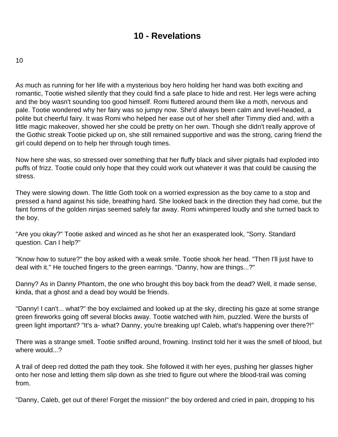# **10 - Revelations**

### 10

As much as running for her life with a mysterious boy hero holding her hand was both exciting and romantic, Tootie wished silently that they could find a safe place to hide and rest. Her legs were aching and the boy wasn't sounding too good himself. Romi fluttered around them like a moth, nervous and pale. Tootie wondered why her fairy was so jumpy now. She'd always been calm and level-headed, a polite but cheerful fairy. It was Romi who helped her ease out of her shell after Timmy died and, with a little magic makeover, showed her she could be pretty on her own. Though she didn't really approve of the Gothic streak Tootie picked up on, she still remained supportive and was the strong, caring friend the girl could depend on to help her through tough times.

Now here she was, so stressed over something that her fluffy black and silver pigtails had exploded into puffs of frizz. Tootie could only hope that they could work out whatever it was that could be causing the stress.

They were slowing down. The little Goth took on a worried expression as the boy came to a stop and pressed a hand against his side, breathing hard. She looked back in the direction they had come, but the faint forms of the golden ninjas seemed safely far away. Romi whimpered loudly and she turned back to the boy.

"Are you okay?" Tootie asked and winced as he shot her an exasperated look, "Sorry. Standard question. Can I help?"

"Know how to suture?" the boy asked with a weak smile. Tootie shook her head. "Then I'll just have to deal with it." He touched fingers to the green earrings. "Danny, how are things...?"

Danny? As in Danny Phantom, the one who brought this boy back from the dead? Well, it made sense, kinda, that a ghost and a dead boy would be friends.

"Danny! I can't... what?" the boy exclaimed and looked up at the sky, directing his gaze at some strange green fireworks going off several blocks away. Tootie watched with him, puzzled. Were the bursts of green light important? "It's a- what? Danny, you're breaking up! Caleb, what's happening over there?!"

There was a strange smell. Tootie sniffed around, frowning. Instinct told her it was the smell of blood, but where would...?

A trail of deep red dotted the path they took. She followed it with her eyes, pushing her glasses higher onto her nose and letting them slip down as she tried to figure out where the blood-trail was coming from.

"Danny, Caleb, get out of there! Forget the mission!" the boy ordered and cried in pain, dropping to his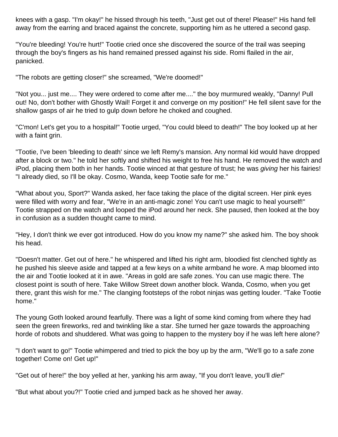knees with a gasp. "I'm okay!" he hissed through his teeth, "Just get out of there! Please!" His hand fell away from the earring and braced against the concrete, supporting him as he uttered a second gasp.

"You're bleeding! You're hurt!" Tootie cried once she discovered the source of the trail was seeping through the boy's fingers as his hand remained pressed against his side. Romi flailed in the air, panicked.

"The robots are getting closer!" she screamed, "We're doomed!"

"Not you... just me.... They were ordered to come after me...." the boy murmured weakly, "Danny! Pull out! No, don't bother with Ghostly Wail! Forget it and converge on my position!" He fell silent save for the shallow gasps of air he tried to gulp down before he choked and coughed.

"C'mon! Let's get you to a hospital!" Tootie urged, "You could bleed to death!" The boy looked up at her with a faint grin.

"Tootie, I've been 'bleeding to death' since we left Remy's mansion. Any normal kid would have dropped after a block or two." he told her softly and shifted his weight to free his hand. He removed the watch and iPod, placing them both in her hands. Tootie winced at that gesture of trust; he was *giving* her his fairies! "I already died, so I'll be okay. Cosmo, Wanda, keep Tootie safe for me."

"What about you, Sport?" Wanda asked, her face taking the place of the digital screen. Her pink eyes were filled with worry and fear, "We're in an anti-magic zone! You can't use magic to heal yourself!" Tootie strapped on the watch and looped the iPod around her neck. She paused, then looked at the boy in confusion as a sudden thought came to mind.

"Hey, I don't think we ever got introduced. How do you know my name?" she asked him. The boy shook his head.

"Doesn't matter. Get out of here." he whispered and lifted his right arm, bloodied fist clenched tightly as he pushed his sleeve aside and tapped at a few keys on a white armband he wore. A map bloomed into the air and Tootie looked at it in awe. "Areas in gold are safe zones. You can use magic there. The closest point is south of here. Take Willow Street down another block. Wanda, Cosmo, when you get there, grant this wish for me." The clanging footsteps of the robot ninjas was getting louder. "Take Tootie home."

The young Goth looked around fearfully. There was a light of some kind coming from where they had seen the green fireworks, red and twinkling like a star. She turned her gaze towards the approaching horde of robots and shuddered. What was going to happen to the mystery boy if he was left here alone?

"I don't want to go!" Tootie whimpered and tried to pick the boy up by the arm, "We'll go to a safe zone together! Come on! Get up!"

"Get out of here!" the boy yelled at her, yanking his arm away, "If you don't leave, you'll die!"

"But what about you?!" Tootie cried and jumped back as he shoved her away.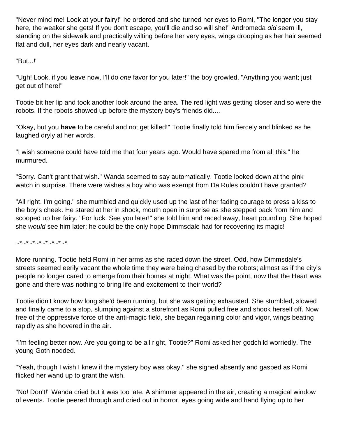"Never mind me! Look at your fairy!" he ordered and she turned her eyes to Romi, "The longer you stay here, the weaker she gets! If you don't escape, you'll die and so will she!" Andromeda did seem ill, standing on the sidewalk and practically wilting before her very eyes, wings drooping as her hair seemed flat and dull, her eyes dark and nearly vacant.

"But...!"

"Ugh! Look, if you leave now, I'll do one favor for you later!" the boy growled, "Anything you want; just get out of here!"

Tootie bit her lip and took another look around the area. The red light was getting closer and so were the robots. If the robots showed up before the mystery boy's friends did....

"Okay, but you **have** to be careful and not get killed!" Tootie finally told him fiercely and blinked as he laughed dryly at her words.

"I wish someone could have told me that four years ago. Would have spared me from all this." he murmured.

"Sorry. Can't grant that wish." Wanda seemed to say automatically. Tootie looked down at the pink watch in surprise. There were wishes a boy who was exempt from Da Rules couldn't have granted?

"All right. I'm going." she mumbled and quickly used up the last of her fading courage to press a kiss to the boy's cheek. He stared at her in shock, mouth open in surprise as she stepped back from him and scooped up her fairy. "For luck. See you later!" she told him and raced away, heart pounding. She hoped she would see him later; he could be the only hope Dimmsdale had for recovering its magic!

## $\sim^*$ ~ $*$ ~ $*$ ~ $*$ ~ $*$ ~ $*$

More running. Tootie held Romi in her arms as she raced down the street. Odd, how Dimmsdale's streets seemed eerily vacant the whole time they were being chased by the robots; almost as if the city's people no longer cared to emerge from their homes at night. What was the point, now that the Heart was gone and there was nothing to bring life and excitement to their world?

Tootie didn't know how long she'd been running, but she was getting exhausted. She stumbled, slowed and finally came to a stop, slumping against a storefront as Romi pulled free and shook herself off. Now free of the oppressive force of the anti-magic field, she began regaining color and vigor, wings beating rapidly as she hovered in the air.

"I'm feeling better now. Are you going to be all right, Tootie?" Romi asked her godchild worriedly. The young Goth nodded.

"Yeah, though I wish I knew if the mystery boy was okay." she sighed absently and gasped as Romi flicked her wand up to grant the wish.

"No! Don't!" Wanda cried but it was too late. A shimmer appeared in the air, creating a magical window of events. Tootie peered through and cried out in horror, eyes going wide and hand flying up to her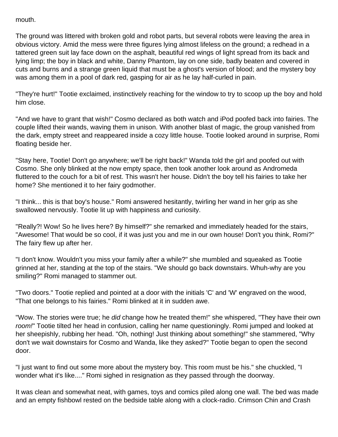mouth.

The ground was littered with broken gold and robot parts, but several robots were leaving the area in obvious victory. Amid the mess were three figures lying almost lifeless on the ground; a redhead in a tattered green suit lay face down on the asphalt, beautiful red wings of light spread from its back and lying limp; the boy in black and white, Danny Phantom, lay on one side, badly beaten and covered in cuts and burns and a strange green liquid that must be a ghost's version of blood; and the mystery boy was among them in a pool of dark red, gasping for air as he lay half-curled in pain.

"They're hurt!" Tootie exclaimed, instinctively reaching for the window to try to scoop up the boy and hold him close.

"And we have to grant that wish!" Cosmo declared as both watch and iPod poofed back into fairies. The couple lifted their wands, waving them in unison. With another blast of magic, the group vanished from the dark, empty street and reappeared inside a cozy little house. Tootie looked around in surprise, Romi floating beside her.

"Stay here, Tootie! Don't go anywhere; we'll be right back!" Wanda told the girl and poofed out with Cosmo. She only blinked at the now empty space, then took another look around as Andromeda fluttered to the couch for a bit of rest. This wasn't her house. Didn't the boy tell his fairies to take her home? She mentioned it to her fairy godmother.

"I think... this is that boy's house." Romi answered hesitantly, twirling her wand in her grip as she swallowed nervously. Tootie lit up with happiness and curiosity.

"Really?! Wow! So he lives here? By himself?" she remarked and immediately headed for the stairs, "Awesome! That would be so cool, if it was just you and me in our own house! Don't you think, Romi?" The fairy flew up after her.

"I don't know. Wouldn't you miss your family after a while?" she mumbled and squeaked as Tootie grinned at her, standing at the top of the stairs. "We should go back downstairs. Whuh-why are you smiling?" Romi managed to stammer out.

"Two doors." Tootie replied and pointed at a door with the initials 'C' and 'W' engraved on the wood, "That one belongs to his fairies." Romi blinked at it in sudden awe.

"Wow. The stories were true; he *did* change how he treated them!" she whispered, "They have their own room!" Tootie tilted her head in confusion, calling her name questioningly. Romi jumped and looked at her sheepishly, rubbing her head. "Oh, nothing! Just thinking about something!" she stammered, "Why don't we wait downstairs for Cosmo and Wanda, like they asked?" Tootie began to open the second door.

"I just want to find out some more about the mystery boy. This room must be his." she chuckled, "I wonder what it's like...." Romi sighed in resignation as they passed through the doorway.

It was clean and somewhat neat, with games, toys and comics piled along one wall. The bed was made and an empty fishbowl rested on the bedside table along with a clock-radio. Crimson Chin and Crash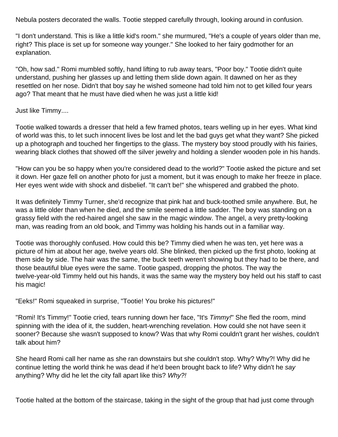Nebula posters decorated the walls. Tootie stepped carefully through, looking around in confusion.

"I don't understand. This is like a little kid's room." she murmured, "He's a couple of years older than me, right? This place is set up for someone way younger." She looked to her fairy godmother for an explanation.

"Oh, how sad." Romi mumbled softly, hand lifting to rub away tears, "Poor boy." Tootie didn't quite understand, pushing her glasses up and letting them slide down again. It dawned on her as they resettled on her nose. Didn't that boy say he wished someone had told him not to get killed four years ago? That meant that he must have died when he was just a little kid!

## Just like Timmy....

Tootie walked towards a dresser that held a few framed photos, tears welling up in her eyes. What kind of world was this, to let such innocent lives be lost and let the bad guys get what they want? She picked up a photograph and touched her fingertips to the glass. The mystery boy stood proudly with his fairies, wearing black clothes that showed off the silver jewelry and holding a slender wooden pole in his hands.

"How can you be so happy when you're considered dead to the world?" Tootie asked the picture and set it down. Her gaze fell on another photo for just a moment, but it was enough to make her freeze in place. Her eyes went wide with shock and disbelief. "It can't be!" she whispered and grabbed the photo.

It was definitely Timmy Turner, she'd recognize that pink hat and buck-toothed smile anywhere. But, he was a little older than when he died, and the smile seemed a little sadder. The boy was standing on a grassy field with the red-haired angel she saw in the magic window. The angel, a very pretty-looking man, was reading from an old book, and Timmy was holding his hands out in a familiar way.

Tootie was thoroughly confused. How could this be? Timmy died when he was ten, yet here was a picture of him at about her age, twelve years old. She blinked, then picked up the first photo, looking at them side by side. The hair was the same, the buck teeth weren't showing but they had to be there, and those beautiful blue eyes were the same. Tootie gasped, dropping the photos. The way the twelve-year-old Timmy held out his hands, it was the same way the mystery boy held out his staff to cast his magic!

"Eeks!" Romi squeaked in surprise, "Tootie! You broke his pictures!"

"Romi! It's Timmy!" Tootie cried, tears running down her face, "It's Timmy!" She fled the room, mind spinning with the idea of it, the sudden, heart-wrenching revelation. How could she not have seen it sooner? Because she wasn't supposed to know? Was that why Romi couldn't grant her wishes, couldn't talk about him?

She heard Romi call her name as she ran downstairs but she couldn't stop. Why? Why?! Why did he continue letting the world think he was dead if he'd been brought back to life? Why didn't he say anything? Why did he let the city fall apart like this? Why?!

Tootie halted at the bottom of the staircase, taking in the sight of the group that had just come through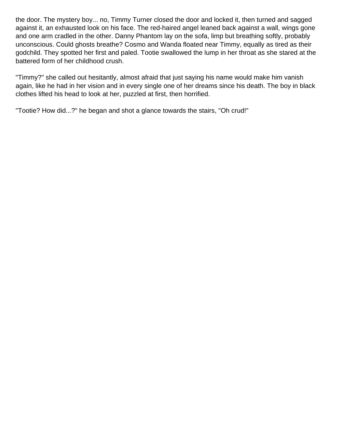the door. The mystery boy... no, Timmy Turner closed the door and locked it, then turned and sagged against it, an exhausted look on his face. The red-haired angel leaned back against a wall, wings gone and one arm cradled in the other. Danny Phantom lay on the sofa, limp but breathing softly, probably unconscious. Could ghosts breathe? Cosmo and Wanda floated near Timmy, equally as tired as their godchild. They spotted her first and paled. Tootie swallowed the lump in her throat as she stared at the battered form of her childhood crush.

"Timmy?" she called out hesitantly, almost afraid that just saying his name would make him vanish again, like he had in her vision and in every single one of her dreams since his death. The boy in black clothes lifted his head to look at her, puzzled at first, then horrified.

"Tootie? How did...?" he began and shot a glance towards the stairs, "Oh crud!"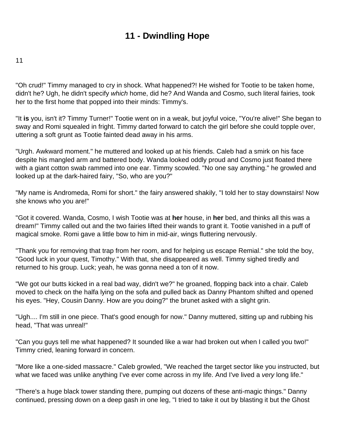# **11 - Dwindling Hope**

## 11

"Oh crud!" Timmy managed to cry in shock. What happened?! He wished for Tootie to be taken home, didn't he? Ugh, he didn't specify which home, did he? And Wanda and Cosmo, such literal fairies, took her to the first home that popped into their minds: Timmy's.

"It **is** you, isn't it? Timmy Turner!" Tootie went on in a weak, but joyful voice, "You're alive!" She began to sway and Romi squealed in fright. Timmy darted forward to catch the girl before she could topple over, uttering a soft grunt as Tootie fainted dead away in his arms.

"Urgh. Awkward moment." he muttered and looked up at his friends. Caleb had a smirk on his face despite his mangled arm and battered body. Wanda looked oddly proud and Cosmo just floated there with a giant cotton swab rammed into one ear. Timmy scowled. "No one say anything." he growled and looked up at the dark-haired fairy, "So, who are you?"

"My name is Andromeda, Romi for short." the fairy answered shakily, "I told her to stay downstairs! Now she knows who you are!"

"Got it covered. Wanda, Cosmo, I wish Tootie was at **her** house, in **her** bed, and thinks all this was a dream!" Timmy called out and the two fairies lifted their wands to grant it. Tootie vanished in a puff of magical smoke. Romi gave a little bow to him in mid-air, wings fluttering nervously.

"Thank you for removing that trap from her room, and for helping us escape Remial." she told the boy, "Good luck in your quest, Timothy." With that, she disappeared as well. Timmy sighed tiredly and returned to his group. Luck; yeah, he was gonna need a ton of it now.

"We got our butts kicked in a real bad way, didn't we?" he groaned, flopping back into a chair. Caleb moved to check on the halfa lying on the sofa and pulled back as Danny Phantom shifted and opened his eyes. "Hey, Cousin Danny. How are you doing?" the brunet asked with a slight grin.

"Ugh.... I'm still in one piece. That's good enough for now." Danny muttered, sitting up and rubbing his head, "That was unreal!"

"Can you guys tell me what happened? It sounded like a war had broken out when I called you two!" Timmy cried, leaning forward in concern.

"More like a one-sided massacre." Caleb growled, "We reached the target sector like you instructed, but what we faced was unlike anything I've ever come across in my life. And I've lived a very long life."

"There's a huge black tower standing there, pumping out dozens of these anti-magic things." Danny continued, pressing down on a deep gash in one leg, "I tried to take it out by blasting it but the Ghost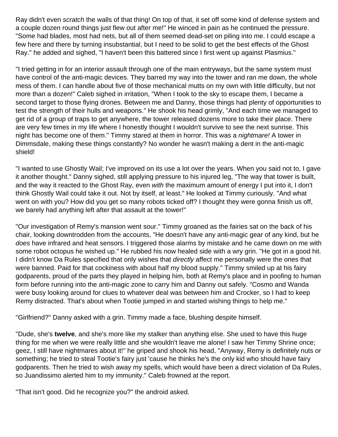Ray didn't even scratch the walls of that thing! On top of that, it set off some kind of defense system and a couple dozen round things just flew out after me!" He winced in pain as he continued the pressure. "Some had blades, most had nets, but all of them seemed dead-set on piling into me. I could escape a few here and there by turning insubstantial, but I need to be solid to get the best effects of the Ghost Ray." he added and sighed, "I haven't been this battered since I first went up against Plasmius."

"I tried getting in for an interior assault through one of the main entryways, but the same system must have control of the anti-magic devices. They barred my way into the tower and ran me down, the whole mess of them. I can handle about five of those mechanical mutts on my own with little difficulty, but not more than a dozen!" Caleb sighed in irritation, "When I took to the sky to escape them, I became a second target to those flying drones. Between me and Danny, those things had plenty of opportunities to test the strength of their hulls and weapons." He shook his head grimly, "And each time we managed to get rid of a group of traps to get anywhere, the tower released dozens more to take their place. There are very few times in my life where I honestly thought I wouldn't survive to see the next sunrise. This night has become one of them." Timmy stared at them in horror. This was a nightmare! A tower in Dimmsdale, making these things constantly? No wonder he wasn't making a dent in the anti-magic shield!

"I wanted to use Ghostly Wail; I've improved on its use a lot over the years. When you said not to, I gave it another thought." Danny sighed, still applying pressure to his injured leg, "The way that tower is built, and the way it reacted to the Ghost Ray, even with the maximum amount of energy I put into it, I don't think Ghostly Wail could take it out. Not by itself, at least." He looked at Timmy curiously. "And what went on with you? How did you get so many robots ticked off? I thought they were gonna finish us off, we barely had anything left after that assault at the tower!"

"Our investigation of Remy's mansion went sour." Timmy groaned as the fairies sat on the back of his chair, looking downtrodden from the accounts, "He doesn't have any anti-magic gear of any kind, but he does have infrared and heat sensors. I triggered those alarms by mistake and he came down on me with some robot octopus he wished up." He rubbed his now healed side with a wry grin. "He got in a good hit. I didn't know Da Rules specified that only wishes that *directly* affect me personally were the ones that were banned. Paid for that cockiness with about half my blood supply." Timmy smiled up at his fairy godparents, proud of the parts they played in helping him, both at Remy's place and in poofing to human form before running into the anti-magic zone to carry him and Danny out safely. "Cosmo and Wanda were busy looking around for clues to whatever deal was between him and Crocker, so I had to keep Remy distracted. That's about when Tootie jumped in and started wishing things to help me."

"Girlfriend?" Danny asked with a grin. Timmy made a face, blushing despite himself.

"Dude, she's **twelve**, and she's more like my stalker than anything else. She used to have this huge thing for me when we were really little and she wouldn't leave me alone! I saw her Timmy Shrine once; geez, I still have nightmares about it!" he griped and shook his head, "Anyway, Remy is definitely nuts or something; he tried to steal Tootie's fairy just 'cause he thinks he's the only kid who should have fairy godparents. Then he tried to wish away my spells, which would have been a direct violation of Da Rules, so Juandissimo alerted him to my immunity." Caleb frowned at the report.

"That isn't good. Did he recognize you?" the android asked.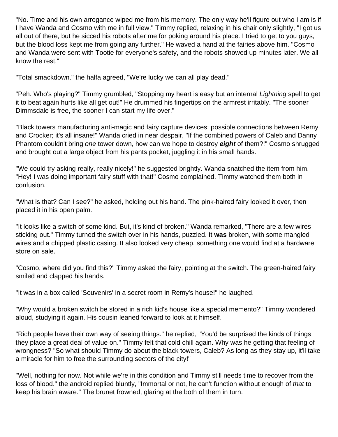"No. Time and his own arrogance wiped me from his memory. The only way he'll figure out who I am is if I have Wanda and Cosmo with me in full view." Timmy replied, relaxing in his chair only slightly, "I got us all out of there, but he sicced his robots after me for poking around his place. I tried to get to you guys, but the blood loss kept me from going any further." He waved a hand at the fairies above him. "Cosmo and Wanda were sent with Tootie for everyone's safety, and the robots showed up minutes later. We all know the rest."

"Total smackdown." the halfa agreed, "We're lucky we can all play dead."

"Peh. Who's playing?" Timmy grumbled, "Stopping my heart is easy but an internal Lightning spell to get it to beat again hurts like all get out!" He drummed his fingertips on the armrest irritably. "The sooner Dimmsdale is free, the sooner I can start my life over."

"Black towers manufacturing anti-magic and fairy capture devices; possible connections between Remy and Crocker; it's all insane!" Wanda cried in near despair, "If the combined powers of Caleb and Danny Phantom couldn't bring one tower down, how can we hope to destroy **eight** of them?!" Cosmo shrugged and brought out a large object from his pants pocket, juggling it in his small hands.

"We could try asking really, really nicely!" he suggested brightly. Wanda snatched the item from him. "Hey! I was doing important fairy stuff with that!" Cosmo complained. Timmy watched them both in confusion.

"What is that? Can I see?" he asked, holding out his hand. The pink-haired fairy looked it over, then placed it in his open palm.

"It looks like a switch of some kind. But, it's kind of broken." Wanda remarked, "There are a few wires sticking out." Timmy turned the switch over in his hands, puzzled. It **was** broken, with some mangled wires and a chipped plastic casing. It also looked very cheap, something one would find at a hardware store on sale.

"Cosmo, where did you find this?" Timmy asked the fairy, pointing at the switch. The green-haired fairy smiled and clapped his hands.

"It was in a box called 'Souvenirs' in a secret room in Remy's house!" he laughed.

"Why would a broken switch be stored in a rich kid's house like a special memento?" Timmy wondered aloud, studying it again. His cousin leaned forward to look at it himself.

"Rich people have their own way of seeing things." he replied, "You'd be surprised the kinds of things they place a great deal of value on." Timmy felt that cold chill again. Why was he getting that feeling of wrongness? "So what should Timmy do about the black towers, Caleb? As long as they stay up, it'll take a miracle for him to free the surrounding sectors of the city!"

"Well, nothing for now. Not while we're in this condition and Timmy still needs time to recover from the loss of blood." the android replied bluntly, "Immortal or not, he can't function without enough of that to keep his brain aware." The brunet frowned, glaring at the both of them in turn.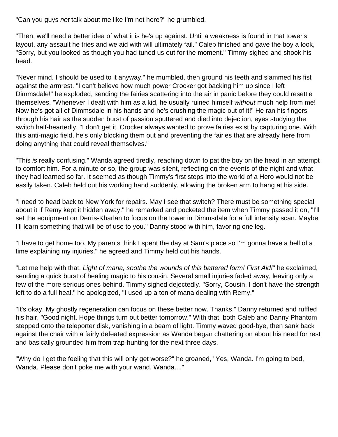"Can you guys not talk about me like I'm not here?" he grumbled.

"Then, we'll need a better idea of what it is he's up against. Until a weakness is found in that tower's layout, any assault he tries and we aid with will ultimately fail." Caleb finished and gave the boy a look, "Sorry, but you looked as though you had tuned us out for the moment." Timmy sighed and shook his head.

"Never mind. I should be used to it anyway." he mumbled, then ground his teeth and slammed his fist against the armrest. "I can't believe how much power Crocker got backing him up since I left Dimmsdale!" he exploded, sending the fairies scattering into the air in panic before they could resettle themselves, "Whenever I dealt with him as a kid, he usually ruined himself without much help from me! Now he's got all of Dimmsdale in his hands and he's crushing the magic out of it!" He ran his fingers through his hair as the sudden burst of passion sputtered and died into dejection, eyes studying the switch half-heartedly. "I don't get it. Crocker always wanted to prove fairies exist by capturing one. With this anti-magic field, he's only blocking them out and preventing the fairies that are already here from doing anything that could reveal themselves."

"This is really confusing." Wanda agreed tiredly, reaching down to pat the boy on the head in an attempt to comfort him. For a minute or so, the group was silent, reflecting on the events of the night and what they had learned so far. It seemed as though Timmy's first steps into the world of a Hero would not be easily taken. Caleb held out his working hand suddenly, allowing the broken arm to hang at his side.

"I need to head back to New York for repairs. May I see that switch? There must be something special about it if Remy kept it hidden away." he remarked and pocketed the item when Timmy passed it on, "I'll set the equipment on Derris-Kharlan to focus on the tower in Dimmsdale for a full intensity scan. Maybe I'll learn something that will be of use to you." Danny stood with him, favoring one leg.

"I have to get home too. My parents think I spent the day at Sam's place so I'm gonna have a hell of a time explaining my injuries." he agreed and Timmy held out his hands.

"Let me help with that. *Light of mana, soothe the wounds of this battered form! First Aid!*" he exclaimed, sending a quick burst of healing magic to his cousin. Several small injuries faded away, leaving only a few of the more serious ones behind. Timmy sighed dejectedly. "Sorry, Cousin. I don't have the strength left to do a full heal." he apologized, "I used up a ton of mana dealing with Remy."

"It's okay. My ghostly regeneration can focus on these better now. Thanks." Danny returned and ruffled his hair, "Good night. Hope things turn out better tomorrow." With that, both Caleb and Danny Phantom stepped onto the teleporter disk, vanishing in a beam of light. Timmy waved good-bye, then sank back against the chair with a fairly defeated expression as Wanda began chattering on about his need for rest and basically grounded him from trap-hunting for the next three days.

"Why do I get the feeling that this will only get worse?" he groaned, "Yes, Wanda. I'm going to bed, Wanda. Please don't poke me with your wand, Wanda...."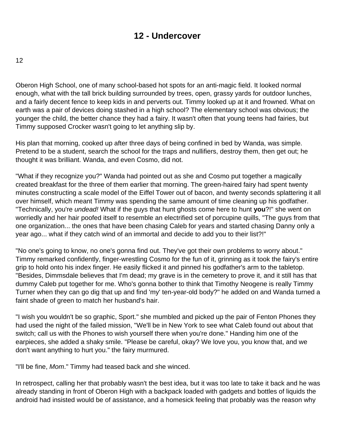## **12 - Undercover**

### 12

Oberon High School, one of many school-based hot spots for an anti-magic field. It looked normal enough, what with the tall brick building surrounded by trees, open, grassy yards for outdoor lunches, and a fairly decent fence to keep kids in and perverts out. Timmy looked up at it and frowned. What on earth was a pair of devices doing stashed in a high school? The elementary school was obvious; the younger the child, the better chance they had a fairy. It wasn't often that young teens had fairies, but Timmy supposed Crocker wasn't going to let anything slip by.

His plan that morning, cooked up after three days of being confined in bed by Wanda, was simple. Pretend to be a student, search the school for the traps and nullifiers, destroy them, then get out; he thought it was brilliant. Wanda, and even Cosmo, did not.

"What if they recognize you?" Wanda had pointed out as she and Cosmo put together a magically created breakfast for the three of them earlier that morning. The green-haired fairy had spent twenty minutes constructing a scale model of the Eiffel Tower out of bacon, and twenty seconds splattering it all over himself, which meant Timmy was spending the same amount of time cleaning up his godfather. "Technically, you're undead! What if the guys that hunt ghosts come here to hunt **you**?!" she went on worriedly and her hair poofed itself to resemble an electrified set of porcupine quills, "The guys from that one organization... the ones that have been chasing Caleb for years and started chasing Danny only a year ago... what if they catch wind of an immortal and decide to add you to their list?!"

"No one's going to know, no one's gonna find out. They've got their own problems to worry about." Timmy remarked confidently, finger-wrestling Cosmo for the fun of it, grinning as it took the fairy's entire grip to hold onto his index finger. He easily flicked it and pinned his godfather's arm to the tabletop. "Besides, Dimmsdale believes that I'm dead; my grave is in the cemetery to prove it, and it still has that dummy Caleb put together for me. Who's gonna bother to think that Timothy Neogene is really Timmy Turner when they can go dig that up and find 'my' ten-year-old body?" he added on and Wanda turned a faint shade of green to match her husband's hair.

"I wish you wouldn't be so graphic, Sport." she mumbled and picked up the pair of Fenton Phones they had used the night of the failed mission, "We'll be in New York to see what Caleb found out about that switch; call us with the Phones to wish yourself there when you're done." Handing him one of the earpieces, she added a shaky smile. "Please be careful, okay? We love you, you know that, and we don't want anything to hurt you." the fairy murmured.

"I'll be fine, Mom." Timmy had teased back and she winced.

In retrospect, calling her that probably wasn't the best idea, but it was too late to take it back and he was already standing in front of Oberon High with a backpack loaded with gadgets and bottles of liquids the android had insisted would be of assistance, and a homesick feeling that probably was the reason why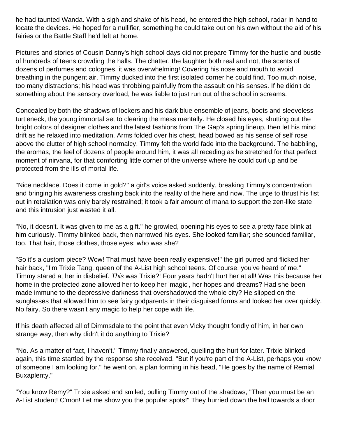he had taunted Wanda. With a sigh and shake of his head, he entered the high school, radar in hand to locate the devices. He hoped for a nullifier, something he could take out on his own without the aid of his fairies or the Battle Staff he'd left at home.

Pictures and stories of Cousin Danny's high school days did not prepare Timmy for the hustle and bustle of hundreds of teens crowding the halls. The chatter, the laughter both real and not, the scents of dozens of perfumes and colognes, it was overwhelming! Covering his nose and mouth to avoid breathing in the pungent air, Timmy ducked into the first isolated corner he could find. Too much noise, too many distractions; his head was throbbing painfully from the assault on his senses. If he didn't do something about the sensory overload, he was liable to just run out of the school in screams.

Concealed by both the shadows of lockers and his dark blue ensemble of jeans, boots and sleeveless turtleneck, the young immortal set to clearing the mess mentally. He closed his eyes, shutting out the bright colors of designer clothes and the latest fashions from The Gap's spring lineup, then let his mind drift as he relaxed into meditation. Arms folded over his chest, head bowed as his sense of self rose above the clutter of high school normalcy, Timmy felt the world fade into the background. The babbling, the aromas, the feel of dozens of people around him, it was all receding as he stretched for that perfect moment of nirvana, for that comforting little corner of the universe where he could curl up and be protected from the ills of mortal life.

"Nice necklace. Does it come in gold?" a girl's voice asked suddenly, breaking Timmy's concentration and bringing his awareness crashing back into the reality of the here and now. The urge to thrust his fist out in retaliation was only barely restrained; it took a fair amount of mana to support the zen-like state and this intrusion just wasted it all.

"No, it doesn't. It was given to me as a gift." he growled, opening his eyes to see a pretty face blink at him curiously. Timmy blinked back, then narrowed his eyes. She looked familiar; she sounded familiar, too. That hair, those clothes, those eyes; who was she?

"So it's a custom piece? Wow! That must have been really expensive!" the girl purred and flicked her hair back, "I'm Trixie Tang, queen of the A-List high school teens. Of course, you've heard of me." Timmy stared at her in disbelief. This was Trixie?! Four years hadn't hurt her at all! Was this because her home in the protected zone allowed her to keep her 'magic', her hopes and dreams? Had she been made immune to the depressive darkness that overshadowed the whole city? He slipped on the sunglasses that allowed him to see fairy godparents in their disguised forms and looked her over quickly. No fairy. So there wasn't any magic to help her cope with life.

If his death affected all of Dimmsdale to the point that even Vicky thought fondly of him, in her own strange way, then why didn't it do anything to Trixie?

"No. As a matter of fact, I haven't." Timmy finally answered, quelling the hurt for later. Trixie blinked again, this time startled by the response she received. "But if you're part of the A-List, perhaps you know of someone I am looking for." he went on, a plan forming in his head, "He goes by the name of Remial Buxaplenty."

"You know Remy?" Trixie asked and smiled, pulling Timmy out of the shadows, "Then you must be an A-List student! C'mon! Let me show you the popular spots!" They hurried down the hall towards a door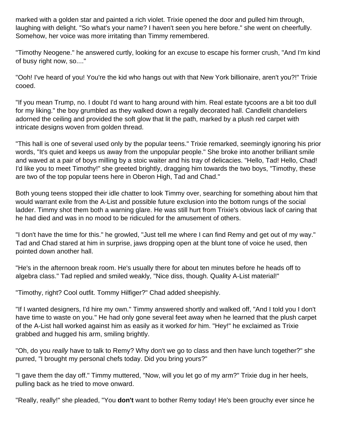marked with a golden star and painted a rich violet. Trixie opened the door and pulled him through, laughing with delight. "So what's your name? I haven't seen you here before." she went on cheerfully. Somehow, her voice was more irritating than Timmy remembered.

"Timothy Neogene." he answered curtly, looking for an excuse to escape his former crush, "And I'm kind of busy right now, so...."

"Ooh! I've heard of you! You're the kid who hangs out with that New York billionaire, aren't you?!" Trixie cooed.

"If you mean Trump, no. I doubt I'd want to hang around with him. Real estate tycoons are a bit too dull for my liking." the boy grumbled as they walked down a regally decorated hall. Candlelit chandeliers adorned the ceiling and provided the soft glow that lit the path, marked by a plush red carpet with intricate designs woven from golden thread.

"This hall is one of several used only by the popular teens." Trixie remarked, seemingly ignoring his prior words, "It's quiet and keeps us away from the unpopular people." She broke into another brilliant smile and waved at a pair of boys milling by a stoic waiter and his tray of delicacies. "Hello, Tad! Hello, Chad! I'd like you to meet Timothy!" she greeted brightly, dragging him towards the two boys, "Timothy, these are two of the top popular teens here in Oberon High, Tad and Chad."

Both young teens stopped their idle chatter to look Timmy over, searching for something about him that would warrant exile from the A-List and possible future exclusion into the bottom rungs of the social ladder. Timmy shot them both a warning glare. He was still hurt from Trixie's obvious lack of caring that he had died and was in no mood to be ridiculed for the amusement of others.

"I don't have the time for this." he growled, "Just tell me where I can find Remy and get out of my way." Tad and Chad stared at him in surprise, jaws dropping open at the blunt tone of voice he used, then pointed down another hall.

"He's in the afternoon break room. He's usually there for about ten minutes before he heads off to algebra class." Tad replied and smiled weakly, "Nice diss, though. Quality A-List material!"

"Timothy, right? Cool outfit. Tommy Hilfiger?" Chad added sheepishly.

"If I wanted designers, I'd hire my own." Timmy answered shortly and walked off, "And I told you I don't have time to waste on you." He had only gone several feet away when he learned that the plush carpet of the A-List hall worked against him as easily as it worked for him. "Hey!" he exclaimed as Trixie grabbed and hugged his arm, smiling brightly.

"Oh, do you really have to talk to Remy? Why don't we go to class and then have lunch together?" she purred, "I brought my personal chefs today. Did you bring yours?"

"I gave them the day off." Timmy muttered, "Now, will you let go of my arm?" Trixie dug in her heels, pulling back as he tried to move onward.

"Really, really!" she pleaded, "You **don't** want to bother Remy today! He's been grouchy ever since he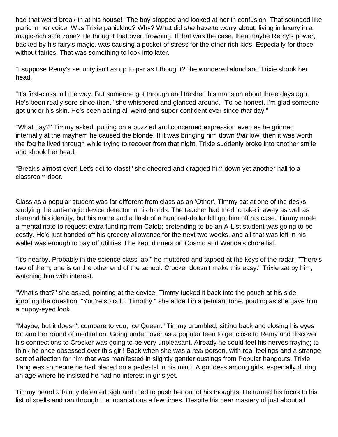had that weird break-in at his house!" The boy stopped and looked at her in confusion. That sounded like panic in her voice. Was Trixie panicking? Why? What did she have to worry about, living in luxury in a magic-rich safe zone? He thought that over, frowning. If that was the case, then maybe Remy's power, backed by his fairy's magic, was causing a pocket of stress for the other rich kids. Especially for those without fairies. That was something to look into later.

"I suppose Remy's security isn't as up to par as I thought?" he wondered aloud and Trixie shook her head.

"It's first-class, all the way. But someone got through and trashed his mansion about three days ago. He's been really sore since then." she whispered and glanced around, "To be honest, I'm glad someone got under his skin. He's been acting all weird and super-confident ever since that day."

"What day?" Timmy asked, putting on a puzzled and concerned expression even as he grinned internally at the mayhem he caused the blonde. If it was bringing him down that low, then it was worth the fog he lived through while trying to recover from that night. Trixie suddenly broke into another smile and shook her head.

"Break's almost over! Let's get to class!" she cheered and dragged him down yet another hall to a classroom door.

Class as a popular student was far different from class as an 'Other'. Timmy sat at one of the desks, studying the anti-magic device detector in his hands. The teacher had tried to take it away as well as demand his identity, but his name and a flash of a hundred-dollar bill got him off his case. Timmy made a mental note to request extra funding from Caleb; pretending to be an A-List student was going to be costly. He'd just handed off his grocery allowance for the next two weeks, and all that was left in his wallet was enough to pay off utilities if he kept dinners on Cosmo and Wanda's chore list.

"It's nearby. Probably in the science class lab." he muttered and tapped at the keys of the radar, "There's two of them; one is on the other end of the school. Crocker doesn't make this easy." Trixie sat by him, watching him with interest.

"What's that?" she asked, pointing at the device. Timmy tucked it back into the pouch at his side, ignoring the question. "You're so cold, Timothy." she added in a petulant tone, pouting as she gave him a puppy-eyed look.

"Maybe, but it doesn't compare to you, Ice Queen." Timmy grumbled, sitting back and closing his eyes for another round of meditation. Going undercover as a popular teen to get close to Remy and discover his connections to Crocker was going to be very unpleasant. Already he could feel his nerves fraying; to think he once obsessed over this girl! Back when she was a real person, with real feelings and a strange sort of affection for him that was manifested in slightly gentler oustings from Popular hangouts, Trixie Tang was someone he had placed on a pedestal in his mind. A goddess among girls, especially during an age where he insisted he had no interest in girls yet.

Timmy heard a faintly defeated sigh and tried to push her out of his thoughts. He turned his focus to his list of spells and ran through the incantations a few times. Despite his near mastery of just about all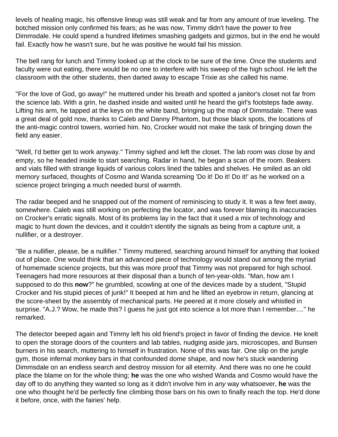levels of healing magic, his offensive lineup was still weak and far from any amount of true leveling. The botched mission only confirmed his fears; as he was now, Timmy didn't have the power to free Dimmsdale. He could spend a hundred lifetimes smashing gadgets and gizmos, but in the end he would fail. Exactly how he wasn't sure, but he was positive he would fail his mission.

The bell rang for lunch and Timmy looked up at the clock to be sure of the time. Once the students and faculty were out eating, there would be no one to interfere with his sweep of the high school. He left the classroom with the other students, then darted away to escape Trixie as she called his name.

"For the love of God, go away!" he muttered under his breath and spotted a janitor's closet not far from the science lab. With a grin, he dashed inside and waited until he heard the girl's footsteps fade away. Lifting his arm, he tapped at the keys on the white band, bringing up the map of Dimmsdale. There was a great deal of gold now, thanks to Caleb and Danny Phantom, but those black spots, the locations of the anti-magic control towers, worried him. No, Crocker would not make the task of bringing down the field any easier.

"Well, I'd better get to work anyway." Timmy sighed and left the closet. The lab room was close by and empty, so he headed inside to start searching. Radar in hand, he began a scan of the room. Beakers and vials filled with strange liquids of various colors lined the tables and shelves. He smiled as an old memory surfaced, thoughts of Cosmo and Wanda screaming 'Do it! Do it! Do it!' as he worked on a science project bringing a much needed burst of warmth.

The radar beeped and he snapped out of the moment of reminiscing to study it. It was a few feet away, somewhere. Caleb was still working on perfecting the locator, and was forever blaming its inaccuracies on Crocker's erratic signals. Most of its problems lay in the fact that it used a mix of technology and magic to hunt down the devices, and it couldn't identify the signals as being from a capture unit, a nullifier, or a destroyer.

"Be a nullifier, please, be a nullifier." Timmy muttered, searching around himself for anything that looked out of place. One would think that an advanced piece of technology would stand out among the myriad of homemade science projects, but this was more proof that Timmy was not prepared for high school. Teenagers had more resources at their disposal than a bunch of ten-year-olds. "Man, how am I supposed to do this **now**?" he grumbled, scowling at one of the devices made by a student, "Stupid Crocker and his stupid pieces of junk!" It beeped at him and he lifted an eyebrow in return, glancing at the score-sheet by the assembly of mechanical parts. He peered at it more closely and whistled in surprise. "A.J.? Wow, he made this? I guess he just got into science a lot more than I remember...." he remarked.

The detector beeped again and Timmy left his old friend's project in favor of finding the device. He knelt to open the storage doors of the counters and lab tables, nudging aside jars, microscopes, and Bunsen burners in his search, muttering to himself in frustration. None of this was fair. One slip on the jungle gym, those infernal monkey bars in that confounded dome shape, and now he's stuck wandering Dimmsdale on an endless search and destroy mission for all eternity. And there was no one he could place the blame on for the whole thing; **he** was the one who wished Wanda and Cosmo would have the day off to do anything they wanted so long as it didn't involve him in any way whatsoever, **he** was the one who thought he'd be perfectly fine climbing those bars on his own to finally reach the top. He'd done it before, once, with the fairies' help.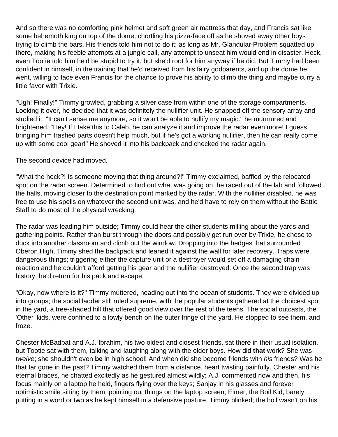And so there was no comforting pink helmet and soft green air mattress that day, and Francis sat like some behemoth king on top of the dome, chortling his pizza-face off as he shoved away other boys trying to climb the bars. His friends told him not to do it; as long as Mr. Glandular-Problem squatted up there, making his feeble attempts at a jungle call, any attempt to unseat him would end in disaster. Heck, even Tootie told him he'd be stupid to try it, but she'd root for him anyway if he did. But Timmy had been confident in himself, in the training that he'd received from his fairy godparents, and up the dome he went, willing to face even Francis for the chance to prove his ability to climb the thing and maybe curry a little favor with Trixie.

"Ugh! Finally!" Timmy growled, grabbing a silver case from within one of the storage compartments. Looking it over, he decided that it was definitely the nullifier unit. He snapped off the sensory array and studied it. "It can't sense me anymore, so it won't be able to nullify my magic." he murmured and brightened, "Hey! If I take this to Caleb, he can analyze it and improve the radar even more! I guess bringing him trashed parts doesn't help much, but if he's got a working nullifier, then he can really come up with some cool gear!" He shoved it into his backpack and checked the radar again.

The second device had moved.

"What the heck?! Is someone moving that thing around?!" Timmy exclaimed, baffled by the relocated spot on the radar screen. Determined to find out what was going on, he raced out of the lab and followed the halls, moving closer to the destination point marked by the radar. With the nullifier disabled, he was free to use his spells on whatever the second unit was, and he'd have to rely on them without the Battle Staff to do most of the physical wrecking.

The radar was leading him outside; Timmy could hear the other students milling about the yards and gathering points. Rather than burst through the doors and possibly get run over by Trixie, he chose to duck into another classroom and climb out the window. Dropping into the hedges that surrounded Oberon High, Timmy shed the backpack and leaned it against the wall for later recovery. Traps were dangerous things; triggering either the capture unit or a destroyer would set off a damaging chain reaction and he couldn't afford getting his gear and the nullifier destroyed. Once the second trap was history, he'd return for his pack and escape.

"Okay, now where is it?" Timmy muttered, heading out into the ocean of students. They were divided up into groups; the social ladder still ruled supreme, with the popular students gathered at the choicest spot in the yard, a tree-shaded hill that offered good view over the rest of the teens. The social outcasts, the 'Other' kids, were confined to a lowly bench on the outer fringe of the yard. He stopped to see them, and froze.

Chester McBadbat and A.J. Ibrahim, his two oldest and closest friends, sat there in their usual isolation, but Tootie sat with them, talking and laughing along with the older boys. How did **that** work? She was twelve; she shouldn't even **be** in high school! And when did she become friends with his friends? Was he that far gone in the past? Timmy watched them from a distance, heart twisting painfully. Chester and his eternal braces, he chatted excitedly as he gestured almost wildly; A.J. commented now and then, his focus mainly on a laptop he held, fingers flying over the keys; Sanjay in his glasses and forever optimistic smile sitting by them, pointing out things on the laptop screen; Elmer, the Boil Kid, barely putting in a word or two as he kept himself in a defensive posture. Timmy blinked; the boil wasn't on his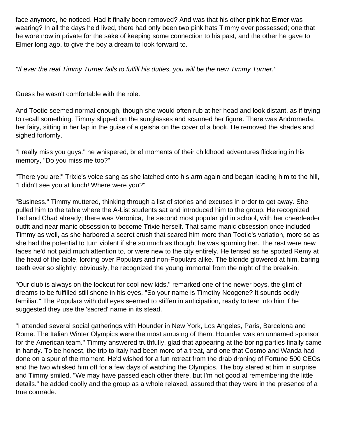face anymore, he noticed. Had it finally been removed? And was that his other pink hat Elmer was wearing? In all the days he'd lived, there had only been two pink hats Timmy ever possessed; one that he wore now in private for the sake of keeping some connection to his past, and the other he gave to Elmer long ago, to give the boy a dream to look forward to.

"If ever the real Timmy Turner fails to fulfill his duties, you will be the new Timmy Turner."

Guess he wasn't comfortable with the role.

And Tootie seemed normal enough, though she would often rub at her head and look distant, as if trying to recall something. Timmy slipped on the sunglasses and scanned her figure. There was Andromeda, her fairy, sitting in her lap in the guise of a geisha on the cover of a book. He removed the shades and sighed forlornly.

"I really miss you guys." he whispered, brief moments of their childhood adventures flickering in his memory, "Do you miss me too?"

"There you are!" Trixie's voice sang as she latched onto his arm again and began leading him to the hill, "I didn't see you at lunch! Where were you?"

"Business." Timmy muttered, thinking through a list of stories and excuses in order to get away. She pulled him to the table where the A-List students sat and introduced him to the group. He recognized Tad and Chad already; there was Veronica, the second most popular girl in school, with her cheerleader outfit and near manic obsession to become Trixie herself. That same manic obsession once included Timmy as well, as she harbored a secret crush that scared him more than Tootie's variation, more so as she had the potential to turn violent if she so much as thought he was spurning her. The rest were new faces he'd not paid much attention to, or were new to the city entirely. He tensed as he spotted Remy at the head of the table, lording over Populars and non-Populars alike. The blonde glowered at him, baring teeth ever so slightly; obviously, he recognized the young immortal from the night of the break-in.

"Our club is always on the lookout for cool new kids." remarked one of the newer boys, the glint of dreams to be fulfilled still shone in his eyes, "So your name is Timothy Neogene? It sounds oddly familiar." The Populars with dull eyes seemed to stiffen in anticipation, ready to tear into him if he suggested they use the 'sacred' name in its stead.

"I attended several social gatherings with Hounder in New York, Los Angeles, Paris, Barcelona and Rome. The Italian Winter Olympics were the most amusing of them. Hounder was an unnamed sponsor for the American team." Timmy answered truthfully, glad that appearing at the boring parties finally came in handy. To be honest, the trip to Italy had been more of a treat, and one that Cosmo and Wanda had done on a spur of the moment. He'd wished for a fun retreat from the drab droning of Fortune 500 CEOs and the two whisked him off for a few days of watching the Olympics. The boy stared at him in surprise and Timmy smiled. "We may have passed each other there, but I'm not good at remembering the little details." he added coolly and the group as a whole relaxed, assured that they were in the presence of a true comrade.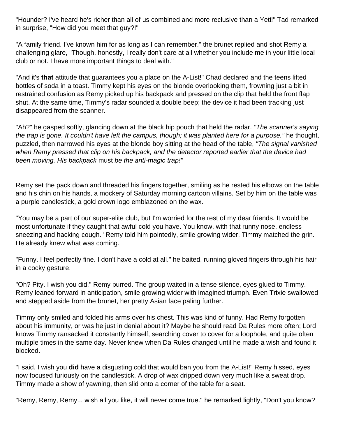"Hounder? I've heard he's richer than all of us combined and more reclusive than a Yeti!" Tad remarked in surprise, "How did you meet that guy?!"

"A family friend. I've known him for as long as I can remember." the brunet replied and shot Remy a challenging glare, "Though, honestly, I really don't care at all whether you include me in your little local club or not. I have more important things to deal with."

"And it's **that** attitude that guarantees you a place on the A-List!" Chad declared and the teens lifted bottles of soda in a toast. Timmy kept his eyes on the blonde overlooking them, frowning just a bit in restrained confusion as Remy picked up his backpack and pressed on the clip that held the front flap shut. At the same time, Timmy's radar sounded a double beep; the device it had been tracking just disappeared from the scanner.

"Ah?" he gasped softly, glancing down at the black hip pouch that held the radar. "The scanner's saying the trap is gone. It couldn't have left the campus, though; it was planted here for a purpose." he thought, puzzled, then narrowed his eyes at the blonde boy sitting at the head of the table, "The signal vanished when Remy pressed that clip on his backpack, and the detector reported earlier that the device had been moving. His backpack must be the anti-magic trap!"

Remy set the pack down and threaded his fingers together, smiling as he rested his elbows on the table and his chin on his hands, a mockery of Saturday morning cartoon villains. Set by him on the table was a purple candlestick, a gold crown logo emblazoned on the wax.

"You may be a part of our super-elite club, but I'm worried for the rest of my dear friends. It would be most unfortunate if they caught that awful cold you have. You know, with that runny nose, endless sneezing and hacking cough." Remy told him pointedly, smile growing wider. Timmy matched the grin. He already knew what was coming.

"Funny. I feel perfectly fine. I don't have a cold at all." he baited, running gloved fingers through his hair in a cocky gesture.

"Oh? Pity. I wish you did." Remy purred. The group waited in a tense silence, eyes glued to Timmy. Remy leaned forward in anticipation, smile growing wider with imagined triumph. Even Trixie swallowed and stepped aside from the brunet, her pretty Asian face paling further.

Timmy only smiled and folded his arms over his chest. This was kind of funny. Had Remy forgotten about his immunity, or was he just in denial about it? Maybe he should read Da Rules more often; Lord knows Timmy ransacked it constantly himself, searching cover to cover for a loophole, and quite often multiple times in the same day. Never knew when Da Rules changed until he made a wish and found it blocked.

"I said, I wish you **did** have a disgusting cold that would ban you from the A-List!" Remy hissed, eyes now focused furiously on the candlestick. A drop of wax dripped down very much like a sweat drop. Timmy made a show of yawning, then slid onto a corner of the table for a seat.

"Remy, Remy, Remy... wish all you like, it will never come true." he remarked lightly, "Don't you know?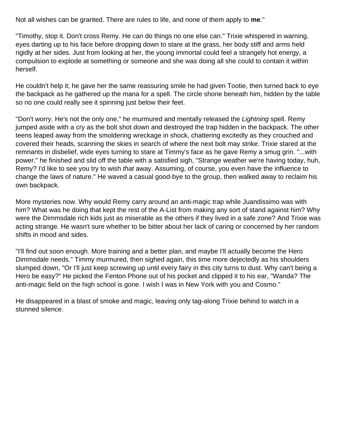Not all wishes can be granted. There are rules to life, and none of them apply to **me**."

"Timothy, stop it. Don't cross Remy. He can do things no one else can." Trixie whispered in warning, eyes darting up to his face before dropping down to stare at the grass, her body stiff and arms held rigidly at her sides. Just from looking at her, the young immortal could feel a strangely hot energy, a compulsion to explode at something or someone and she was doing all she could to contain it within herself.

He couldn't help it; he gave her the same reassuring smile he had given Tootie, then turned back to eye the backpack as he gathered up the mana for a spell. The circle shone beneath him, hidden by the table so no one could really see it spinning just below their feet.

"Don't worry. He's not the only one," he murmured and mentally released the Lightning spell. Remy jumped aside with a cry as the bolt shot down and destroyed the trap hidden in the backpack. The other teens leaped away from the smoldering wreckage in shock, chattering excitedly as they crouched and covered their heads, scanning the skies in search of where the next bolt may strike. Trixie stared at the remnants in disbelief, wide eyes turning to stare at Timmy's face as he gave Remy a smug grin. "...with power." he finished and slid off the table with a satisfied sigh, "Strange weather we're having today, huh, Remy? I'd like to see you try to wish that away. Assuming, of course, you even have the influence to change the laws of nature." He waved a casual good-bye to the group, then walked away to reclaim his own backpack.

More mysteries now. Why would Remy carry around an anti-magic trap while Juandissimo was with him? What was he doing that kept the rest of the A-List from making any sort of stand against him? Why were the Dimmsdale rich kids just as miserable as the others if they lived in a safe zone? And Trixie was acting strange. He wasn't sure whether to be bitter about her lack of caring or concerned by her random shifts in mood and sides.

"I'll find out soon enough. More training and a better plan, and maybe I'll actually become the Hero Dimmsdale needs." Timmy murmured, then sighed again, this time more dejectedly as his shoulders slumped down, "Or I'll just keep screwing up until every fairy in this city turns to dust. Why can't being a Hero be easy?" He picked the Fenton Phone out of his pocket and clipped it to his ear, "Wanda? The anti-magic field on the high school is gone. I wish I was in New York with you and Cosmo."

He disappeared in a blast of smoke and magic, leaving only tag-along Trixie behind to watch in a stunned silence.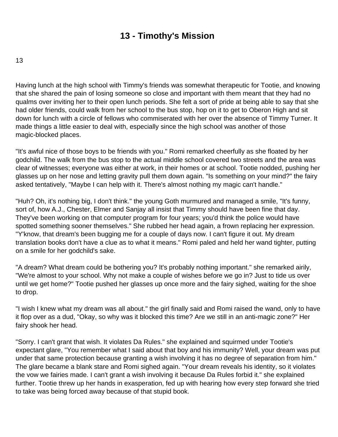# **13 - Timothy's Mission**

#### 13

Having lunch at the high school with Timmy's friends was somewhat therapeutic for Tootie, and knowing that she shared the pain of losing someone so close and important with them meant that they had no qualms over inviting her to their open lunch periods. She felt a sort of pride at being able to say that she had older friends, could walk from her school to the bus stop, hop on it to get to Oberon High and sit down for lunch with a circle of fellows who commiserated with her over the absence of Timmy Turner. It made things a little easier to deal with, especially since the high school was another of those magic-blocked places.

"It's awful nice of those boys to be friends with you." Romi remarked cheerfully as she floated by her godchild. The walk from the bus stop to the actual middle school covered two streets and the area was clear of witnesses; everyone was either at work, in their homes or at school. Tootie nodded, pushing her glasses up on her nose and letting gravity pull them down again. "Is something on your mind?" the fairy asked tentatively, "Maybe I can help with it. There's almost nothing my magic can't handle."

"Huh? Oh, it's nothing big, I don't think." the young Goth murmured and managed a smile, "It's funny, sort of, how A.J., Chester, Elmer and Sanjay all insist that Timmy should have been fine that day. They've been working on that computer program for four years; you'd think the police would have spotted something sooner themselves." She rubbed her head again, a frown replacing her expression. "Y'know, that dream's been bugging me for a couple of days now. I can't figure it out. My dream translation books don't have a clue as to what it means." Romi paled and held her wand tighter, putting on a smile for her godchild's sake.

"A dream? What dream could be bothering you? It's probably nothing important." she remarked airily, "We're almost to your school. Why not make a couple of wishes before we go in? Just to tide us over until we get home?" Tootie pushed her glasses up once more and the fairy sighed, waiting for the shoe to drop.

"I wish I knew what my dream was all about." the girl finally said and Romi raised the wand, only to have it flop over as a dud, "Okay, so why was it blocked this time? Are we still in an anti-magic zone?" Her fairy shook her head.

"Sorry. I can't grant that wish. It violates Da Rules." she explained and squirmed under Tootie's expectant glare, "You remember what I said about that boy and his immunity? Well, your dream was put under that same protection because granting a wish involving it has no degree of separation from him." The glare became a blank stare and Romi sighed again. "Your dream reveals his identity, so it violates the vow we fairies made. I can't grant a wish involving it because Da Rules forbid it." she explained further. Tootie threw up her hands in exasperation, fed up with hearing how every step forward she tried to take was being forced away because of that stupid book.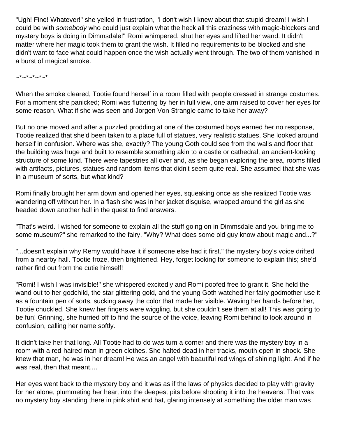"Ugh! Fine! Whatever!" she yelled in frustration, "I don't wish I knew about that stupid dream! I wish I could be with somebody who could just explain what the heck all this craziness with magic-blockers and mystery boys is doing in Dimmsdale!" Romi whimpered, shut her eyes and lifted her wand. It didn't matter where her magic took them to grant the wish. It filled no requirements to be blocked and she didn't want to face what could happen once the wish actually went through. The two of them vanished in a burst of magical smoke.

### $-*-*-*-*$

When the smoke cleared, Tootie found herself in a room filled with people dressed in strange costumes. For a moment she panicked; Romi was fluttering by her in full view, one arm raised to cover her eyes for some reason. What if she was seen and Jorgen Von Strangle came to take her away?

But no one moved and after a puzzled prodding at one of the costumed boys earned her no response, Tootie realized that she'd been taken to a place full of statues, very realistic statues. She looked around herself in confusion. Where was she, exactly? The young Goth could see from the walls and floor that the building was huge and built to resemble something akin to a castle or cathedral, an ancient-looking structure of some kind. There were tapestries all over and, as she began exploring the area, rooms filled with artifacts, pictures, statues and random items that didn't seem quite real. She assumed that she was in a museum of sorts, but what kind?

Romi finally brought her arm down and opened her eyes, squeaking once as she realized Tootie was wandering off without her. In a flash she was in her jacket disguise, wrapped around the girl as she headed down another hall in the quest to find answers.

"That's weird. I wished for someone to explain all the stuff going on in Dimmsdale and you bring me to some museum?" she remarked to the fairy, "Why? What does some old guy know about magic and...?"

"...doesn't explain why Remy would have it if someone else had it first." the mystery boy's voice drifted from a nearby hall. Tootie froze, then brightened. Hey, forget looking for someone to explain this; she'd rather find out from the cutie himself!

"Romi! I wish I was invisible!" she whispered excitedly and Romi poofed free to grant it. She held the wand out to her godchild, the star glittering gold, and the young Goth watched her fairy godmother use it as a fountain pen of sorts, sucking away the color that made her visible. Waving her hands before her, Tootie chuckled. She knew her fingers were wiggling, but she couldn't see them at all! This was going to be fun! Grinning, she hurried off to find the source of the voice, leaving Romi behind to look around in confusion, calling her name softly.

It didn't take her that long. All Tootie had to do was turn a corner and there was the mystery boy in a room with a red-haired man in green clothes. She halted dead in her tracks, mouth open in shock. She knew that man, he was in her dream! He was an angel with beautiful red wings of shining light. And if he was real, then that meant....

Her eyes went back to the mystery boy and it was as if the laws of physics decided to play with gravity for her alone, plummeting her heart into the deepest pits before shooting it into the heavens. That was no mystery boy standing there in pink shirt and hat, glaring intensely at something the older man was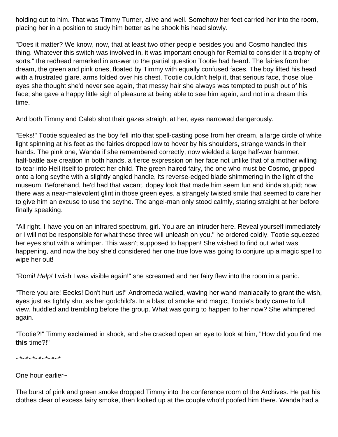holding out to him. That was Timmy Turner, alive and well. Somehow her feet carried her into the room, placing her in a position to study him better as he shook his head slowly.

"Does it matter? We know, now, that at least two other people besides you and Cosmo handled this thing. Whatever this switch was involved in, it was important enough for Remial to consider it a trophy of sorts." the redhead remarked in answer to the partial question Tootie had heard. The fairies from her dream, the green and pink ones, floated by Timmy with equally confused faces. The boy lifted his head with a frustrated glare, arms folded over his chest. Tootie couldn't help it, that serious face, those blue eyes she thought she'd never see again, that messy hair she always was tempted to push out of his face; she gave a happy little sigh of pleasure at being able to see him again, and not in a dream this time.

And both Timmy and Caleb shot their gazes straight at her, eyes narrowed dangerously.

"Eeks!" Tootie squealed as the boy fell into that spell-casting pose from her dream, a large circle of white light spinning at his feet as the fairies dropped low to hover by his shoulders, strange wands in their hands. The pink one, Wanda if she remembered correctly, now wielded a large half-war hammer, half-battle axe creation in both hands, a fierce expression on her face not unlike that of a mother willing to tear into Hell itself to protect her child. The green-haired fairy, the one who must be Cosmo, gripped onto a long scythe with a slightly angled handle, its reverse-edged blade shimmering in the light of the museum. Beforehand, he'd had that vacant, dopey look that made him seem fun and kinda stupid; now there was a near-malevolent glint in those green eyes, a strangely twisted smile that seemed to dare her to give him an excuse to use the scythe. The angel-man only stood calmly, staring straight at her before finally speaking.

"All right. I have you on an infrared spectrum, girl. You are an intruder here. Reveal yourself immediately or I will not be responsible for what these three will unleash on you." he ordered coldly. Tootie squeezed her eyes shut with a whimper. This wasn't supposed to happen! She wished to find out what was happening, and now the boy she'd considered her one true love was going to conjure up a magic spell to wipe her out!

"Romi! Help! I wish I was visible again!" she screamed and her fairy flew into the room in a panic.

"There you are! Eeeks! Don't hurt us!" Andromeda wailed, waving her wand maniacally to grant the wish, eyes just as tightly shut as her godchild's. In a blast of smoke and magic, Tootie's body came to full view, huddled and trembling before the group. What was going to happen to her now? She whimpered again.

"Tootie?!" Timmy exclaimed in shock, and she cracked open an eye to look at him, "How did you find me **this** time?!"

 $x^*x^*x^*x^*x^*x^*$ 

One hour earlier~

The burst of pink and green smoke dropped Timmy into the conference room of the Archives. He pat his clothes clear of excess fairy smoke, then looked up at the couple who'd poofed him there. Wanda had a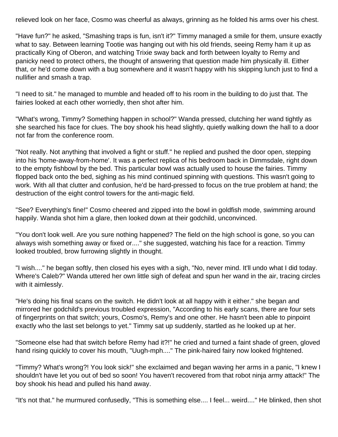relieved look on her face, Cosmo was cheerful as always, grinning as he folded his arms over his chest.

"Have fun?" he asked, "Smashing traps is fun, isn't it?" Timmy managed a smile for them, unsure exactly what to say. Between learning Tootie was hanging out with his old friends, seeing Remy ham it up as practically King of Oberon, and watching Trixie sway back and forth between loyalty to Remy and panicky need to protect others, the thought of answering that question made him physically ill. Either that, or he'd come down with a bug somewhere and it wasn't happy with his skipping lunch just to find a nullifier and smash a trap.

"I need to sit." he managed to mumble and headed off to his room in the building to do just that. The fairies looked at each other worriedly, then shot after him.

"What's wrong, Timmy? Something happen in school?" Wanda pressed, clutching her wand tightly as she searched his face for clues. The boy shook his head slightly, quietly walking down the hall to a door not far from the conference room.

"Not really. Not anything that involved a fight or stuff." he replied and pushed the door open, stepping into his 'home-away-from-home'. It was a perfect replica of his bedroom back in Dimmsdale, right down to the empty fishbowl by the bed. This particular bowl was actually used to house the fairies. Timmy flopped back onto the bed, sighing as his mind continued spinning with questions. This wasn't going to work. With all that clutter and confusion, he'd be hard-pressed to focus on the true problem at hand; the destruction of the eight control towers for the anti-magic field.

"See? Everything's fine!" Cosmo cheered and zipped into the bowl in goldfish mode, swimming around happily. Wanda shot him a glare, then looked down at their godchild, unconvinced.

"You don't look well. Are you sure nothing happened? The field on the high school is gone, so you can always wish something away or fixed or...." she suggested, watching his face for a reaction. Timmy looked troubled, brow furrowing slightly in thought.

"I wish...." he began softly, then closed his eyes with a sigh, "No, never mind. It'll undo what I did today. Where's Caleb?" Wanda uttered her own little sigh of defeat and spun her wand in the air, tracing circles with it aimlessly.

"He's doing his final scans on the switch. He didn't look at all happy with it either." she began and mirrored her godchild's previous troubled expression, "According to his early scans, there are four sets of fingerprints on that switch; yours, Cosmo's, Remy's and one other. He hasn't been able to pinpoint exactly who the last set belongs to yet." Timmy sat up suddenly, startled as he looked up at her.

"Someone else had that switch before Remy had it?!" he cried and turned a faint shade of green, gloved hand rising quickly to cover his mouth, "Uugh-mph...." The pink-haired fairy now looked frightened.

"Timmy? What's wrong?! You look sick!" she exclaimed and began waving her arms in a panic, "I knew I shouldn't have let you out of bed so soon! You haven't recovered from that robot ninja army attack!" The boy shook his head and pulled his hand away.

"It's not that." he murmured confusedly, "This is something else.... I feel... weird...." He blinked, then shot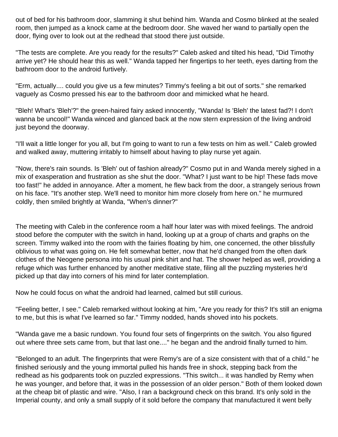out of bed for his bathroom door, slamming it shut behind him. Wanda and Cosmo blinked at the sealed room, then jumped as a knock came at the bedroom door. She waved her wand to partially open the door, flying over to look out at the redhead that stood there just outside.

"The tests are complete. Are you ready for the results?" Caleb asked and tilted his head, "Did Timothy arrive yet? He should hear this as well." Wanda tapped her fingertips to her teeth, eyes darting from the bathroom door to the android furtively.

"Erm, actually.... could you give us a few minutes? Timmy's feeling a bit out of sorts." she remarked vaguely as Cosmo pressed his ear to the bathroom door and mimicked what he heard.

"Bleh! What's 'Bleh'?" the green-haired fairy asked innocently, "Wanda! Is 'Bleh' the latest fad?! I don't wanna be uncool!" Wanda winced and glanced back at the now stern expression of the living android just beyond the doorway.

"I'll wait a little longer for you all, but I'm going to want to run a few tests on him as well." Caleb growled and walked away, muttering irritably to himself about having to play nurse yet again.

"Now, there's rain sounds. Is 'Bleh' out of fashion already?" Cosmo put in and Wanda merely sighed in a mix of exasperation and frustration as she shut the door. "What? I just want to be hip! These fads move too fast!" he added in annoyance. After a moment, he flew back from the door, a strangely serious frown on his face. "It's another step. We'll need to monitor him more closely from here on." he murmured coldly, then smiled brightly at Wanda, "When's dinner?"

The meeting with Caleb in the conference room a half hour later was with mixed feelings. The android stood before the computer with the switch in hand, looking up at a group of charts and graphs on the screen. Timmy walked into the room with the fairies floating by him, one concerned, the other blissfully oblivious to what was going on. He felt somewhat better, now that he'd changed from the often dark clothes of the Neogene persona into his usual pink shirt and hat. The shower helped as well, providing a refuge which was further enhanced by another meditative state, filing all the puzzling mysteries he'd picked up that day into corners of his mind for later contemplation.

Now he could focus on what the android had learned, calmed but still curious.

"Feeling better, I see." Caleb remarked without looking at him, "Are you ready for this? It's still an enigma to me, but this is what I've learned so far." Timmy nodded, hands shoved into his pockets.

"Wanda gave me a basic rundown. You found four sets of fingerprints on the switch. You also figured out where three sets came from, but that last one...." he began and the android finally turned to him.

"Belonged to an adult. The fingerprints that were Remy's are of a size consistent with that of a child." he finished seriously and the young immortal pulled his hands free in shock, stepping back from the redhead as his godparents took on puzzled expressions. "This switch... it was handled by Remy when he was younger, and before that, it was in the possession of an older person." Both of them looked down at the cheap bit of plastic and wire. "Also, I ran a background check on this brand. It's only sold in the Imperial county, and only a small supply of it sold before the company that manufactured it went belly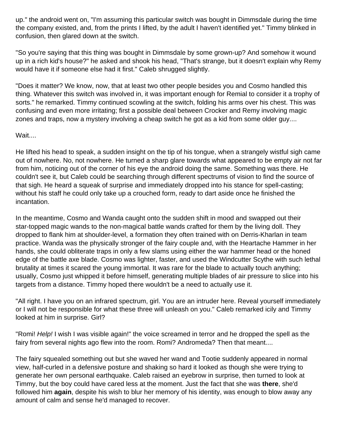up." the android went on, "I'm assuming this particular switch was bought in Dimmsdale during the time the company existed, and, from the prints I lifted, by the adult I haven't identified yet." Timmy blinked in confusion, then glared down at the switch.

"So you're saying that this thing was bought in Dimmsdale by some grown-up? And somehow it wound up in a rich kid's house?" he asked and shook his head, "That's strange, but it doesn't explain why Remy would have it if someone else had it first." Caleb shrugged slightly.

"Does it matter? We know, now, that at least two other people besides you and Cosmo handled this thing. Whatever this switch was involved in, it was important enough for Remial to consider it a trophy of sorts." he remarked. Timmy continued scowling at the switch, folding his arms over his chest. This was confusing and even more irritating; first a possible deal between Crocker and Remy involving magic zones and traps, now a mystery involving a cheap switch he got as a kid from some older guy....

#### Wait....

He lifted his head to speak, a sudden insight on the tip of his tongue, when a strangely wistful sigh came out of nowhere. No, not nowhere. He turned a sharp glare towards what appeared to be empty air not far from him, noticing out of the corner of his eye the android doing the same. Something was there. He couldn't see it, but Caleb could be searching through different spectrums of vision to find the source of that sigh. He heard a squeak of surprise and immediately dropped into his stance for spell-casting; without his staff he could only take up a crouched form, ready to dart aside once he finished the incantation.

In the meantime, Cosmo and Wanda caught onto the sudden shift in mood and swapped out their star-topped magic wands to the non-magical battle wands crafted for them by the living doll. They dropped to flank him at shoulder-level, a formation they often trained with on Derris-Kharlan in team practice. Wanda was the physically stronger of the fairy couple and, with the Heartache Hammer in her hands, she could obliterate traps in only a few slams using either the war hammer head or the honed edge of the battle axe blade. Cosmo was lighter, faster, and used the Windcutter Scythe with such lethal brutality at times it scared the young immortal. It was rare for the blade to actually touch anything; usually, Cosmo just whipped it before himself, generating multiple blades of air pressure to slice into his targets from a distance. Timmy hoped there wouldn't be a need to actually use it.

"All right. I have you on an infrared spectrum, girl. You are an intruder here. Reveal yourself immediately or I will not be responsible for what these three will unleash on you." Caleb remarked icily and Timmy looked at him in surprise. Girl?

"Romi! Help! I wish I was visible again!" the voice screamed in terror and he dropped the spell as the fairy from several nights ago flew into the room. Romi? Andromeda? Then that meant....

The fairy squealed something out but she waved her wand and Tootie suddenly appeared in normal view, half-curled in a defensive posture and shaking so hard it looked as though she were trying to generate her own personal earthquake. Caleb raised an eyebrow in surprise, then turned to look at Timmy, but the boy could have cared less at the moment. Just the fact that she was **there**, she'd followed him **again**, despite his wish to blur her memory of his identity, was enough to blow away any amount of calm and sense he'd managed to recover.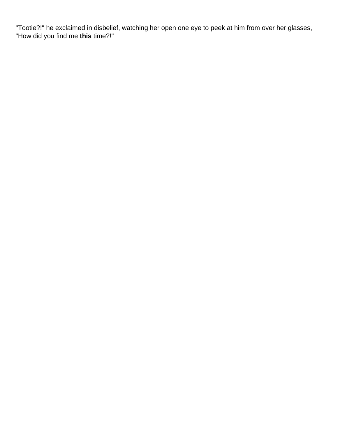"Tootie?!" he exclaimed in disbelief, watching her open one eye to peek at him from over her glasses, "How did you find me **this** time?!"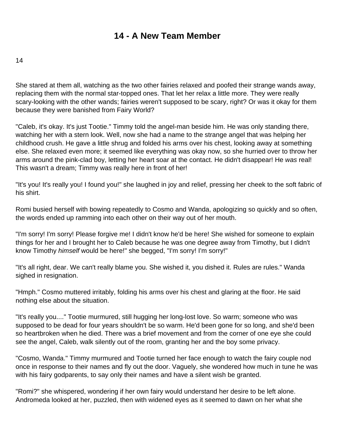## **14 - A New Team Member**

#### 14

She stared at them all, watching as the two other fairies relaxed and poofed their strange wands away, replacing them with the normal star-topped ones. That let her relax a little more. They were really scary-looking with the other wands; fairies weren't supposed to be scary, right? Or was it okay for them because they were banished from Fairy World?

"Caleb, it's okay. It's just Tootie." Timmy told the angel-man beside him. He was only standing there, watching her with a stern look. Well, now she had a name to the strange angel that was helping her childhood crush. He gave a little shrug and folded his arms over his chest, looking away at something else. She relaxed even more; it seemed like everything was okay now, so she hurried over to throw her arms around the pink-clad boy, letting her heart soar at the contact. He didn't disappear! He was real! This wasn't a dream; Timmy was really here in front of her!

"It's you! It's really you! I found you!" she laughed in joy and relief, pressing her cheek to the soft fabric of his shirt.

Romi busied herself with bowing repeatedly to Cosmo and Wanda, apologizing so quickly and so often, the words ended up ramming into each other on their way out of her mouth.

"I'm sorry! I'm sorry! Please forgive me! I didn't know he'd be here! She wished for someone to explain things for her and I brought her to Caleb because he was one degree away from Timothy, but I didn't know Timothy himself would be here!" she begged, "I'm sorry! I'm sorry!"

"It's all right, dear. We can't really blame you. She wished it, you dished it. Rules are rules." Wanda sighed in resignation.

"Hmph." Cosmo muttered irritably, folding his arms over his chest and glaring at the floor. He said nothing else about the situation.

"It's really you...." Tootie murmured, still hugging her long-lost love. So warm; someone who was supposed to be dead for four years shouldn't be so warm. He'd been gone for so long, and she'd been so heartbroken when he died. There was a brief movement and from the corner of one eye she could see the angel, Caleb, walk silently out of the room, granting her and the boy some privacy.

"Cosmo, Wanda." Timmy murmured and Tootie turned her face enough to watch the fairy couple nod once in response to their names and fly out the door. Vaguely, she wondered how much in tune he was with his fairy godparents, to say only their names and have a silent wish be granted.

"Romi?" she whispered, wondering if her own fairy would understand her desire to be left alone. Andromeda looked at her, puzzled, then with widened eyes as it seemed to dawn on her what she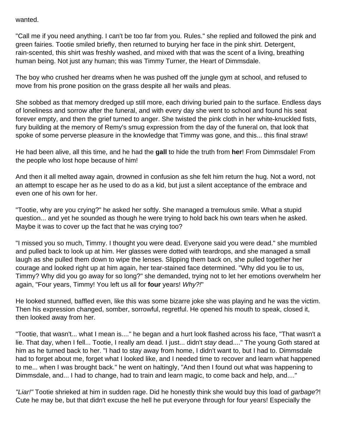wanted.

"Call me if you need anything. I can't be too far from you. Rules." she replied and followed the pink and green fairies. Tootie smiled briefly, then returned to burying her face in the pink shirt. Detergent, rain-scented, this shirt was freshly washed, and mixed with that was the scent of a living, breathing human being. Not just any human; this was Timmy Turner, the Heart of Dimmsdale.

The boy who crushed her dreams when he was pushed off the jungle gym at school, and refused to move from his prone position on the grass despite all her wails and pleas.

She sobbed as that memory dredged up still more, each driving buried pain to the surface. Endless days of loneliness and sorrow after the funeral, and with every day she went to school and found his seat forever empty, and then the grief turned to anger. She twisted the pink cloth in her white-knuckled fists, fury building at the memory of Remy's smug expression from the day of the funeral on, that look that spoke of some perverse pleasure in the knowledge that Timmy was gone, and this... this final straw!

He had been alive, all this time, and he had the **gall** to hide the truth from **her**! From Dimmsdale! From the people who lost hope because of him!

And then it all melted away again, drowned in confusion as she felt him return the hug. Not a word, not an attempt to escape her as he used to do as a kid, but just a silent acceptance of the embrace and even one of his own for her.

"Tootie, why are you crying?" he asked her softly. She managed a tremulous smile. What a stupid question... and yet he sounded as though he were trying to hold back his own tears when he asked. Maybe it was to cover up the fact that he was crying too?

"I missed you so much, Timmy. I thought you were dead. Everyone said you were dead." she mumbled and pulled back to look up at him. Her glasses were dotted with teardrops, and she managed a small laugh as she pulled them down to wipe the lenses. Slipping them back on, she pulled together her courage and looked right up at him again, her tear-stained face determined. "Why did you lie to us, Timmy? Why did you go away for so long?" she demanded, trying not to let her emotions overwhelm her again, "Four years, Timmy! You left us all for **four** years! Why?!"

He looked stunned, baffled even, like this was some bizarre joke she was playing and he was the victim. Then his expression changed, somber, sorrowful, regretful. He opened his mouth to speak, closed it, then looked away from her.

"Tootie, that wasn't... what I mean is...." he began and a hurt look flashed across his face, "That wasn't a lie. That day, when I fell... Tootie, I really am dead. I just... didn't stay dead...." The young Goth stared at him as he turned back to her. "I had to stay away from home, I didn't want to, but I had to. Dimmsdale had to forget about me, forget what I looked like, and I needed time to recover and learn what happened to me... when I was brought back." he went on haltingly, "And then I found out what was happening to Dimmsdale, and... I had to change, had to train and learn magic, to come back and help, and...."

"Liar!" Tootie shrieked at him in sudden rage. Did he honestly think she would buy this load of garbage?! Cute he may be, but that didn't excuse the hell he put everyone through for four years! Especially the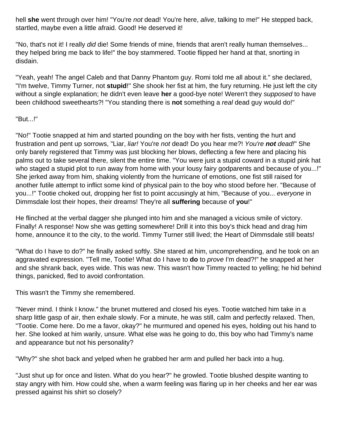hell **she** went through over him! "You're not dead! You're here, alive, talking to me!" He stepped back, startled, maybe even a little afraid. Good! He deserved it!

"No, that's not it! I really *did* die! Some friends of mine, friends that aren't really human themselves... they helped bring me back to life!" the boy stammered. Tootie flipped her hand at that, snorting in disdain.

"Yeah, yeah! The angel Caleb and that Danny Phantom guy. Romi told me all about it." she declared, "I'm twelve, Timmy Turner, not **stupid**!" She shook her fist at him, the fury returning. He just left the city without a single explanation; he didn't even leave **her** a good-bye note! Weren't they supposed to have been childhood sweethearts?! "You standing there is **not** something a real dead guy would do!"

### "But...!"

"No!" Tootie snapped at him and started pounding on the boy with her fists, venting the hurt and frustration and pent up sorrows, "Liar, liar! You're not dead! Do you hear me?! You're **not** dead!" She only barely registered that Timmy was just blocking her blows, deflecting a few here and placing his palms out to take several there, silent the entire time. "You were just a stupid coward in a stupid pink hat who staged a stupid plot to run away from home with your lousy fairy godparents and because of you...!" She jerked away from him, shaking violently from the hurricane of emotions, one fist still raised for another futile attempt to inflict some kind of physical pain to the boy who stood before her. "Because of you...!" Tootie choked out, dropping her fist to point accusingly at him, "Because of you... everyone in Dimmsdale lost their hopes, their dreams! They're all **suffering** because of **you**!"

He flinched at the verbal dagger she plunged into him and she managed a vicious smile of victory. Finally! A response! Now she was getting somewhere! Drill it into this boy's thick head and drag him home, announce it to the city, to the world. Timmy Turner still lived; the Heart of Dimmsdale still beats!

"What do I have to do?" he finally asked softly. She stared at him, uncomprehending, and he took on an aggravated expression. "Tell me, Tootie! What do I have to **do** to prove I'm dead?!" he snapped at her and she shrank back, eyes wide. This was new. This wasn't how Timmy reacted to yelling; he hid behind things, panicked, fled to avoid confrontation.

This wasn't the Timmy she remembered.

"Never mind. I think I know." the brunet muttered and closed his eyes. Tootie watched him take in a sharp little gasp of air, then exhale slowly. For a minute, he was still, calm and perfectly relaxed. Then, "Tootie. Come here. Do me a favor, okay?" he murmured and opened his eyes, holding out his hand to her. She looked at him warily, unsure. What else was he going to do, this boy who had Timmy's name and appearance but not his personality?

"Why?" she shot back and yelped when he grabbed her arm and pulled her back into a hug.

"Just shut up for once and listen. What do you hear?" he growled. Tootie blushed despite wanting to stay angry with him. How could she, when a warm feeling was flaring up in her cheeks and her ear was pressed against his shirt so closely?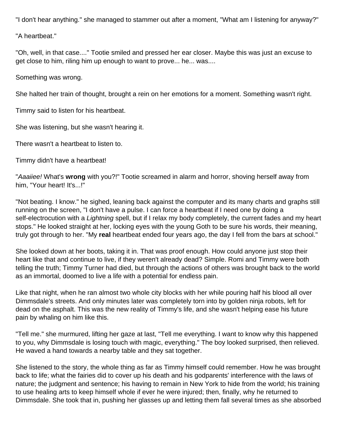"I don't hear anything." she managed to stammer out after a moment, "What am I listening for anyway?"

"A heartbeat."

"Oh, well, in that case...." Tootie smiled and pressed her ear closer. Maybe this was just an excuse to get close to him, riling him up enough to want to prove... he... was....

Something was wrong.

She halted her train of thought, brought a rein on her emotions for a moment. Something wasn't right.

Timmy said to listen for his heartbeat.

She was listening, but she wasn't hearing it.

There wasn't a heartbeat to listen to.

Timmy didn't have a heartbeat!

"Aaaiiee! What's **wrong** with you?!" Tootie screamed in alarm and horror, shoving herself away from him, "Your heart! It's...!"

"Not beating. I know." he sighed, leaning back against the computer and its many charts and graphs still running on the screen, "I don't have a pulse. I can force a heartbeat if I need one by doing a self-electrocution with a Lightning spell, but if I relax my body completely, the current fades and my heart stops." He looked straight at her, locking eyes with the young Goth to be sure his words, their meaning, truly got through to her. "My **real** heartbeat ended four years ago, the day I fell from the bars at school."

She looked down at her boots, taking it in. That was proof enough. How could anyone just stop their heart like that and continue to live, if they weren't already dead? Simple. Romi and Timmy were both telling the truth; Timmy Turner had died, but through the actions of others was brought back to the world as an immortal, doomed to live a life with a potential for endless pain.

Like that night, when he ran almost two whole city blocks with her while pouring half his blood all over Dimmsdale's streets. And only minutes later was completely torn into by golden ninja robots, left for dead on the asphalt. This was the new reality of Timmy's life, and she wasn't helping ease his future pain by whaling on him like this.

"Tell me." she murmured, lifting her gaze at last, "Tell me everything. I want to know why this happened to you, why Dimmsdale is losing touch with magic, everything." The boy looked surprised, then relieved. He waved a hand towards a nearby table and they sat together.

She listened to the story, the whole thing as far as Timmy himself could remember. How he was brought back to life; what the fairies did to cover up his death and his godparents' interference with the laws of nature; the judgment and sentence; his having to remain in New York to hide from the world; his training to use healing arts to keep himself whole if ever he were injured; then, finally, why he returned to Dimmsdale. She took that in, pushing her glasses up and letting them fall several times as she absorbed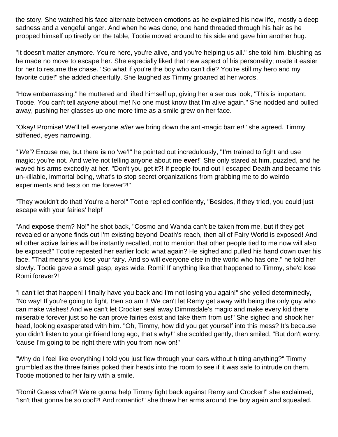the story. She watched his face alternate between emotions as he explained his new life, mostly a deep sadness and a vengeful anger. And when he was done, one hand threaded through his hair as he propped himself up tiredly on the table, Tootie moved around to his side and gave him another hug.

"It doesn't matter anymore. You're here, you're alive, and you're helping us all." she told him, blushing as he made no move to escape her. She especially liked that new aspect of his personality; made it easier for her to resume the chase. "So what if you're the boy who can't die? You're still my hero and my favorite cutie!" she added cheerfully. She laughed as Timmy groaned at her words.

"How embarrassing." he muttered and lifted himself up, giving her a serious look, "This is important, Tootie. You can't tell anyone about me! No one must know that I'm alive again." She nodded and pulled away, pushing her glasses up one more time as a smile grew on her face.

"Okay! Promise! We'll tell everyone after we bring down the anti-magic barrier!" she agreed. Timmy stiffened, eyes narrowing.

"'We'? Excuse me, but there **is** no 'we'!" he pointed out incredulously, "**I'm** trained to fight and use magic; you're not. And we're not telling anyone about me **ever**!" She only stared at him, puzzled, and he waved his arms excitedly at her. "Don't you get it?! If people found out I escaped Death and became this un-killable, immortal being, what's to stop secret organizations from grabbing me to do weirdo experiments and tests on me forever?!"

"They wouldn't do that! You're a hero!" Tootie replied confidently, "Besides, if they tried, you could just escape with your fairies' help!"

"And **expose** them? No!" he shot back, "Cosmo and Wanda can't be taken from me, but if they get revealed or anyone finds out I'm existing beyond Death's reach, then all of Fairy World is exposed! And all other active fairies will be instantly recalled, not to mention that other people tied to me now will also be exposed!" Tootie repeated her earlier look; what again? He sighed and pulled his hand down over his face. "That means you lose your fairy. And so will everyone else in the world who has one." he told her slowly. Tootie gave a small gasp, eyes wide. Romi! If anything like that happened to Timmy, she'd lose Romi forever?!

"I can't let that happen! I finally have you back and I'm not losing you again!" she yelled determinedly, "No way! If you're going to fight, then so am I! We can't let Remy get away with being the only guy who can make wishes! And we can't let Crocker seal away Dimmsdale's magic and make every kid there miserable forever just so he can prove fairies exist and take them from us!" She sighed and shook her head, looking exasperated with him. "Oh, Timmy, how did you get yourself into this mess? It's because you didn't listen to your girlfriend long ago, that's why!" she scolded gently, then smiled, "But don't worry, 'cause I'm going to be right there with you from now on!"

"Why do I feel like everything I told you just flew through your ears without hitting anything?" Timmy grumbled as the three fairies poked their heads into the room to see if it was safe to intrude on them. Tootie motioned to her fairy with a smile.

"Romi! Guess what?! We're gonna help Timmy fight back against Remy and Crocker!" she exclaimed, "Isn't that gonna be so cool?! And romantic!" she threw her arms around the boy again and squealed.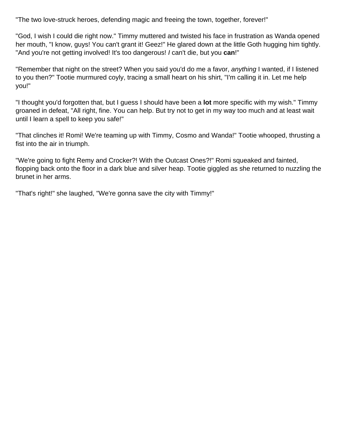"The two love-struck heroes, defending magic and freeing the town, together, forever!"

"God, I wish I could die right now." Timmy muttered and twisted his face in frustration as Wanda opened her mouth, "I know, guys! You can't grant it! Geez!" He glared down at the little Goth hugging him tightly. "And you're not getting involved! It's too dangerous! I can't die, but you **can**!"

"Remember that night on the street? When you said you'd do me a favor, anything I wanted, if I listened to you then?" Tootie murmured coyly, tracing a small heart on his shirt, "I'm calling it in. Let me help you!"

"I thought you'd forgotten that, but I guess I should have been a **lot** more specific with my wish." Timmy groaned in defeat, "All right, fine. You can help. But try not to get in my way too much and at least wait until I learn a spell to keep you safe!"

"That clinches it! Romi! We're teaming up with Timmy, Cosmo and Wanda!" Tootie whooped, thrusting a fist into the air in triumph.

"We're going to fight Remy and Crocker?! With the Outcast Ones?!" Romi squeaked and fainted, flopping back onto the floor in a dark blue and silver heap. Tootie giggled as she returned to nuzzling the brunet in her arms.

"That's right!" she laughed, "We're gonna save the city with Timmy!"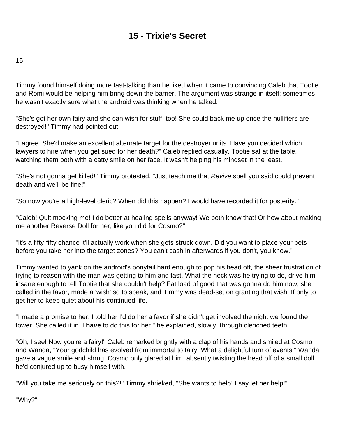## **15 - Trixie's Secret**

#### 15

Timmy found himself doing more fast-talking than he liked when it came to convincing Caleb that Tootie and Romi would be helping him bring down the barrier. The argument was strange in itself; sometimes he wasn't exactly sure what the android was thinking when he talked.

"She's got her own fairy and she can wish for stuff, too! She could back me up once the nullifiers are destroyed!" Timmy had pointed out.

"I agree. She'd make an excellent alternate target for the destroyer units. Have you decided which lawyers to hire when you get sued for her death?" Caleb replied casually. Tootie sat at the table, watching them both with a catty smile on her face. It wasn't helping his mindset in the least.

"She's not gonna get killed!" Timmy protested, "Just teach me that Revive spell you said could prevent death and we'll be fine!"

"So now you're a high-level cleric? When did this happen? I would have recorded it for posterity."

"Caleb! Quit mocking me! I do better at healing spells anyway! We both know that! Or how about making me another Reverse Doll for her, like you did for Cosmo?"

"It's a fifty-fifty chance it'll actually work when she gets struck down. Did you want to place your bets before you take her into the target zones? You can't cash in afterwards if you don't, you know."

Timmy wanted to yank on the android's ponytail hard enough to pop his head off, the sheer frustration of trying to reason with the man was getting to him and fast. What the heck was he trying to do, drive him insane enough to tell Tootie that she couldn't help? Fat load of good that was gonna do him now; she called in the favor, made a 'wish' so to speak, and Timmy was dead-set on granting that wish. If only to get her to keep quiet about his continued life.

"I made a promise to her. I told her I'd do her a favor if she didn't get involved the night we found the tower. She called it in. I **have** to do this for her." he explained, slowly, through clenched teeth.

"Oh, I see! Now you're a fairy!" Caleb remarked brightly with a clap of his hands and smiled at Cosmo and Wanda, "Your godchild has evolved from immortal to fairy! What a delightful turn of events!" Wanda gave a vague smile and shrug, Cosmo only glared at him, absently twisting the head off of a small doll he'd conjured up to busy himself with.

"Will you take me seriously on this?!" Timmy shrieked, "She wants to help! I say let her help!"

"Why?"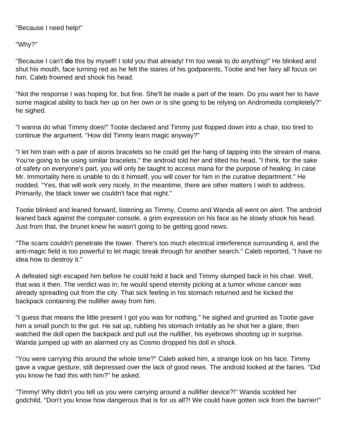#### "Because I need help!"

"Why?"

"Because I can't **do** this by myself! I told you that already! I'm too weak to do anything!" He blinked and shut his mouth, face turning red as he felt the stares of his godparents, Tootie and her fairy all focus on him. Caleb frowned and shook his head.

"Not the response I was hoping for, but fine. She'll be made a part of the team. Do you want her to have some magical ability to back her up on her own or is she going to be relying on Andromeda completely?" he sighed.

"I wanna do what Timmy does!" Tootie declared and Timmy just flopped down into a chair, too tired to continue the argument. "How did Timmy learn magic anyway?"

"I let him train with a pair of aionis bracelets so he could get the hang of tapping into the stream of mana. You're going to be using similar bracelets." the android told her and tilted his head, "I think, for the sake of safety on everyone's part, you will only be taught to access mana for the purpose of healing. In case Mr. Immortality here is unable to do it himself, you will cover for him in the curative department." He nodded. "Yes, that will work very nicely. In the meantime, there are other matters I wish to address. Primarily, the black tower we couldn't face that night."

Tootie blinked and leaned forward, listening as Timmy, Cosmo and Wanda all went on alert. The android leaned back against the computer console, a grim expression on his face as he slowly shook his head. Just from that, the brunet knew he wasn't going to be getting good news.

"The scans couldn't penetrate the tower. There's too much electrical interference surrounding it, and the anti-magic field is too powerful to let magic break through for another search." Caleb reported, "I have no idea how to destroy it."

A defeated sigh escaped him before he could hold it back and Timmy slumped back in his chair. Well, that was it then. The verdict was in; he would spend eternity picking at a tumor whose cancer was already spreading out from the city. That sick feeling in his stomach returned and he kicked the backpack containing the nullifier away from him.

"I guess that means the little present I got you was for nothing." he sighed and grunted as Tootie gave him a small punch to the gut. He sat up, rubbing his stomach irritably as he shot her a glare, then watched the doll open the backpack and pull out the nullifier, his eyebrows shooting up in surprise. Wanda jumped up with an alarmed cry as Cosmo dropped his doll in shock.

"You were carrying this around the whole time?" Caleb asked him, a strange look on his face. Timmy gave a vague gesture, still depressed over the lack of good news. The android looked at the fairies. "Did you know he had this with him?" he asked.

"Timmy! Why didn't you tell us you were carrying around a nullifier device?!" Wanda scolded her godchild, "Don't you know how dangerous that is for us all?! We could have gotten sick from the barrier!"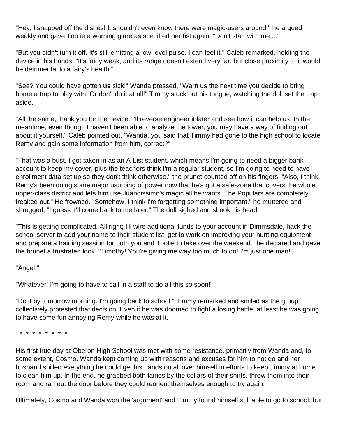"Hey, I snapped off the dishes! It shouldn't even know there were magic-users around!" he argued weakly and gave Tootie a warning glare as she lifted her fist again, "Don't start with me...."

"But you didn't turn it off. It's still emitting a low-level pulse. I can feel it." Caleb remarked, holding the device in his hands, "It's fairly weak, and its range doesn't extend very far, but close proximity to it would be detrimental to a fairy's health."

"See? You could have gotten **us** sick!" Wanda pressed, "Warn us the next time you decide to bring home a trap to play with! Or don't do it at all!" Timmy stuck out his tongue, watching the doll set the trap aside.

"All the same, thank you for the device. I'll reverse engineer it later and see how it can help us. In the meantime, even though I haven't been able to analyze the tower, you may have a way of finding out about it yourself." Caleb pointed out, "Wanda, you said that Timmy had gone to the high school to locate Remy and gain some information from him, correct?"

"That was a bust. I got taken in as an A-List student, which means I'm going to need a bigger bank account to keep my cover, plus the teachers think I'm a regular student, so I'm going to need to have enrollment data set up so they don't think otherwise." the brunet counted off on his fingers, "Also, I think Remy's been doing some major usurping of power now that he's got a safe-zone that covers the whole upper-class district and lets him use Juandissimo's magic all he wants. The Populars are completely freaked out." He frowned. "Somehow, I think I'm forgetting something important." he muttered and shrugged, "I guess it'll come back to me later." The doll sighed and shook his head.

"This is getting complicated. All right; I'll wire additional funds to your account in Dimmsdale, hack the school server to add your name to their student list, get to work on improving your hunting equipment and prepare a training session for both you and Tootie to take over the weekend." he declared and gave the brunet a frustrated look, "Timothy! You're giving me way too much to do! I'm just one man!"

"Angel."

"Whatever! I'm going to have to call in a staff to do all this so soon!"

"Do it by tomorrow morning. I'm going back to school." Timmy remarked and smiled as the group collectively protested that decision. Even if he was doomed to fight a losing battle, at least he was going to have some fun annoying Remy while he was at it.

### $x^*x^*x^*x^*x^*x^*x^*$

His first true day at Oberon High School was met with some resistance, primarily from Wanda and, to some extent, Cosmo. Wanda kept coming up with reasons and excuses for him to not go and her husband spilled everything he could get his hands on all over himself in efforts to keep Timmy at home to clean him up. In the end, he grabbed both fairies by the collars of their shirts, threw them into their room and ran out the door before they could reorient themselves enough to try again.

Ultimately, Cosmo and Wanda won the 'argument' and Timmy found himself still able to go to school, but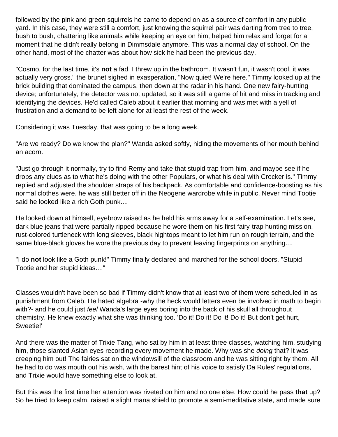followed by the pink and green squirrels he came to depend on as a source of comfort in any public yard. In this case, they were still a comfort, just knowing the squirrel pair was darting from tree to tree, bush to bush, chattering like animals while keeping an eye on him, helped him relax and forget for a moment that he didn't really belong in Dimmsdale anymore. This was a normal day of school. On the other hand, most of the chatter was about how sick he had been the previous day.

"Cosmo, for the last time, it's **not** a fad. I threw up in the bathroom. It wasn't fun, it wasn't cool, it was actually very gross." the brunet sighed in exasperation, "Now quiet! We're here." Timmy looked up at the brick building that dominated the campus, then down at the radar in his hand. One new fairy-hunting device; unfortunately, the detector was not updated, so it was still a game of hit and miss in tracking and identifying the devices. He'd called Caleb about it earlier that morning and was met with a yell of frustration and a demand to be left alone for at least the rest of the week.

Considering it was Tuesday, that was going to be a long week.

"Are we ready? Do we know the plan?" Wanda asked softly, hiding the movements of her mouth behind an acorn.

"Just go through it normally, try to find Remy and take that stupid trap from him, and maybe see if he drops any clues as to what he's doing with the other Populars, or what his deal with Crocker is." Timmy replied and adjusted the shoulder straps of his backpack. As comfortable and confidence-boosting as his normal clothes were, he was still better off in the Neogene wardrobe while in public. Never mind Tootie said he looked like a rich Goth punk....

He looked down at himself, eyebrow raised as he held his arms away for a self-examination. Let's see, dark blue jeans that were partially ripped because he wore them on his first fairy-trap hunting mission, rust-colored turtleneck with long sleeves, black hightops meant to let him run on rough terrain, and the same blue-black gloves he wore the previous day to prevent leaving fingerprints on anything....

"I do **not** look like a Goth punk!" Timmy finally declared and marched for the school doors, "Stupid Tootie and her stupid ideas...."

Classes wouldn't have been so bad if Timmy didn't know that at least two of them were scheduled in as punishment from Caleb. He hated algebra -why the heck would letters even be involved in math to begin with?- and he could just feel Wanda's large eyes boring into the back of his skull all throughout chemistry. He knew exactly what she was thinking too. 'Do it! Do it! Do it! Do it! But don't get hurt, Sweetie!'

And there was the matter of Trixie Tang, who sat by him in at least three classes, watching him, studying him, those slanted Asian eyes recording every movement he made. Why was she *doing* that? It was creeping him out! The fairies sat on the windowsill of the classroom and he was sitting right by them. All he had to do was mouth out his wish, with the barest hint of his voice to satisfy Da Rules' regulations, and Trixie would have something else to look at.

But this was the first time her attention was riveted on him and no one else. How could he pass **that** up? So he tried to keep calm, raised a slight mana shield to promote a semi-meditative state, and made sure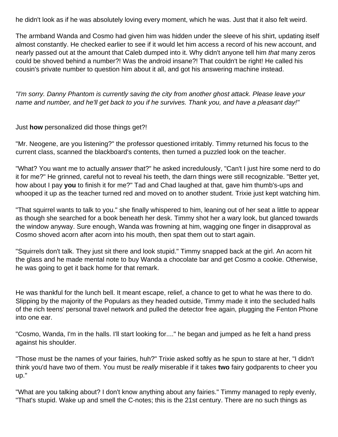he didn't look as if he was absolutely loving every moment, which he was. Just that it also felt weird.

The armband Wanda and Cosmo had given him was hidden under the sleeve of his shirt, updating itself almost constantly. He checked earlier to see if it would let him access a record of his new account, and nearly passed out at the amount that Caleb dumped into it. Why didn't anyone tell him that many zeros could be shoved behind a number?! Was the android insane?! That couldn't be right! He called his cousin's private number to question him about it all, and got his answering machine instead.

"I'm sorry. Danny Phantom is currently saving the city from another ghost attack. Please leave your name and number, and he'll get back to you if he survives. Thank you, and have a pleasant day!"

Just **how** personalized did those things get?!

"Mr. Neogene, are you listening?" the professor questioned irritably. Timmy returned his focus to the current class, scanned the blackboard's contents, then turned a puzzled look on the teacher.

"What? You want me to actually answer that?" he asked incredulously, "Can't I just hire some nerd to do it for me?" He grinned, careful not to reveal his teeth, the darn things were still recognizable. "Better yet, how about I pay **you** to finish it for me?" Tad and Chad laughed at that, gave him thumb's-ups and whooped it up as the teacher turned red and moved on to another student. Trixie just kept watching him.

"That squirrel wants to talk to you." she finally whispered to him, leaning out of her seat a little to appear as though she searched for a book beneath her desk. Timmy shot her a wary look, but glanced towards the window anyway. Sure enough, Wanda was frowning at him, wagging one finger in disapproval as Cosmo shoved acorn after acorn into his mouth, then spat them out to start again.

"Squirrels don't talk. They just sit there and look stupid." Timmy snapped back at the girl. An acorn hit the glass and he made mental note to buy Wanda a chocolate bar and get Cosmo a cookie. Otherwise, he was going to get it back home for that remark.

He was thankful for the lunch bell. It meant escape, relief, a chance to get to what he was there to do. Slipping by the majority of the Populars as they headed outside, Timmy made it into the secluded halls of the rich teens' personal travel network and pulled the detector free again, plugging the Fenton Phone into one ear.

"Cosmo, Wanda, I'm in the halls. I'll start looking for...." he began and jumped as he felt a hand press against his shoulder.

"Those must be the names of your fairies, huh?" Trixie asked softly as he spun to stare at her, "I didn't think you'd have two of them. You must be really miserable if it takes **two** fairy godparents to cheer you up."

"What are you talking about? I don't know anything about any fairies." Timmy managed to reply evenly, "That's stupid. Wake up and smell the C-notes; this is the 21st century. There are no such things as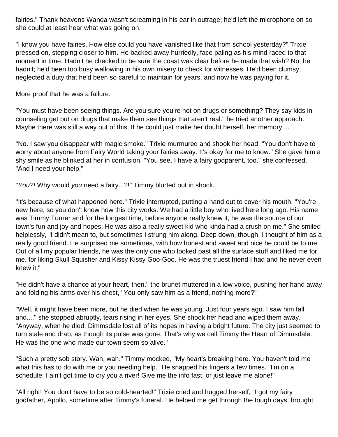fairies." Thank heavens Wanda wasn't screaming in his ear in outrage; he'd left the microphone on so she could at least hear what was going on.

"I know you have fairies. How else could you have vanished like that from school yesterday?" Trixie pressed on, stepping closer to him. He backed away hurriedly, face paling as his mind raced to that moment in time. Hadn't he checked to be sure the coast was clear before he made that wish? No, he hadn't; he'd been too busy wallowing in his own misery to check for witnesses. He'd been clumsy, neglected a duty that he'd been so careful to maintain for years, and now he was paying for it.

More proof that he was a failure.

"You must have been seeing things. Are you sure you're not on drugs or something? They say kids in counseling get put on drugs that make them see things that aren't real." he tried another approach. Maybe there was still a way out of this. If he could just make her doubt herself, her memory....

"No. I saw you disappear with magic smoke." Trixie murmured and shook her head, "You don't have to worry about anyone from Fairy World taking your fairies away. It's okay for me to know." She gave him a shy smile as he blinked at her in confusion. "You see, I have a fairy godparent, too." she confessed, "And I need your help."

"You?! Why would you need a fairy...?!" Timmy blurted out in shock.

"It's because of what happened here." Trixie interrupted, putting a hand out to cover his mouth, "You're new here, so you don't know how this city works. We had a little boy who lived here long ago. His name was Timmy Turner and for the longest time, before anyone really knew it, he was the source of our town's fun and joy and hopes. He was also a really sweet kid who kinda had a crush on me." She smiled helplessly, "I didn't mean to, but sometimes I strung him along. Deep down, though, I thought of him as a really good friend. He surprised me sometimes, with how honest and sweet and nice he could be to me. Out of all my popular friends, he was the only one who looked past all the surface stuff and liked me for me, for liking Skull Squisher and Kissy Kissy Goo-Goo. He was the truest friend I had and he never even knew it."

"He didn't have a chance at your heart, then." the brunet muttered in a low voice, pushing her hand away and folding his arms over his chest, "You only saw him as a friend, nothing more?"

"Well, it might have been more, but he died when he was young. Just four years ago. I saw him fall and...." she stopped abruptly, tears rising in her eyes. She shook her head and wiped them away. "Anyway, when he died, Dimmsdale lost all of its hopes in having a bright future. The city just seemed to turn stale and drab, as though its pulse was gone. That's why we call Timmy the Heart of Dimmsdale. He was the one who made our town seem so alive."

"Such a pretty sob story. Wah, wah." Timmy mocked, "My heart's breaking here. You haven't told me what this has to do with me or you needing help." He snapped his fingers a few times. "I'm on a schedule; I ain't got time to cry you a river! Give me the info fast, or just leave me alone!"

"All right! You don't have to be so cold-hearted!" Trixie cried and hugged herself, "I got my fairy godfather, Apollo, sometime after Timmy's funeral. He helped me get through the tough days, brought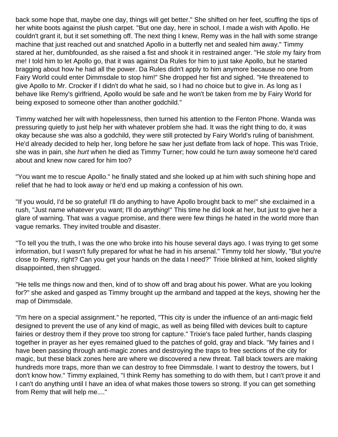back some hope that, maybe one day, things will get better." She shifted on her feet, scuffing the tips of her white boots against the plush carpet. "But one day, here in school, I made a wish with Apollo. He couldn't grant it, but it set something off. The next thing I knew, Remy was in the hall with some strange machine that just reached out and snatched Apollo in a butterfly net and sealed him away." Timmy stared at her, dumbfounded, as she raised a fist and shook it in restrained anger. "He stole my fairy from me! I told him to let Apollo go, that it was against Da Rules for him to just take Apollo, but he started bragging about how he had all the power. Da Rules didn't apply to him anymore because no one from Fairy World could enter Dimmsdale to stop him!" She dropped her fist and sighed. "He threatened to give Apollo to Mr. Crocker if I didn't do what he said, so I had no choice but to give in. As long as I behave like Remy's girlfriend, Apollo would be safe and he won't be taken from me by Fairy World for being exposed to someone other than another godchild."

Timmy watched her wilt with hopelessness, then turned his attention to the Fenton Phone. Wanda was pressuring quietly to just help her with whatever problem she had. It was the right thing to do, it was okay because she was also a godchild, they were still protected by Fairy World's ruling of banishment. He'd already decided to help her, long before he saw her just deflate from lack of hope. This was Trixie, she was in pain, she *hurt* when he died as Timmy Turner; how could he turn away someone he'd cared about and knew now cared for him too?

"You want me to rescue Apollo." he finally stated and she looked up at him with such shining hope and relief that he had to look away or he'd end up making a confession of his own.

"If you would, I'd be so grateful! I'll do anything to have Apollo brought back to me!" she exclaimed in a rush, "Just name whatever you want; I'll do anything!" This time he did look at her, but just to give her a glare of warning. That was a vague promise, and there were few things he hated in the world more than vague remarks. They invited trouble and disaster.

"To tell you the truth, I was the one who broke into his house several days ago. I was trying to get some information, but I wasn't fully prepared for what he had in his arsenal." Timmy told her slowly, "But you're close to Remy, right? Can you get your hands on the data I need?" Trixie blinked at him, looked slightly disappointed, then shrugged.

"He tells me things now and then, kind of to show off and brag about his power. What are you looking for?" she asked and gasped as Timmy brought up the armband and tapped at the keys, showing her the map of Dimmsdale.

"I'm here on a special assignment." he reported, "This city is under the influence of an anti-magic field designed to prevent the use of any kind of magic, as well as being filled with devices built to capture fairies or destroy them if they prove too strong for capture." Trixie's face paled further, hands clasping together in prayer as her eyes remained glued to the patches of gold, gray and black. "My fairies and I have been passing through anti-magic zones and destroying the traps to free sections of the city for magic, but these black zones here are where we discovered a new threat. Tall black towers are making hundreds more traps, more than we can destroy to free Dimmsdale. I want to destroy the towers, but I don't know how." Timmy explained, "I think Remy has something to do with them, but I can't prove it and I can't do anything until I have an idea of what makes those towers so strong. If you can get something from Remy that will help me...."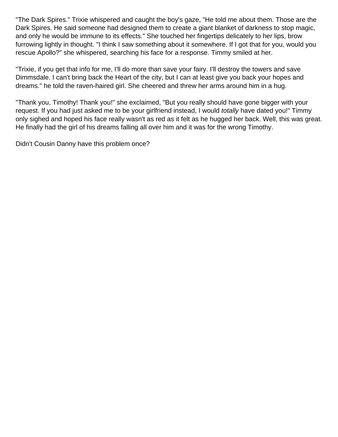"The Dark Spires." Trixie whispered and caught the boy's gaze, "He told me about them. Those are the Dark Spires. He said someone had designed them to create a giant blanket of darkness to stop magic, and only he would be immune to its effects." She touched her fingertips delicately to her lips, brow furrowing lightly in thought. "I think I saw something about it somewhere. If I got that for you, would you rescue Apollo?" she whispered, searching his face for a response. Timmy smiled at her.

"Trixie, if you get that info for me, I'll do more than save your fairy. I'll destroy the towers and save Dimmsdale. I can't bring back the Heart of the city, but I can at least give you back your hopes and dreams." he told the raven-haired girl. She cheered and threw her arms around him in a hug.

"Thank you, Timothy! Thank you!" she exclaimed, "But you really should have gone bigger with your request. If you had just asked me to be your girlfriend instead, I would *totally* have dated you!" Timmy only sighed and hoped his face really wasn't as red as it felt as he hugged her back. Well, this was great. He finally had the girl of his dreams falling all over him and it was for the wrong Timothy.

Didn't Cousin Danny have this problem once?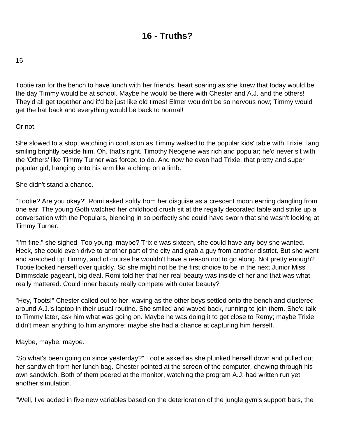# **16 - Truths?**

Tootie ran for the bench to have lunch with her friends, heart soaring as she knew that today would be the day Timmy would be at school. Maybe he would be there with Chester and A.J. and the others! They'd all get together and it'd be just like old times! Elmer wouldn't be so nervous now; Timmy would get the hat back and everything would be back to normal!

Or not.

She slowed to a stop, watching in confusion as Timmy walked to the popular kids' table with Trixie Tang smiling brightly beside him. Oh, that's right. Timothy Neogene was rich and popular; he'd never sit with the 'Others' like Timmy Turner was forced to do. And now he even had Trixie, that pretty and super popular girl, hanging onto his arm like a chimp on a limb.

She didn't stand a chance.

"Tootie? Are you okay?" Romi asked softly from her disguise as a crescent moon earring dangling from one ear. The young Goth watched her childhood crush sit at the regally decorated table and strike up a conversation with the Populars, blending in so perfectly she could have sworn that she wasn't looking at Timmy Turner.

"I'm fine." she sighed. Too young, maybe? Trixie was sixteen, she could have any boy she wanted. Heck, she could even drive to another part of the city and grab a guy from another district. But she went and snatched up Timmy, and of course he wouldn't have a reason not to go along. Not pretty enough? Tootie looked herself over quickly. So she might not be the first choice to be in the next Junior Miss Dimmsdale pageant, big deal. Romi told her that her real beauty was inside of her and that was what really mattered. Could inner beauty really compete with outer beauty?

"Hey, Toots!" Chester called out to her, waving as the other boys settled onto the bench and clustered around A.J.'s laptop in their usual routine. She smiled and waved back, running to join them. She'd talk to Timmy later, ask him what was going on. Maybe he was doing it to get close to Remy; maybe Trixie didn't mean anything to him anymore; maybe she had a chance at capturing him herself.

Maybe, maybe, maybe.

"So what's been going on since yesterday?" Tootie asked as she plunked herself down and pulled out her sandwich from her lunch bag. Chester pointed at the screen of the computer, chewing through his own sandwich. Both of them peered at the monitor, watching the program A.J. had written run yet another simulation.

"Well, I've added in five new variables based on the deterioration of the jungle gym's support bars, the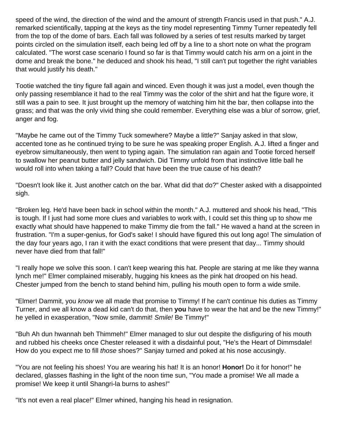speed of the wind, the direction of the wind and the amount of strength Francis used in that push." A.J. remarked scientifically, tapping at the keys as the tiny model representing Timmy Turner repeatedly fell from the top of the dome of bars. Each fall was followed by a series of test results marked by target points circled on the simulation itself, each being led off by a line to a short note on what the program calculated. "The worst case scenario I found so far is that Timmy would catch his arm on a joint in the dome and break the bone." he deduced and shook his head, "I still can't put together the right variables that would justify his death."

Tootie watched the tiny figure fall again and winced. Even though it was just a model, even though the only passing resemblance it had to the real Timmy was the color of the shirt and hat the figure wore, it still was a pain to see. It just brought up the memory of watching him hit the bar, then collapse into the grass; and that was the only vivid thing she could remember. Everything else was a blur of sorrow, grief, anger and fog.

"Maybe he came out of the Timmy Tuck somewhere? Maybe a little?" Sanjay asked in that slow, accented tone as he continued trying to be sure he was speaking proper English. A.J. lifted a finger and eyebrow simultaneously, then went to typing again. The simulation ran again and Tootie forced herself to swallow her peanut butter and jelly sandwich. Did Timmy unfold from that instinctive little ball he would roll into when taking a fall? Could that have been the true cause of his death?

"Doesn't look like it. Just another catch on the bar. What did that do?" Chester asked with a disappointed sigh.

"Broken leg. He'd have been back in school within the month." A.J. muttered and shook his head, "This is tough. If I just had some more clues and variables to work with, I could set this thing up to show me exactly what should have happened to make Timmy die from the fall." He waved a hand at the screen in frustration. "I'm a super-genius, for God's sake! I should have figured this out long ago! The simulation of the day four years ago, I ran it with the exact conditions that were present that day... Timmy should never have died from that fall!"

"I really hope we solve this soon. I can't keep wearing this hat. People are staring at me like they wanna lynch me!" Elmer complained miserably, hugging his knees as the pink hat drooped on his head. Chester jumped from the bench to stand behind him, pulling his mouth open to form a wide smile.

"Elmer! Dammit, you know we all made that promise to Timmy! If he can't continue his duties as Timmy Turner, and we all know a dead kid can't do that, then **you** have to wear the hat and be the new Timmy!" he yelled in exasperation, "Now smile, dammit! Smile! Be Timmy!"

"Buh Ah dun hwannah beh Thimmeh!" Elmer managed to slur out despite the disfiguring of his mouth and rubbed his cheeks once Chester released it with a disdainful pout, "He's the Heart of Dimmsdale! How do you expect me to fill those shoes?" Sanjay turned and poked at his nose accusingly.

"You are not feeling his shoes! You are wearing his hat! It is an honor! **Honor!** Do it for honor!" he declared, glasses flashing in the light of the noon time sun, "You made a promise! We all made a promise! We keep it until Shangri-la burns to ashes!"

"It's not even a real place!" Elmer whined, hanging his head in resignation.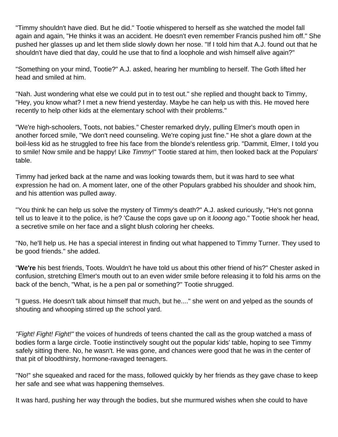"Timmy shouldn't have died. But he did." Tootie whispered to herself as she watched the model fall again and again, "He thinks it was an accident. He doesn't even remember Francis pushed him off." She pushed her glasses up and let them slide slowly down her nose. "If I told him that A.J. found out that he shouldn't have died that day, could he use that to find a loophole and wish himself alive again?"

"Something on your mind, Tootie?" A.J. asked, hearing her mumbling to herself. The Goth lifted her head and smiled at him.

"Nah. Just wondering what else we could put in to test out." she replied and thought back to Timmy, "Hey, you know what? I met a new friend yesterday. Maybe he can help us with this. He moved here recently to help other kids at the elementary school with their problems."

"We're high-schoolers, Toots, not babies." Chester remarked dryly, pulling Elmer's mouth open in another forced smile, "We don't need counseling. We're coping just fine." He shot a glare down at the boil-less kid as he struggled to free his face from the blonde's relentless grip. "Dammit, Elmer, I told you to smile! Now smile and be happy! Like Timmy!" Tootie stared at him, then looked back at the Populars' table.

Timmy had jerked back at the name and was looking towards them, but it was hard to see what expression he had on. A moment later, one of the other Populars grabbed his shoulder and shook him, and his attention was pulled away.

"You think he can help us solve the mystery of Timmy's death?" A.J. asked curiously, "He's not gonna tell us to leave it to the police, is he? 'Cause the cops gave up on it *looong* ago." Tootie shook her head, a secretive smile on her face and a slight blush coloring her cheeks.

"No, he'll help us. He has a special interest in finding out what happened to Timmy Turner. They used to be good friends." she added.

"**We're** his best friends, Toots. Wouldn't he have told us about this other friend of his?" Chester asked in confusion, stretching Elmer's mouth out to an even wider smile before releasing it to fold his arms on the back of the bench, "What, is he a pen pal or something?" Tootie shrugged.

"I guess. He doesn't talk about himself that much, but he...." she went on and yelped as the sounds of shouting and whooping stirred up the school yard.

"Fight! Fight! Fight!" the voices of hundreds of teens chanted the call as the group watched a mass of bodies form a large circle. Tootie instinctively sought out the popular kids' table, hoping to see Timmy safely sitting there. No, he wasn't. He was gone, and chances were good that he was in the center of that pit of bloodthirsty, hormone-ravaged teenagers.

"No!" she squeaked and raced for the mass, followed quickly by her friends as they gave chase to keep her safe and see what was happening themselves.

It was hard, pushing her way through the bodies, but she murmured wishes when she could to have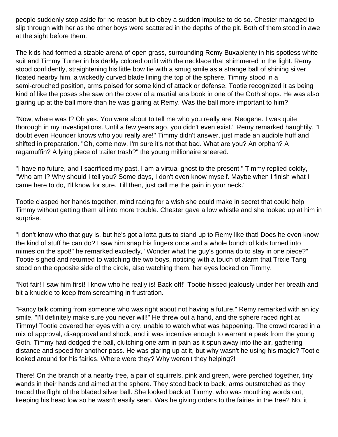people suddenly step aside for no reason but to obey a sudden impulse to do so. Chester managed to slip through with her as the other boys were scattered in the depths of the pit. Both of them stood in awe at the sight before them.

The kids had formed a sizable arena of open grass, surrounding Remy Buxaplenty in his spotless white suit and Timmy Turner in his darkly colored outfit with the necklace that shimmered in the light. Remy stood confidently, straightening his little bow tie with a smug smile as a strange ball of shining silver floated nearby him, a wickedly curved blade lining the top of the sphere. Timmy stood in a semi-crouched position, arms poised for some kind of attack or defense. Tootie recognized it as being kind of like the poses she saw on the cover of a martial arts book in one of the Goth shops. He was also glaring up at the ball more than he was glaring at Remy. Was the ball more important to him?

"Now, where was I? Oh yes. You were about to tell me who you really are, Neogene. I was quite thorough in my investigations. Until a few years ago, you didn't even exist." Remy remarked haughtily, "I doubt even Hounder knows who you really are!" Timmy didn't answer, just made an audible huff and shifted in preparation. "Oh, come now. I'm sure it's not that bad. What are you? An orphan? A ragamuffin? A lying piece of trailer trash?" the young millionaire sneered.

"I have no future, and I sacrificed my past. I am a virtual ghost to the present." Timmy replied coldly, "Who am I? Why should I tell you? Some days, I don't even know myself. Maybe when I finish what I came here to do, I'll know for sure. Till then, just call me the pain in your neck."

Tootie clasped her hands together, mind racing for a wish she could make in secret that could help Timmy without getting them all into more trouble. Chester gave a low whistle and she looked up at him in surprise.

"I don't know who that guy is, but he's got a lotta guts to stand up to Remy like that! Does he even know the kind of stuff he can do? I saw him snap his fingers once and a whole bunch of kids turned into mimes on the spot!" he remarked excitedly, "Wonder what the guy's gonna do to stay in one piece?" Tootie sighed and returned to watching the two boys, noticing with a touch of alarm that Trixie Tang stood on the opposite side of the circle, also watching them, her eyes locked on Timmy.

"Not fair! I saw him first! I know who he really is! Back off!" Tootie hissed jealously under her breath and bit a knuckle to keep from screaming in frustration.

"Fancy talk coming from someone who was right about not having a future." Remy remarked with an icy smile, "I'll definitely make sure you never will!" He threw out a hand, and the sphere raced right at Timmy! Tootie covered her eyes with a cry, unable to watch what was happening. The crowd roared in a mix of approval, disapproval and shock, and it was incentive enough to warrant a peek from the young Goth. Timmy had dodged the ball, clutching one arm in pain as it spun away into the air, gathering distance and speed for another pass. He was glaring up at it, but why wasn't he using his magic? Tootie looked around for his fairies. Where were they? Why weren't they helping?!

There! On the branch of a nearby tree, a pair of squirrels, pink and green, were perched together, tiny wands in their hands and aimed at the sphere. They stood back to back, arms outstretched as they traced the flight of the bladed silver ball. She looked back at Timmy, who was mouthing words out, keeping his head low so he wasn't easily seen. Was he giving orders to the fairies in the tree? No, it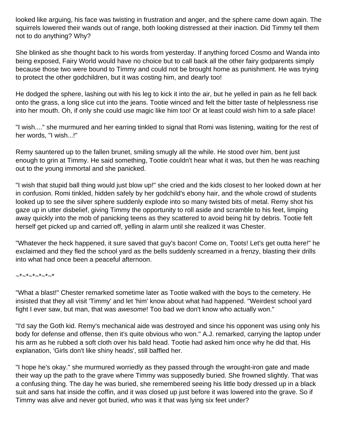looked like arguing, his face was twisting in frustration and anger, and the sphere came down again. The squirrels lowered their wands out of range, both looking distressed at their inaction. Did Timmy tell them not to do anything? Why?

She blinked as she thought back to his words from yesterday. If anything forced Cosmo and Wanda into being exposed, Fairy World would have no choice but to call back all the other fairy godparents simply because those two were bound to Timmy and could not be brought home as punishment. He was trying to protect the other godchildren, but it was costing him, and dearly too!

He dodged the sphere, lashing out with his leg to kick it into the air, but he yelled in pain as he fell back onto the grass, a long slice cut into the jeans. Tootie winced and felt the bitter taste of helplessness rise into her mouth. Oh, if only she could use magic like him too! Or at least could wish him to a safe place!

"I wish...." she murmured and her earring tinkled to signal that Romi was listening, waiting for the rest of her words, "I wish...!"

Remy sauntered up to the fallen brunet, smiling smugly all the while. He stood over him, bent just enough to grin at Timmy. He said something, Tootie couldn't hear what it was, but then he was reaching out to the young immortal and she panicked.

"I wish that stupid ball thing would just blow up!" she cried and the kids closest to her looked down at her in confusion. Romi tinkled, hidden safely by her godchild's ebony hair, and the whole crowd of students looked up to see the silver sphere suddenly explode into so many twisted bits of metal. Remy shot his gaze up in utter disbelief, giving Timmy the opportunity to roll aside and scramble to his feet, limping away quickly into the mob of panicking teens as they scattered to avoid being hit by debris. Tootie felt herself get picked up and carried off, yelling in alarm until she realized it was Chester.

"Whatever the heck happened, it sure saved that guy's bacon! Come on, Toots! Let's get outta here!" he exclaimed and they fled the school yard as the bells suddenly screamed in a frenzy, blasting their drills into what had once been a peaceful afternoon.

#### $\sim$ \* $\sim$ \* $\sim$ \* $\sim$ \* $\sim$ \* $\sim$ \*

"What a blast!" Chester remarked sometime later as Tootie walked with the boys to the cemetery. He insisted that they all visit 'Timmy' and let 'him' know about what had happened. "Weirdest school yard fight I ever saw, but man, that was awesome! Too bad we don't know who actually won."

"I'd say the Goth kid. Remy's mechanical aide was destroyed and since his opponent was using only his body for defense and offense, then it's quite obvious who won." A.J. remarked, carrying the laptop under his arm as he rubbed a soft cloth over his bald head. Tootie had asked him once why he did that. His explanation, 'Girls don't like shiny heads', still baffled her.

"I hope he's okay." she murmured worriedly as they passed through the wrought-iron gate and made their way up the path to the grave where Timmy was supposedly buried. She frowned slightly. That was a confusing thing. The day he was buried, she remembered seeing his little body dressed up in a black suit and sans hat inside the coffin, and it was closed up just before it was lowered into the grave. So if Timmy was alive and never got buried, who was it that was lying six feet under?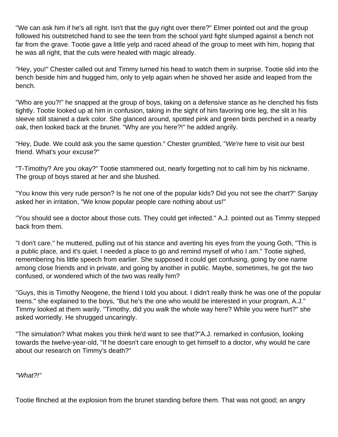"We can ask him if he's all right. Isn't that the guy right over there?" Elmer pointed out and the group followed his outstretched hand to see the teen from the school yard fight slumped against a bench not far from the grave. Tootie gave a little yelp and raced ahead of the group to meet with him, hoping that he was all right, that the cuts were healed with magic already.

"Hey, you!" Chester called out and Timmy turned his head to watch them in surprise. Tootie slid into the bench beside him and hugged him, only to yelp again when he shoved her aside and leaped from the bench.

"Who are you?!" he snapped at the group of boys, taking on a defensive stance as he clenched his fists tightly. Tootie looked up at him in confusion, taking in the sight of him favoring one leg, the slit in his sleeve still stained a dark color. She glanced around, spotted pink and green birds perched in a nearby oak, then looked back at the brunet. "Why are you here?!" he added angrily.

"Hey, Dude. We could ask you the same question." Chester grumbled, "We're here to visit our best friend. What's your excuse?"

"T-Timothy? Are you okay?" Tootie stammered out, nearly forgetting not to call him by his nickname. The group of boys stared at her and she blushed.

"You know this very rude person? Is he not one of the popular kids? Did you not see the chart?" Sanjay asked her in irritation, "We know popular people care nothing about us!"

"You should see a doctor about those cuts. They could get infected." A.J. pointed out as Timmy stepped back from them.

"I don't care." he muttered, pulling out of his stance and averting his eyes from the young Goth, "This is a public place, and it's quiet. I needed a place to go and remind myself of who I am." Tootie sighed, remembering his little speech from earlier. She supposed it could get confusing, going by one name among close friends and in private, and going by another in public. Maybe, sometimes, he got the two confused, or wondered which of the two was really him?

"Guys, this is Timothy Neogene, the friend I told you about. I didn't really think he was one of the popular teens." she explained to the boys, "But he's the one who would be interested in your program, A.J." Timmy looked at them warily. "Timothy, did you walk the whole way here? While you were hurt?" she asked worriedly. He shrugged uncaringly.

"The simulation? What makes you think he'd want to see that?"A.J. remarked in confusion, looking towards the twelve-year-old, "If he doesn't care enough to get himself to a doctor, why would he care about our research on Timmy's death?"

"What?!"

Tootie flinched at the explosion from the brunet standing before them. That was not good; an angry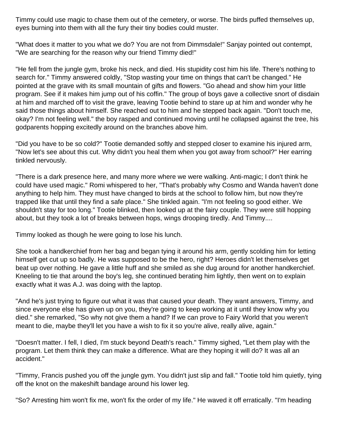Timmy could use magic to chase them out of the cemetery, or worse. The birds puffed themselves up, eyes burning into them with all the fury their tiny bodies could muster.

"What does it matter to you what we do? You are not from Dimmsdale!" Sanjay pointed out contempt, "We are searching for the reason why our friend Timmy died!"

"He fell from the jungle gym, broke his neck, and died. His stupidity cost him his life. There's nothing to search for." Timmy answered coldly, "Stop wasting your time on things that can't be changed." He pointed at the grave with its small mountain of gifts and flowers. "Go ahead and show him your little program. See if it makes him jump out of his coffin." The group of boys gave a collective snort of disdain at him and marched off to visit the grave, leaving Tootie behind to stare up at him and wonder why he said those things about himself. She reached out to him and he stepped back again. "Don't touch me, okay? I'm not feeling well." the boy rasped and continued moving until he collapsed against the tree, his godparents hopping excitedly around on the branches above him.

"Did you have to be so cold?" Tootie demanded softly and stepped closer to examine his injured arm, "Now let's see about this cut. Why didn't you heal them when you got away from school?" Her earring tinkled nervously.

"There is a dark presence here, and many more where we were walking. Anti-magic; I don't think he could have used magic." Romi whispered to her, "That's probably why Cosmo and Wanda haven't done anything to help him. They must have changed to birds at the school to follow him, but now they're trapped like that until they find a safe place." She tinkled again. "I'm not feeling so good either. We shouldn't stay for too long." Tootie blinked, then looked up at the fairy couple. They were still hopping about, but they took a lot of breaks between hops, wings drooping tiredly. And Timmy....

Timmy looked as though he were going to lose his lunch.

She took a handkerchief from her bag and began tying it around his arm, gently scolding him for letting himself get cut up so badly. He was supposed to be the hero, right? Heroes didn't let themselves get beat up over nothing. He gave a little huff and she smiled as she dug around for another handkerchief. Kneeling to tie that around the boy's leg, she continued berating him lightly, then went on to explain exactly what it was A.J. was doing with the laptop.

"And he's just trying to figure out what it was that caused your death. They want answers, Timmy, and since everyone else has given up on you, they're going to keep working at it until they know why you died." she remarked, "So why not give them a hand? If we can prove to Fairy World that you weren't meant to die, maybe they'll let you have a wish to fix it so you're alive, really alive, again."

"Doesn't matter. I fell, I died, I'm stuck beyond Death's reach." Timmy sighed, "Let them play with the program. Let them think they can make a difference. What are they hoping it will do? It was all an accident."

"Timmy, Francis pushed you off the jungle gym. You didn't just slip and fall." Tootie told him quietly, tying off the knot on the makeshift bandage around his lower leg.

"So? Arresting him won't fix me, won't fix the order of my life." He waved it off erratically. "I'm heading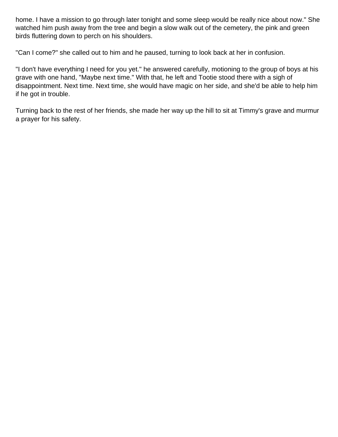home. I have a mission to go through later tonight and some sleep would be really nice about now." She watched him push away from the tree and begin a slow walk out of the cemetery, the pink and green birds fluttering down to perch on his shoulders.

"Can I come?" she called out to him and he paused, turning to look back at her in confusion.

"I don't have everything I need for you yet." he answered carefully, motioning to the group of boys at his grave with one hand, "Maybe next time." With that, he left and Tootie stood there with a sigh of disappointment. Next time. Next time, she would have magic on her side, and she'd be able to help him if he got in trouble.

Turning back to the rest of her friends, she made her way up the hill to sit at Timmy's grave and murmur a prayer for his safety.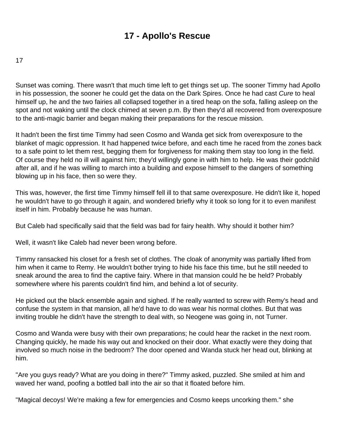## **17 - Apollo's Rescue**

#### 17

Sunset was coming. There wasn't that much time left to get things set up. The sooner Timmy had Apollo in his possession, the sooner he could get the data on the Dark Spires. Once he had cast Cure to heal himself up, he and the two fairies all collapsed together in a tired heap on the sofa, falling asleep on the spot and not waking until the clock chimed at seven p.m. By then they'd all recovered from overexposure to the anti-magic barrier and began making their preparations for the rescue mission.

It hadn't been the first time Timmy had seen Cosmo and Wanda get sick from overexposure to the blanket of magic oppression. It had happened twice before, and each time he raced from the zones back to a safe point to let them rest, begging them for forgiveness for making them stay too long in the field. Of course they held no ill will against him; they'd willingly gone in with him to help. He was their godchild after all, and if he was willing to march into a building and expose himself to the dangers of something blowing up in his face, then so were they.

This was, however, the first time Timmy himself fell ill to that same overexposure. He didn't like it, hoped he wouldn't have to go through it again, and wondered briefly why it took so long for it to even manifest itself in him. Probably because he was human.

But Caleb had specifically said that the field was bad for fairy health. Why should it bother him?

Well, it wasn't like Caleb had never been wrong before.

Timmy ransacked his closet for a fresh set of clothes. The cloak of anonymity was partially lifted from him when it came to Remy. He wouldn't bother trying to hide his face this time, but he still needed to sneak around the area to find the captive fairy. Where in that mansion could he be held? Probably somewhere where his parents couldn't find him, and behind a lot of security.

He picked out the black ensemble again and sighed. If he really wanted to screw with Remy's head and confuse the system in that mansion, all he'd have to do was wear his normal clothes. But that was inviting trouble he didn't have the strength to deal with, so Neogene was going in, not Turner.

Cosmo and Wanda were busy with their own preparations; he could hear the racket in the next room. Changing quickly, he made his way out and knocked on their door. What exactly were they doing that involved so much noise in the bedroom? The door opened and Wanda stuck her head out, blinking at him.

"Are you guys ready? What are you doing in there?" Timmy asked, puzzled. She smiled at him and waved her wand, poofing a bottled ball into the air so that it floated before him.

"Magical decoys! We're making a few for emergencies and Cosmo keeps uncorking them." she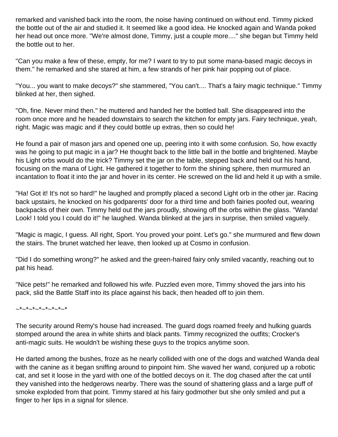remarked and vanished back into the room, the noise having continued on without end. Timmy picked the bottle out of the air and studied it. It seemed like a good idea. He knocked again and Wanda poked her head out once more. "We're almost done, Timmy, just a couple more...." she began but Timmy held the bottle out to her.

"Can you make a few of these, empty, for me? I want to try to put some mana-based magic decoys in them." he remarked and she stared at him, a few strands of her pink hair popping out of place.

"You... you want to make decoys?" she stammered, "You can't.... That's a fairy magic technique." Timmy blinked at her, then sighed.

"Oh, fine. Never mind then." he muttered and handed her the bottled ball. She disappeared into the room once more and he headed downstairs to search the kitchen for empty jars. Fairy technique, yeah, right. Magic was magic and if they could bottle up extras, then so could he!

He found a pair of mason jars and opened one up, peering into it with some confusion. So, how exactly was he going to put magic in a jar? He thought back to the little ball in the bottle and brightened. Maybe his Light orbs would do the trick? Timmy set the jar on the table, stepped back and held out his hand, focusing on the mana of Light. He gathered it together to form the shining sphere, then murmured an incantation to float it into the jar and hover in its center. He screwed on the lid and held it up with a smile.

"Ha! Got it! It's not so hard!" he laughed and promptly placed a second Light orb in the other jar. Racing back upstairs, he knocked on his godparents' door for a third time and both fairies poofed out, wearing backpacks of their own. Timmy held out the jars proudly, showing off the orbs within the glass. "Wanda! Look! I told you I could do it!" he laughed. Wanda blinked at the jars in surprise, then smiled vaguely.

"Magic is magic, I guess. All right, Sport. You proved your point. Let's go." she murmured and flew down the stairs. The brunet watched her leave, then looked up at Cosmo in confusion.

"Did I do something wrong?" he asked and the green-haired fairy only smiled vacantly, reaching out to pat his head.

"Nice pets!" he remarked and followed his wife. Puzzled even more, Timmy shoved the jars into his pack, slid the Battle Staff into its place against his back, then headed off to join them.

 $x^*x^*x^*x^*x^*x^*x^*$ 

The security around Remy's house had increased. The guard dogs roamed freely and hulking guards stomped around the area in white shirts and black pants. Timmy recognized the outfits; Crocker's anti-magic suits. He wouldn't be wishing these guys to the tropics anytime soon.

He darted among the bushes, froze as he nearly collided with one of the dogs and watched Wanda deal with the canine as it began sniffing around to pinpoint him. She waved her wand, conjured up a robotic cat, and set it loose in the yard with one of the bottled decoys on it. The dog chased after the cat until they vanished into the hedgerows nearby. There was the sound of shattering glass and a large puff of smoke exploded from that point. Timmy stared at his fairy godmother but she only smiled and put a finger to her lips in a signal for silence.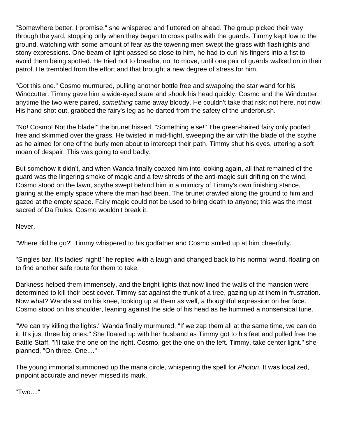"Somewhere better. I promise." she whispered and fluttered on ahead. The group picked their way through the yard, stopping only when they began to cross paths with the guards. Timmy kept low to the ground, watching with some amount of fear as the towering men swept the grass with flashlights and stony expressions. One beam of light passed so close to him, he had to curl his fingers into a fist to avoid them being spotted. He tried not to breathe, not to move, until one pair of guards walked on in their patrol. He trembled from the effort and that brought a new degree of stress for him.

"Got this one." Cosmo murmured, pulling another bottle free and swapping the star wand for his Windcutter. Timmy gave him a wide-eyed stare and shook his head quickly. Cosmo and the Windcutter; anytime the two were paired, something came away bloody. He couldn't take that risk; not here, not now! His hand shot out, grabbed the fairy's leg as he darted from the safety of the underbrush.

"No! Cosmo! Not the blade!" the brunet hissed, "Something else!" The green-haired fairy only poofed free and skimmed over the grass. He twisted in mid-flight, sweeping the air with the blade of the scythe as he aimed for one of the burly men about to intercept their path. Timmy shut his eyes, uttering a soft moan of despair. This was going to end badly.

But somehow it didn't, and when Wanda finally coaxed him into looking again, all that remained of the guard was the lingering smoke of magic and a few shreds of the anti-magic suit drifting on the wind. Cosmo stood on the lawn, scythe swept behind him in a mimicry of Timmy's own finishing stance, glaring at the empty space where the man had been. The brunet crawled along the ground to him and gazed at the empty space. Fairy magic could not be used to bring death to anyone; this was the most sacred of Da Rules. Cosmo wouldn't break it.

Never.

"Where did he go?" Timmy whispered to his godfather and Cosmo smiled up at him cheerfully.

"Singles bar. It's ladies' night!" he replied with a laugh and changed back to his normal wand, floating on to find another safe route for them to take.

Darkness helped them immensely, and the bright lights that now lined the walls of the mansion were determined to kill their best cover. Timmy sat against the trunk of a tree, gazing up at them in frustration. Now what? Wanda sat on his knee, looking up at them as well, a thoughtful expression on her face. Cosmo stood on his shoulder, leaning against the side of his head as he hummed a nonsensical tune.

"We can try killing the lights." Wanda finally murmured, "If we zap them all at the same time, we can do it. It's just three big ones." She floated up with her husband as Timmy got to his feet and pulled free the Battle Staff. "I'll take the one on the right. Cosmo, get the one on the left. Timmy, take center light." she planned, "On three. One...."

The young immortal summoned up the mana circle, whispering the spell for *Photon*. It was localized, pinpoint accurate and never missed its mark.

"Two...."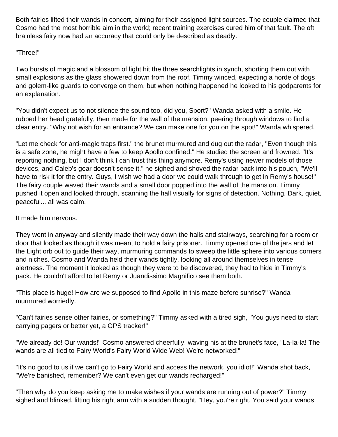Both fairies lifted their wands in concert, aiming for their assigned light sources. The couple claimed that Cosmo had the most horrible aim in the world; recent training exercises cured him of that fault. The oft brainless fairy now had an accuracy that could only be described as deadly.

"Three!"

Two bursts of magic and a blossom of light hit the three searchlights in synch, shorting them out with small explosions as the glass showered down from the roof. Timmy winced, expecting a horde of dogs and golem-like guards to converge on them, but when nothing happened he looked to his godparents for an explanation.

"You didn't expect us to not silence the sound too, did you, Sport?" Wanda asked with a smile. He rubbed her head gratefully, then made for the wall of the mansion, peering through windows to find a clear entry. "Why not wish for an entrance? We can make one for you on the spot!" Wanda whispered.

"Let me check for anti-magic traps first." the brunet murmured and dug out the radar, "Even though this is a safe zone, he might have a few to keep Apollo confined." He studied the screen and frowned. "It's reporting nothing, but I don't think I can trust this thing anymore. Remy's using newer models of those devices, and Caleb's gear doesn't sense it." he sighed and shoved the radar back into his pouch, "We'll have to risk it for the entry. Guys, I wish we had a door we could walk through to get in Remy's house!" The fairy couple waved their wands and a small door popped into the wall of the mansion. Timmy pushed it open and looked through, scanning the hall visually for signs of detection. Nothing. Dark, quiet, peaceful... all was calm.

It made him nervous.

They went in anyway and silently made their way down the halls and stairways, searching for a room or door that looked as though it was meant to hold a fairy prisoner. Timmy opened one of the jars and let the Light orb out to guide their way, murmuring commands to sweep the little sphere into various corners and niches. Cosmo and Wanda held their wands tightly, looking all around themselves in tense alertness. The moment it looked as though they were to be discovered, they had to hide in Timmy's pack. He couldn't afford to let Remy or Juandissimo Magnifico see them both.

"This place is huge! How are we supposed to find Apollo in this maze before sunrise?" Wanda murmured worriedly.

"Can't fairies sense other fairies, or something?" Timmy asked with a tired sigh, "You guys need to start carrying pagers or better yet, a GPS tracker!"

"We already do! Our wands!" Cosmo answered cheerfully, waving his at the brunet's face, "La-la-la! The wands are all tied to Fairy World's Fairy World Wide Web! We're networked!"

"It's no good to us if we can't go to Fairy World and access the network, you idiot!" Wanda shot back, "We're banished, remember? We can't even get our wands recharged!"

"Then why do you keep asking me to make wishes if your wands are running out of power?" Timmy sighed and blinked, lifting his right arm with a sudden thought, "Hey, you're right. You said your wands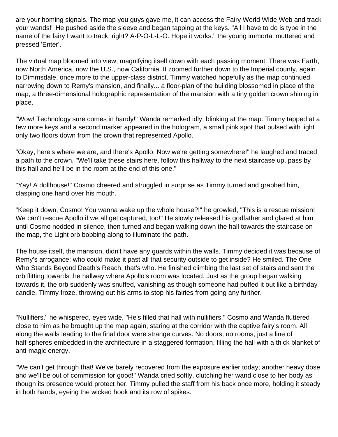are your homing signals. The map you guys gave me, it can access the Fairy World Wide Web and track your wands!" He pushed aside the sleeve and began tapping at the keys. "All I have to do is type in the name of the fairy I want to track, right? A-P-O-L-L-O. Hope it works." the young immortal muttered and pressed 'Enter'.

The virtual map bloomed into view, magnifying itself down with each passing moment. There was Earth, now North America, now the U.S., now California. It zoomed further down to the Imperial county, again to Dimmsdale, once more to the upper-class district. Timmy watched hopefully as the map continued narrowing down to Remy's mansion, and finally... a floor-plan of the building blossomed in place of the map, a three-dimensional holographic representation of the mansion with a tiny golden crown shining in place.

"Wow! Technology sure comes in handy!" Wanda remarked idly, blinking at the map. Timmy tapped at a few more keys and a second marker appeared in the hologram, a small pink spot that pulsed with light only two floors down from the crown that represented Apollo.

"Okay, here's where we are, and there's Apollo. Now we're getting somewhere!" he laughed and traced a path to the crown, "We'll take these stairs here, follow this hallway to the next staircase up, pass by this hall and he'll be in the room at the end of this one."

"Yay! A dollhouse!" Cosmo cheered and struggled in surprise as Timmy turned and grabbed him, clasping one hand over his mouth.

"Keep it down, Cosmo! You wanna wake up the whole house?!" he growled, "This is a rescue mission! We can't rescue Apollo if we all get captured, too!" He slowly released his godfather and glared at him until Cosmo nodded in silence, then turned and began walking down the hall towards the staircase on the map, the Light orb bobbing along to illuminate the path.

The house itself, the mansion, didn't have any guards within the walls. Timmy decided it was because of Remy's arrogance; who could make it past all that security outside to get inside? He smiled. The One Who Stands Beyond Death's Reach, that's who. He finished climbing the last set of stairs and sent the orb flitting towards the hallway where Apollo's room was located. Just as the group began walking towards it, the orb suddenly was snuffed, vanishing as though someone had puffed it out like a birthday candle. Timmy froze, throwing out his arms to stop his fairies from going any further.

"Nullifiers." he whispered, eyes wide, "He's filled that hall with nullifiers." Cosmo and Wanda fluttered close to him as he brought up the map again, staring at the corridor with the captive fairy's room. All along the walls leading to the final door were strange curves. No doors, no rooms, just a line of half-spheres embedded in the architecture in a staggered formation, filling the hall with a thick blanket of anti-magic energy.

"We can't get through that! We've barely recovered from the exposure earlier today; another heavy dose and we'll be out of commission for good!" Wanda cried softly, clutching her wand close to her body as though its presence would protect her. Timmy pulled the staff from his back once more, holding it steady in both hands, eyeing the wicked hook and its row of spikes.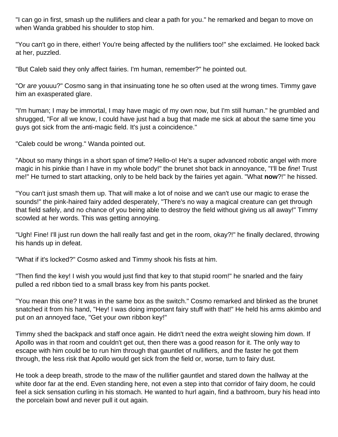"I can go in first, smash up the nullifiers and clear a path for you." he remarked and began to move on when Wanda grabbed his shoulder to stop him.

"You can't go in there, either! You're being affected by the nullifiers too!" she exclaimed. He looked back at her, puzzled.

"But Caleb said they only affect fairies. I'm human, remember?" he pointed out.

"Or are youuu?" Cosmo sang in that insinuating tone he so often used at the wrong times. Timmy gave him an exasperated glare.

"I'm human; I may be immortal, I may have magic of my own now, but I'm still human." he grumbled and shrugged, "For all we know, I could have just had a bug that made me sick at about the same time you guys got sick from the anti-magic field. It's just a coincidence."

"Caleb could be wrong." Wanda pointed out.

"About so many things in a short span of time? Hello-o! He's a super advanced robotic angel with more magic in his pinkie than I have in my whole body!" the brunet shot back in annoyance, "I'll be fine! Trust me!" He turned to start attacking, only to be held back by the fairies yet again. "What **now**?!" he hissed.

"You can't just smash them up. That will make a lot of noise and we can't use our magic to erase the sounds!" the pink-haired fairy added desperately, "There's no way a magical creature can get through that field safely, and no chance of you being able to destroy the field without giving us all away!" Timmy scowled at her words. This was getting annoying.

"Ugh! Fine! I'll just run down the hall really fast and get in the room, okay?!" he finally declared, throwing his hands up in defeat.

"What if it's locked?" Cosmo asked and Timmy shook his fists at him.

"Then find the key! I wish you would just find that key to that stupid room!" he snarled and the fairy pulled a red ribbon tied to a small brass key from his pants pocket.

"You mean this one? It was in the same box as the switch." Cosmo remarked and blinked as the brunet snatched it from his hand, "Hey! I was doing important fairy stuff with that!" He held his arms akimbo and put on an annoyed face, "Get your own ribbon key!"

Timmy shed the backpack and staff once again. He didn't need the extra weight slowing him down. If Apollo was in that room and couldn't get out, then there was a good reason for it. The only way to escape with him could be to run him through that gauntlet of nullifiers, and the faster he got them through, the less risk that Apollo would get sick from the field or, worse, turn to fairy dust.

He took a deep breath, strode to the maw of the nullifier gauntlet and stared down the hallway at the white door far at the end. Even standing here, not even a step into that corridor of fairy doom, he could feel a sick sensation curling in his stomach. He wanted to hurl again, find a bathroom, bury his head into the porcelain bowl and never pull it out again.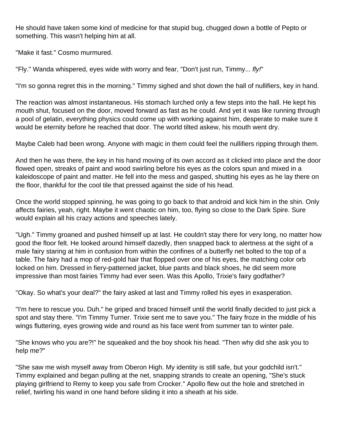He should have taken some kind of medicine for that stupid bug, chugged down a bottle of Pepto or something. This wasn't helping him at all.

"Make it fast." Cosmo murmured.

"Fly." Wanda whispered, eyes wide with worry and fear, "Don't just run, Timmy... fly!"

"I'm so gonna regret this in the morning." Timmy sighed and shot down the hall of nullifiers, key in hand.

The reaction was almost instantaneous. His stomach lurched only a few steps into the hall. He kept his mouth shut, focused on the door, moved forward as fast as he could. And yet it was like running through a pool of gelatin, everything physics could come up with working against him, desperate to make sure it would be eternity before he reached that door. The world tilted askew, his mouth went dry.

Maybe Caleb had been wrong. Anyone with magic in them could feel the nullifiers ripping through them.

And then he was there, the key in his hand moving of its own accord as it clicked into place and the door flowed open, streaks of paint and wood swirling before his eyes as the colors spun and mixed in a kaleidoscope of paint and matter. He fell into the mess and gasped, shutting his eyes as he lay there on the floor, thankful for the cool tile that pressed against the side of his head.

Once the world stopped spinning, he was going to go back to that android and kick him in the shin. Only affects fairies, yeah, right. Maybe it went chaotic on him, too, flying so close to the Dark Spire. Sure would explain all his crazy actions and speeches lately.

"Ugh." Timmy groaned and pushed himself up at last. He couldn't stay there for very long, no matter how good the floor felt. He looked around himself dazedly, then snapped back to alertness at the sight of a male fairy staring at him in confusion from within the confines of a butterfly net bolted to the top of a table. The fairy had a mop of red-gold hair that flopped over one of his eyes, the matching color orb locked on him. Dressed in fiery-patterned jacket, blue pants and black shoes, he did seem more impressive than most fairies Timmy had ever seen. Was this Apollo, Trixie's fairy godfather?

"Okay. So what's your deal?" the fairy asked at last and Timmy rolled his eyes in exasperation.

"I'm here to rescue you. Duh." he griped and braced himself until the world finally decided to just pick a spot and stay there. "I'm Timmy Turner. Trixie sent me to save you." The fairy froze in the middle of his wings fluttering, eyes growing wide and round as his face went from summer tan to winter pale.

"She knows who you are?!" he squeaked and the boy shook his head. "Then why did she ask you to help me?"

"She saw me wish myself away from Oberon High. My identity is still safe, but your godchild isn't." Timmy explained and began pulling at the net, snapping strands to create an opening, "She's stuck playing girlfriend to Remy to keep you safe from Crocker." Apollo flew out the hole and stretched in relief, twirling his wand in one hand before sliding it into a sheath at his side.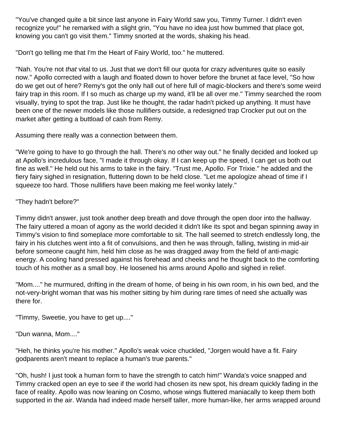"You've changed quite a bit since last anyone in Fairy World saw you, Timmy Turner. I didn't even recognize you!" he remarked with a slight grin, "You have no idea just how bummed that place got, knowing you can't go visit them." Timmy snorted at the words, shaking his head.

"Don't go telling me that I'm the Heart of Fairy World, too." he muttered.

"Nah. You're not *that* vital to us. Just that we don't fill our quota for crazy adventures quite so easily now." Apollo corrected with a laugh and floated down to hover before the brunet at face level, "So how do we get out of here? Remy's got the only hall out of here full of magic-blockers and there's some weird fairy trap in this room. If I so much as charge up my wand, it'll be all over me." Timmy searched the room visually, trying to spot the trap. Just like he thought, the radar hadn't picked up anything. It must have been one of the newer models like those nullifiers outside, a redesigned trap Crocker put out on the market after getting a buttload of cash from Remy.

Assuming there really was a connection between them.

"We're going to have to go through the hall. There's no other way out." he finally decided and looked up at Apollo's incredulous face, "I made it through okay. If I can keep up the speed, I can get us both out fine as well." He held out his arms to take in the fairy. "Trust me, Apollo. For Trixie." he added and the fiery fairy sighed in resignation, fluttering down to be held close. "Let me apologize ahead of time if I squeeze too hard. Those nullifiers have been making me feel wonky lately."

### "They hadn't before?"

Timmy didn't answer, just took another deep breath and dove through the open door into the hallway. The fairy uttered a moan of agony as the world decided it didn't like its spot and began spinning away in Timmy's vision to find someplace more comfortable to sit. The hall seemed to stretch endlessly long, the fairy in his clutches went into a fit of convulsions, and then he was through, falling, twisting in mid-air before someone caught him, held him close as he was dragged away from the field of anti-magic energy. A cooling hand pressed against his forehead and cheeks and he thought back to the comforting touch of his mother as a small boy. He loosened his arms around Apollo and sighed in relief.

"Mom...." he murmured, drifting in the dream of home, of being in his own room, in his own bed, and the not-very-bright woman that was his mother sitting by him during rare times of need she actually was there for.

"Timmy, Sweetie, you have to get up...."

"Dun wanna, Mom...."

"Heh, he thinks you're his mother." Apollo's weak voice chuckled, "Jorgen would have a fit. Fairy godparents aren't meant to replace a human's true parents."

"Oh, hush! I just took a human form to have the strength to catch him!" Wanda's voice snapped and Timmy cracked open an eye to see if the world had chosen its new spot, his dream quickly fading in the face of reality. Apollo was now leaning on Cosmo, whose wings fluttered maniacally to keep them both supported in the air. Wanda had indeed made herself taller, more human-like, her arms wrapped around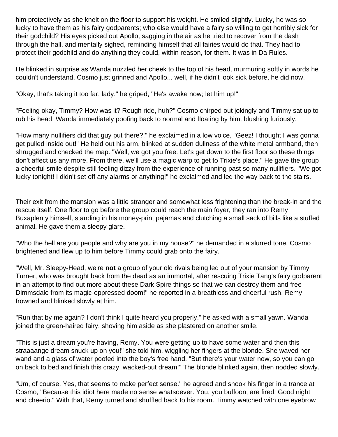him protectively as she knelt on the floor to support his weight. He smiled slightly. Lucky, he was so lucky to have them as his fairy godparents; who else would have a fairy so willing to get horribly sick for their godchild? His eyes picked out Apollo, sagging in the air as he tried to recover from the dash through the hall, and mentally sighed, reminding himself that all fairies would do that. They had to protect their godchild and do anything they could, within reason, for them. It was in Da Rules.

He blinked in surprise as Wanda nuzzled her cheek to the top of his head, murmuring softly in words he couldn't understand. Cosmo just grinned and Apollo... well, if he didn't look sick before, he did now.

"Okay, that's taking it too far, lady." he griped, "He's awake now; let him up!"

"Feeling okay, Timmy? How was it? Rough ride, huh?" Cosmo chirped out jokingly and Timmy sat up to rub his head, Wanda immediately poofing back to normal and floating by him, blushing furiously.

"How many nullifiers did that guy put there?!" he exclaimed in a low voice, "Geez! I thought I was gonna get pulled inside out!" He held out his arm, blinked at sudden dullness of the white metal armband, then shrugged and checked the map. "Well, we got you free. Let's get down to the first floor so these things don't affect us any more. From there, we'll use a magic warp to get to Trixie's place." He gave the group a cheerful smile despite still feeling dizzy from the experience of running past so many nullifiers. "We got lucky tonight! I didn't set off any alarms or anything!" he exclaimed and led the way back to the stairs.

Their exit from the mansion was a little stranger and somewhat less frightening than the break-in and the rescue itself. One floor to go before the group could reach the main foyer, they ran into Remy Buxaplenty himself, standing in his money-print pajamas and clutching a small sack of bills like a stuffed animal. He gave them a sleepy glare.

"Who the hell are you people and why are you in my house?" he demanded in a slurred tone. Cosmo brightened and flew up to him before Timmy could grab onto the fairy.

"Well, Mr. Sleepy-Head, we're **not** a group of your old rivals being led out of your mansion by Timmy Turner, who was brought back from the dead as an immortal, after rescuing Trixie Tang's fairy godparent in an attempt to find out more about these Dark Spire things so that we can destroy them and free Dimmsdale from its magic-oppressed doom!" he reported in a breathless and cheerful rush. Remy frowned and blinked slowly at him.

"Run that by me again? I don't think I quite heard you properly." he asked with a small yawn. Wanda joined the green-haired fairy, shoving him aside as she plastered on another smile.

"This is just a dream you're having, Remy. You were getting up to have some water and then this straaaange dream snuck up on you!" she told him, wiggling her fingers at the blonde. She waved her wand and a glass of water poofed into the boy's free hand. "But there's your water now, so you can go on back to bed and finish this crazy, wacked-out dream!" The blonde blinked again, then nodded slowly.

"Um, of course. Yes, that seems to make perfect sense." he agreed and shook his finger in a trance at Cosmo, "Because this idiot here made no sense whatsoever. You, you buffoon, are fired. Good night and cheerio." With that, Remy turned and shuffled back to his room. Timmy watched with one eyebrow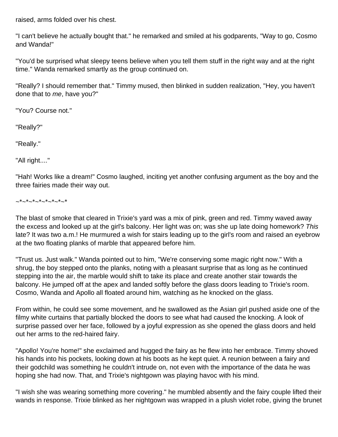raised, arms folded over his chest.

"I can't believe he actually bought that." he remarked and smiled at his godparents, "Way to go, Cosmo and Wanda!"

"You'd be surprised what sleepy teens believe when you tell them stuff in the right way and at the right time." Wanda remarked smartly as the group continued on.

"Really? I should remember that." Timmy mused, then blinked in sudden realization, "Hey, you haven't done that to me, have you?"

"You? Course not."

"Really?"

"Really."

"All right...."

"Hah! Works like a dream!" Cosmo laughed, inciting yet another confusing argument as the boy and the three fairies made their way out.

~\*~\*~\*~\*~\*~\*~\*~\*

The blast of smoke that cleared in Trixie's yard was a mix of pink, green and red. Timmy waved away the excess and looked up at the girl's balcony. Her light was on; was she up late doing homework? This late? It was two a.m.! He murmured a wish for stairs leading up to the girl's room and raised an eyebrow at the two floating planks of marble that appeared before him.

"Trust us. Just walk." Wanda pointed out to him, "We're conserving some magic right now." With a shrug, the boy stepped onto the planks, noting with a pleasant surprise that as long as he continued stepping into the air, the marble would shift to take its place and create another stair towards the balcony. He jumped off at the apex and landed softly before the glass doors leading to Trixie's room. Cosmo, Wanda and Apollo all floated around him, watching as he knocked on the glass.

From within, he could see some movement, and he swallowed as the Asian girl pushed aside one of the filmy white curtains that partially blocked the doors to see what had caused the knocking. A look of surprise passed over her face, followed by a joyful expression as she opened the glass doors and held out her arms to the red-haired fairy.

"Apollo! You're home!" she exclaimed and hugged the fairy as he flew into her embrace. Timmy shoved his hands into his pockets, looking down at his boots as he kept quiet. A reunion between a fairy and their godchild was something he couldn't intrude on, not even with the importance of the data he was hoping she had now. That, and Trixie's nightgown was playing havoc with his mind.

"I wish she was wearing something more covering." he mumbled absently and the fairy couple lifted their wands in response. Trixie blinked as her nightgown was wrapped in a plush violet robe, giving the brunet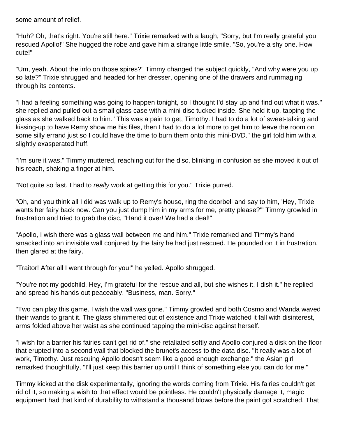some amount of relief.

"Huh? Oh, that's right. You're still here." Trixie remarked with a laugh, "Sorry, but I'm really grateful you rescued Apollo!" She hugged the robe and gave him a strange little smile. "So, you're a shy one. How cute!"

"Um, yeah. About the info on those spires?" Timmy changed the subject quickly, "And why were you up so late?" Trixie shrugged and headed for her dresser, opening one of the drawers and rummaging through its contents.

"I had a feeling something was going to happen tonight, so I thought I'd stay up and find out what it was." she replied and pulled out a small glass case with a mini-disc tucked inside. She held it up, tapping the glass as she walked back to him. "This was a pain to get, Timothy. I had to do a lot of sweet-talking and kissing-up to have Remy show me his files, then I had to do a lot more to get him to leave the room on some silly errand just so I could have the time to burn them onto this mini-DVD." the girl told him with a slightly exasperated huff.

"I'm sure it was." Timmy muttered, reaching out for the disc, blinking in confusion as she moved it out of his reach, shaking a finger at him.

"Not quite so fast. I had to really work at getting this for you." Trixie purred.

"Oh, and you think all I did was walk up to Remy's house, ring the doorbell and say to him, 'Hey, Trixie wants her fairy back now. Can you just dump him in my arms for me, pretty please?'" Timmy growled in frustration and tried to grab the disc, "Hand it over! We had a deal!"

"Apollo, I wish there was a glass wall between me and him." Trixie remarked and Timmy's hand smacked into an invisible wall conjured by the fairy he had just rescued. He pounded on it in frustration, then glared at the fairy.

"Traitor! After all I went through for you!" he yelled. Apollo shrugged.

"You're not my godchild. Hey, I'm grateful for the rescue and all, but she wishes it, I dish it." he replied and spread his hands out peaceably. "Business, man. Sorry."

"Two can play this game. I wish the wall was gone." Timmy growled and both Cosmo and Wanda waved their wands to grant it. The glass shimmered out of existence and Trixie watched it fall with disinterest, arms folded above her waist as she continued tapping the mini-disc against herself.

"I wish for a barrier his fairies can't get rid of." she retaliated softly and Apollo conjured a disk on the floor that erupted into a second wall that blocked the brunet's access to the data disc. "It really was a lot of work, Timothy. Just rescuing Apollo doesn't seem like a good enough exchange." the Asian girl remarked thoughtfully, "I'll just keep this barrier up until I think of something else you can do for me."

Timmy kicked at the disk experimentally, ignoring the words coming from Trixie. His fairies couldn't get rid of it, so making a wish to that effect would be pointless. He couldn't physically damage it, magic equipment had that kind of durability to withstand a thousand blows before the paint got scratched. That